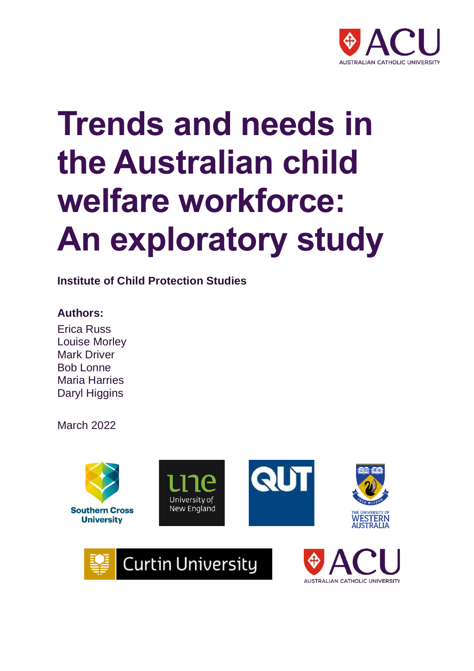

# **Trends and needs in the Australian child welfare workforce: An exploratory study**

**Institute of Child Protection Studies**

# **Authors:**

Erica Russ Louise Morley Mark Driver Bob Lonne Maria Harries Daryl Higgins

March 2022

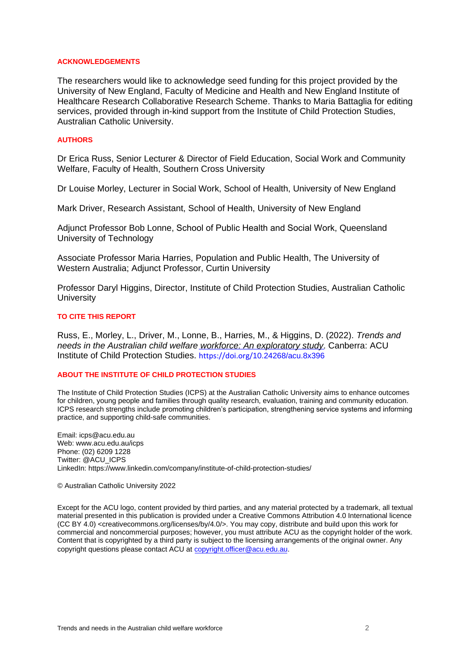#### **ACKNOWLEDGEMENTS**

The researchers would like to acknowledge seed funding for this project provided by the University of New England, Faculty of Medicine and Health and New England Institute of Healthcare Research Collaborative Research Scheme. Thanks to Maria Battaglia for editing services, provided through in-kind support from the Institute of Child Protection Studies, Australian Catholic University.

#### **AUTHORS**

Dr Erica Russ, Senior Lecturer & Director of Field Education, Social Work and Community Welfare, Faculty of Health, Southern Cross University

Dr Louise Morley, Lecturer in Social Work, School of Health, University of New England

Mark Driver, Research Assistant, School of Health, University of New England

Adjunct Professor Bob Lonne, School of Public Health and Social Work, Queensland University of Technology

Associate Professor Maria Harries, Population and Public Health, The University of Western Australia; Adjunct Professor, Curtin University

Professor Daryl Higgins, Director, Institute of Child Protection Studies, Australian Catholic **University** 

#### **TO CITE THIS REPORT**

Russ, E., Morley, L., Driver, M., Lonne, B., Harries, M., & Higgins, D. (2022). *Trends and needs in the Australian child welfar[e workforce: An exploratory study](https://aus01.safelinks.protection.outlook.com/?url=https%3A%2F%2Fdoi.org%2F10.24268%2Facu.8x396&data=04%7C01%7CMaria.Battaglia%40acu.edu.au%7C623eabafa9d74ac11f4908d9c346841d%7C429af009f196448fae7958c212a0f2ce%7C0%7C0%7C637755529895811687%7CUnknown%7CTWFpbGZsb3d8eyJWIjoiMC4wLjAwMDAiLCJQIjoiV2luMzIiLCJBTiI6Ik1haWwiLCJXVCI6Mn0%3D%7C3000&sdata=P3nIgf1hg5STFz9UihmG2u7a%2Bfi1LZFPGb8zUUR4lBA%3D&reserved=0)*. Canberra: ACU Institute of Child Protection Studies. https://doi.org/10.24268/acu.8x396

#### **ABOUT THE INSTITUTE OF CHILD PROTECTION STUDIES**

The Institute of Child Protection Studies (ICPS) at the Australian Catholic University aims to enhance outcomes for children, young people and families through quality research, evaluation, training and community education. ICPS research strengths include promoting children's participation, strengthening service systems and informing practice, and supporting child-safe communities.

Email: icps@acu.edu.au Web: www.acu.edu.au/icps Phone: (02) 6209 1228 Twitter: @ACU\_ICPS LinkedIn: https://www.linkedin.com/company/institute-of-child-protection-studies/

#### © Australian Catholic University 2022

Except for the ACU logo, content provided by third parties, and any material protected by a trademark, all textual material presented in this publication is provided under a Creative Commons Attribution 4.0 International licence (CC BY 4.0) <creativecommons.org/licenses/by/4.0/>. You may copy, distribute and build upon this work for commercial and noncommercial purposes; however, you must attribute ACU as the copyright holder of the work. Content that is copyrighted by a third party [is subject to the licensing arran](mailto:copyright.officer@acu.edu.au)gements of the original owner. Any copyright questions please contact ACU at copyright.officer@acu.edu.au.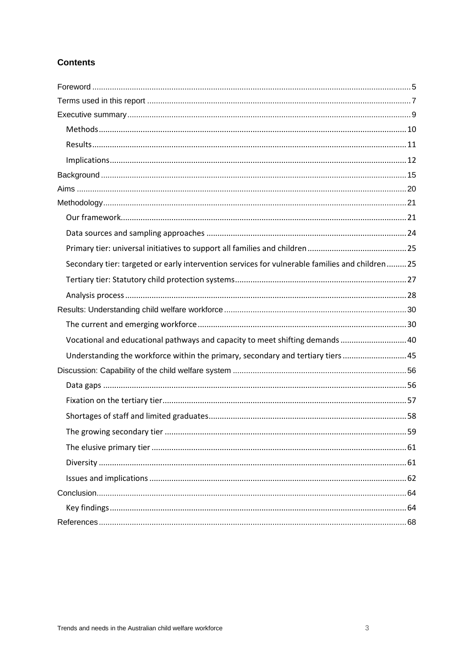## **Contents**

| Secondary tier: targeted or early intervention services for vulnerable families and children  25 |  |
|--------------------------------------------------------------------------------------------------|--|
|                                                                                                  |  |
|                                                                                                  |  |
|                                                                                                  |  |
|                                                                                                  |  |
| Vocational and educational pathways and capacity to meet shifting demands  40                    |  |
| Understanding the workforce within the primary, secondary and tertiary tiers45                   |  |
|                                                                                                  |  |
|                                                                                                  |  |
|                                                                                                  |  |
|                                                                                                  |  |
|                                                                                                  |  |
|                                                                                                  |  |
|                                                                                                  |  |
|                                                                                                  |  |
|                                                                                                  |  |
|                                                                                                  |  |
|                                                                                                  |  |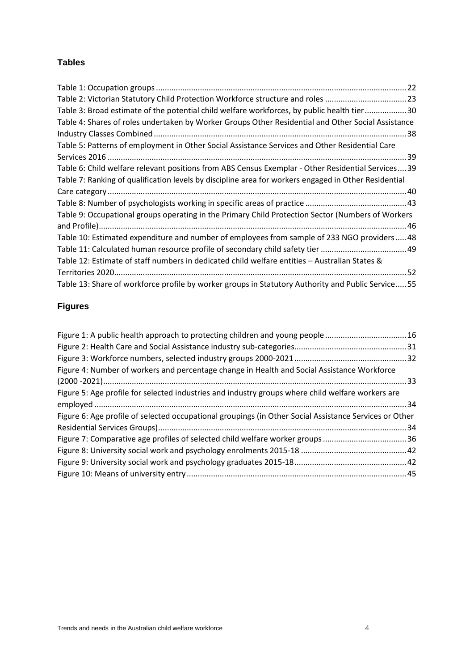## **Tables**

| Table 2: Victorian Statutory Child Protection Workforce structure and roles 23                       |
|------------------------------------------------------------------------------------------------------|
| Table 3: Broad estimate of the potential child welfare workforces, by public health tier30           |
| Table 4: Shares of roles undertaken by Worker Groups Other Residential and Other Social Assistance   |
|                                                                                                      |
| Table 5: Patterns of employment in Other Social Assistance Services and Other Residential Care       |
|                                                                                                      |
| Table 6: Child welfare relevant positions from ABS Census Exemplar - Other Residential Services 39   |
| Table 7: Ranking of qualification levels by discipline area for workers engaged in Other Residential |
|                                                                                                      |
|                                                                                                      |
| Table 9: Occupational groups operating in the Primary Child Protection Sector (Numbers of Workers    |
|                                                                                                      |
| Table 10: Estimated expenditure and number of employees from sample of 233 NGO providers48           |
|                                                                                                      |
| Table 12: Estimate of staff numbers in dedicated child welfare entities - Australian States &        |
|                                                                                                      |
| Table 13: Share of workforce profile by worker groups in Statutory Authority and Public Service 55   |

# **Figures**

| Figure 1: A public health approach to protecting children and young people 16                          |  |
|--------------------------------------------------------------------------------------------------------|--|
|                                                                                                        |  |
|                                                                                                        |  |
| Figure 4: Number of workers and percentage change in Health and Social Assistance Workforce            |  |
|                                                                                                        |  |
| Figure 5: Age profile for selected industries and industry groups where child welfare workers are      |  |
|                                                                                                        |  |
| Figure 6: Age profile of selected occupational groupings (in Other Social Assistance Services or Other |  |
|                                                                                                        |  |
| Figure 7: Comparative age profiles of selected child welfare worker groups 36                          |  |
|                                                                                                        |  |
|                                                                                                        |  |
|                                                                                                        |  |
|                                                                                                        |  |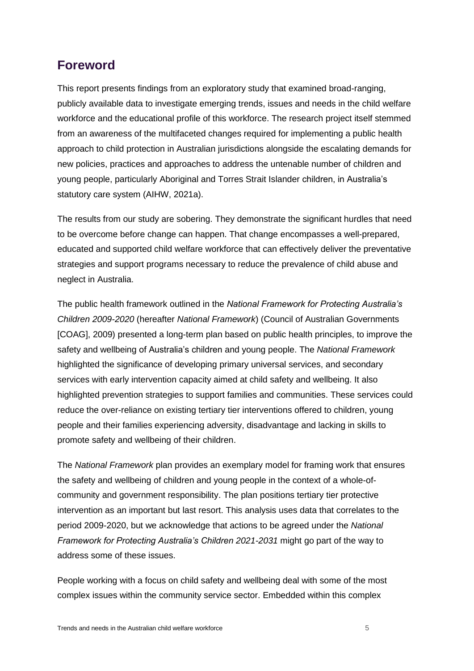# <span id="page-4-0"></span>**Foreword**

This report presents findings from an exploratory study that examined broad-ranging, publicly available data to investigate emerging trends, issues and needs in the child welfare workforce and the educational profile of this workforce. The research project itself stemmed from an awareness of the multifaceted changes required for implementing a public health approach to child protection in Australian jurisdictions alongside the escalating demands for new policies, practices and approaches to address the untenable number of children and young people, particularly Aboriginal and Torres Strait Islander children, in Australia's statutory care system (AIHW, 2021a).

The results from our study are sobering. They demonstrate the significant hurdles that need to be overcome before change can happen. That change encompasses a well-prepared, educated and supported child welfare workforce that can effectively deliver the preventative strategies and support programs necessary to reduce the prevalence of child abuse and neglect in Australia.

The public health framework outlined in the *National Framework for Protecting Australia's Children 2009-2020* (hereafter *National Framework*) (Council of Australian Governments [COAG], 2009) presented a long-term plan based on public health principles, to improve the safety and wellbeing of Australia's children and young people. The *National Framework* highlighted the significance of developing primary universal services, and secondary services with early intervention capacity aimed at child safety and wellbeing. It also highlighted prevention strategies to support families and communities. These services could reduce the over-reliance on existing tertiary tier interventions offered to children, young people and their families experiencing adversity, disadvantage and lacking in skills to promote safety and wellbeing of their children.

The *National Framework* plan provides an exemplary model for framing work that ensures the safety and wellbeing of children and young people in the context of a whole-ofcommunity and government responsibility. The plan positions tertiary tier protective intervention as an important but last resort. This analysis uses data that correlates to the period 2009-2020, but we acknowledge that actions to be agreed under the *National Framework for Protecting Australia's Children 2021-2031* might go part of the way to address some of these issues.

People working with a focus on child safety and wellbeing deal with some of the most complex issues within the community service sector. Embedded within this complex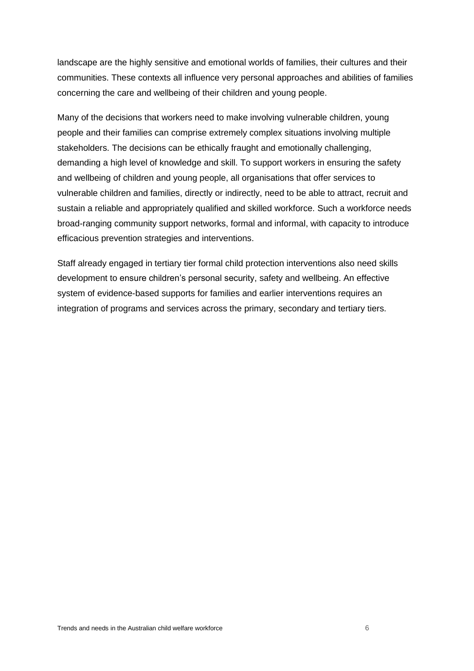landscape are the highly sensitive and emotional worlds of families, their cultures and their communities. These contexts all influence very personal approaches and abilities of families concerning the care and wellbeing of their children and young people.

Many of the decisions that workers need to make involving vulnerable children, young people and their families can comprise extremely complex situations involving multiple stakeholders. The decisions can be ethically fraught and emotionally challenging, demanding a high level of knowledge and skill. To support workers in ensuring the safety and wellbeing of children and young people, all organisations that offer services to vulnerable children and families, directly or indirectly, need to be able to attract, recruit and sustain a reliable and appropriately qualified and skilled workforce. Such a workforce needs broad-ranging community support networks, formal and informal, with capacity to introduce efficacious prevention strategies and interventions.

Staff already engaged in tertiary tier formal child protection interventions also need skills development to ensure children's personal security, safety and wellbeing. An effective system of evidence-based supports for families and earlier interventions requires an integration of programs and services across the primary, secondary and tertiary tiers.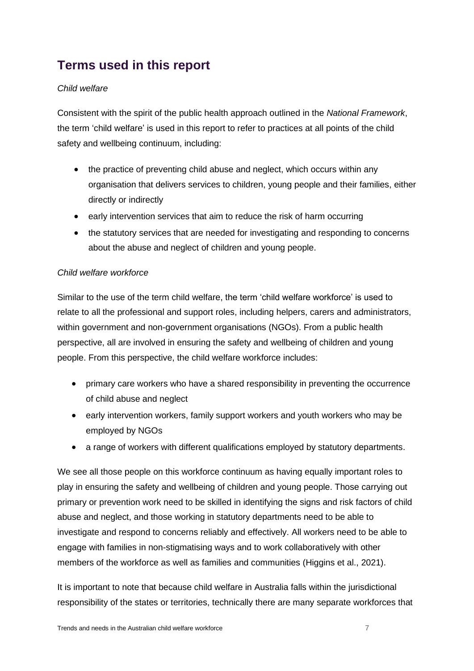# <span id="page-6-0"></span>**Terms used in this report**

## *Child welfare*

Consistent with the spirit of the public health approach outlined in the *National Framework*, the term 'child welfare' is used in this report to refer to practices at all points of the child safety and wellbeing continuum, including:

- the practice of preventing child abuse and neglect, which occurs within any organisation that delivers services to children, young people and their families, either directly or indirectly
- early intervention services that aim to reduce the risk of harm occurring
- the statutory services that are needed for investigating and responding to concerns about the abuse and neglect of children and young people.

#### *Child welfare workforce*

Similar to the use of the term child welfare, the term 'child welfare workforce' is used to relate to all the professional and support roles, including helpers, carers and administrators, within government and non-government organisations (NGOs). From a public health perspective, all are involved in ensuring the safety and wellbeing of children and young people. From this perspective, the child welfare workforce includes:

- primary care workers who have a shared responsibility in preventing the occurrence of child abuse and neglect
- early intervention workers, family support workers and youth workers who may be employed by NGOs
- a range of workers with different qualifications employed by statutory departments.

We see all those people on this workforce continuum as having equally important roles to play in ensuring the safety and wellbeing of children and young people. Those carrying out primary or prevention work need to be skilled in identifying the signs and risk factors of child abuse and neglect, and those working in statutory departments need to be able to investigate and respond to concerns reliably and effectively. All workers need to be able to engage with families in non-stigmatising ways and to work collaboratively with other members of the workforce as well as families and communities (Higgins et al., 2021).

It is important to note that because child welfare in Australia falls within the jurisdictional responsibility of the states or territories, technically there are many separate workforces that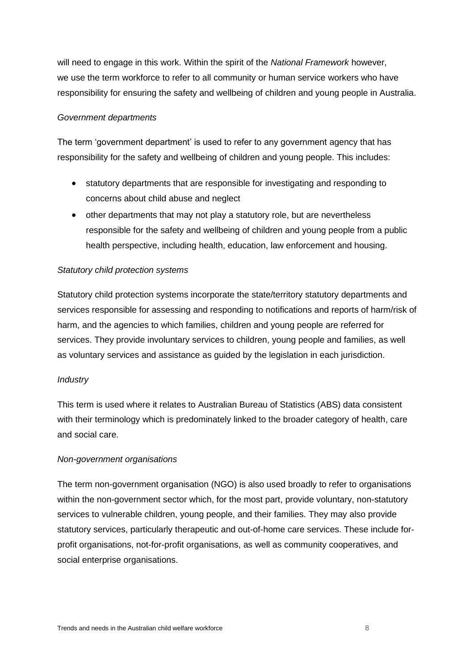will need to engage in this work. Within the spirit of the *National Framework* however, we use the term workforce to refer to all community or human service workers who have responsibility for ensuring the safety and wellbeing of children and young people in Australia.

#### *Government departments*

The term 'government department' is used to refer to any government agency that has responsibility for the safety and wellbeing of children and young people. This includes:

- statutory departments that are responsible for investigating and responding to concerns about child abuse and neglect
- other departments that may not play a statutory role, but are nevertheless responsible for the safety and wellbeing of children and young people from a public health perspective, including health, education, law enforcement and housing.

#### *Statutory child protection systems*

Statutory child protection systems incorporate the state/territory statutory departments and services responsible for assessing and responding to notifications and reports of harm/risk of harm, and the agencies to which families, children and young people are referred for services. They provide involuntary services to children, young people and families, as well as voluntary services and assistance as guided by the legislation in each jurisdiction.

#### *Industry*

This term is used where it relates to Australian Bureau of Statistics (ABS) data consistent with their terminology which is predominately linked to the broader category of health, care and social care.

#### *Non-government organisations*

The term non-government organisation (NGO) is also used broadly to refer to organisations within the non-government sector which, for the most part, provide voluntary, non-statutory services to vulnerable children, young people, and their families. They may also provide statutory services, particularly therapeutic and out-of-home care services. These include forprofit organisations, not-for-profit organisations, as well as community cooperatives, and social enterprise organisations.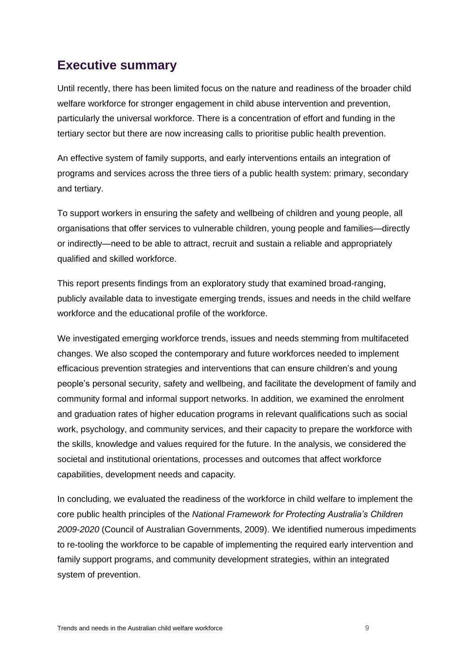# <span id="page-8-0"></span>**Executive summary**

Until recently, there has been limited focus on the nature and readiness of the broader child welfare workforce for stronger engagement in child abuse intervention and prevention, particularly the universal workforce. There is a concentration of effort and funding in the tertiary sector but there are now increasing calls to prioritise public health prevention.

An effective system of family supports, and early interventions entails an integration of programs and services across the three tiers of a public health system: primary, secondary and tertiary.

To support workers in ensuring the safety and wellbeing of children and young people, all organisations that offer services to vulnerable children, young people and families—directly or indirectly—need to be able to attract, recruit and sustain a reliable and appropriately qualified and skilled workforce.

This report presents findings from an exploratory study that examined broad-ranging, publicly available data to investigate emerging trends, issues and needs in the child welfare workforce and the educational profile of the workforce.

We investigated emerging workforce trends, issues and needs stemming from multifaceted changes. We also scoped the contemporary and future workforces needed to implement efficacious prevention strategies and interventions that can ensure children's and young people's personal security, safety and wellbeing, and facilitate the development of family and community formal and informal support networks. In addition, we examined the enrolment and graduation rates of higher education programs in relevant qualifications such as social work, psychology, and community services, and their capacity to prepare the workforce with the skills, knowledge and values required for the future. In the analysis, we considered the societal and institutional orientations, processes and outcomes that affect workforce capabilities, development needs and capacity.

In concluding, we evaluated the readiness of the workforce in child welfare to implement the core public health principles of the *National Framework for Protecting Australia's Children 2009-2020* (Council of Australian Governments, 2009). We identified numerous impediments to re-tooling the workforce to be capable of implementing the required early intervention and family support programs, and community development strategies, within an integrated system of prevention.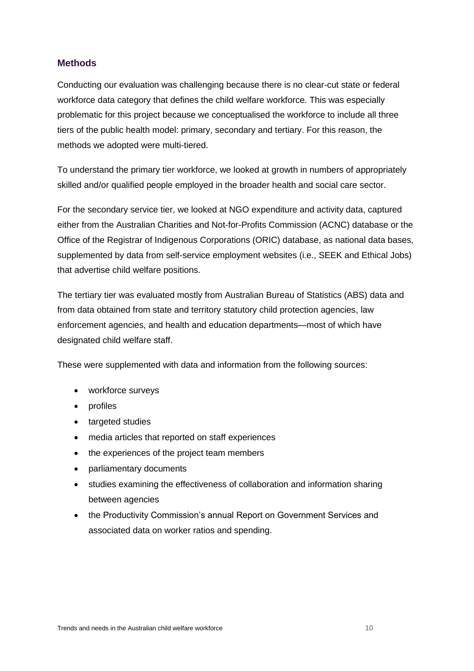## <span id="page-9-0"></span>**Methods**

Conducting our evaluation was challenging because there is no clear-cut state or federal workforce data category that defines the child welfare workforce. This was especially problematic for this project because we conceptualised the workforce to include all three tiers of the public health model: primary, secondary and tertiary. For this reason, the methods we adopted were multi-tiered.

To understand the primary tier workforce, we looked at growth in numbers of appropriately skilled and/or qualified people employed in the broader health and social care sector.

For the secondary service tier, we looked at NGO expenditure and activity data, captured either from the Australian Charities and Not-for-Profits Commission (ACNC) database or the Office of the Registrar of Indigenous Corporations (ORIC) database, as national data bases, supplemented by data from self-service employment websites (i.e., SEEK and Ethical Jobs) that advertise child welfare positions.

The tertiary tier was evaluated mostly from Australian Bureau of Statistics (ABS) data and from data obtained from state and territory statutory child protection agencies, law enforcement agencies, and health and education departments—most of which have designated child welfare staff.

These were supplemented with data and information from the following sources:

- workforce surveys
- profiles
- targeted studies
- media articles that reported on staff experiences
- the experiences of the project team members
- parliamentary documents
- studies examining the effectiveness of collaboration and information sharing between agencies
- the Productivity Commission's annual Report on Government Services and associated data on worker ratios and spending.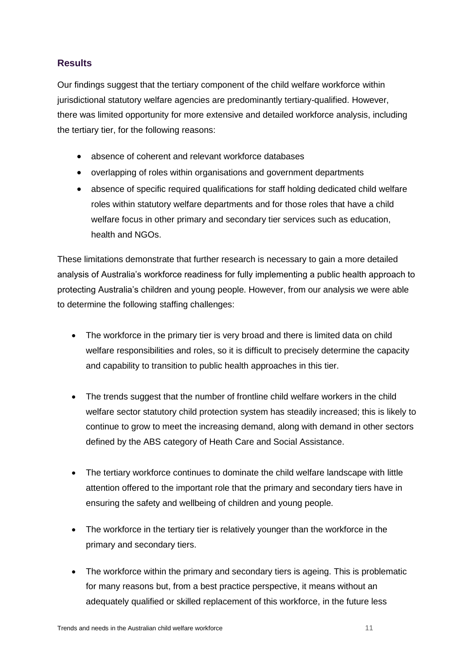## <span id="page-10-0"></span>**Results**

Our findings suggest that the tertiary component of the child welfare workforce within jurisdictional statutory welfare agencies are predominantly tertiary-qualified. However, there was limited opportunity for more extensive and detailed workforce analysis, including the tertiary tier, for the following reasons:

- absence of coherent and relevant workforce databases
- overlapping of roles within organisations and government departments
- absence of specific required qualifications for staff holding dedicated child welfare roles within statutory welfare departments and for those roles that have a child welfare focus in other primary and secondary tier services such as education, health and NGOs.

These limitations demonstrate that further research is necessary to gain a more detailed analysis of Australia's workforce readiness for fully implementing a public health approach to protecting Australia's children and young people. However, from our analysis we were able to determine the following staffing challenges:

- The workforce in the primary tier is very broad and there is limited data on child welfare responsibilities and roles, so it is difficult to precisely determine the capacity and capability to transition to public health approaches in this tier.
- The trends suggest that the number of frontline child welfare workers in the child welfare sector statutory child protection system has steadily increased; this is likely to continue to grow to meet the increasing demand, along with demand in other sectors defined by the ABS category of Heath Care and Social Assistance.
- The tertiary workforce continues to dominate the child welfare landscape with little attention offered to the important role that the primary and secondary tiers have in ensuring the safety and wellbeing of children and young people.
- The workforce in the tertiary tier is relatively younger than the workforce in the primary and secondary tiers.
- The workforce within the primary and secondary tiers is ageing. This is problematic for many reasons but, from a best practice perspective, it means without an adequately qualified or skilled replacement of this workforce, in the future less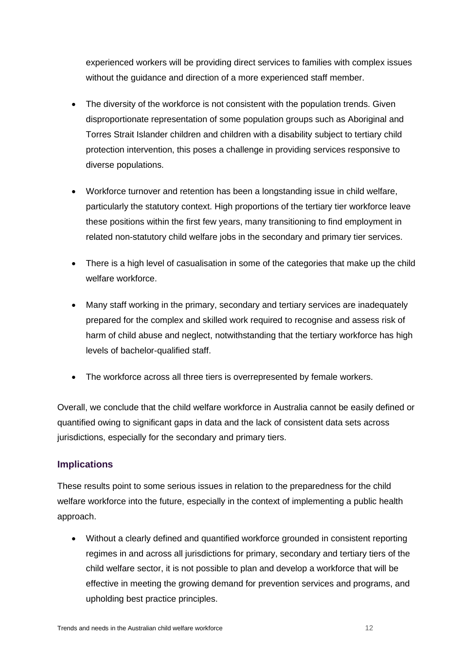experienced workers will be providing direct services to families with complex issues without the guidance and direction of a more experienced staff member.

- The diversity of the workforce is not consistent with the population trends. Given disproportionate representation of some population groups such as Aboriginal and Torres Strait Islander children and children with a disability subject to tertiary child protection intervention, this poses a challenge in providing services responsive to diverse populations.
- Workforce turnover and retention has been a longstanding issue in child welfare, particularly the statutory context. High proportions of the tertiary tier workforce leave these positions within the first few years, many transitioning to find employment in related non-statutory child welfare jobs in the secondary and primary tier services.
- There is a high level of casualisation in some of the categories that make up the child welfare workforce.
- Many staff working in the primary, secondary and tertiary services are inadequately prepared for the complex and skilled work required to recognise and assess risk of harm of child abuse and neglect, notwithstanding that the tertiary workforce has high levels of bachelor-qualified staff.
- The workforce across all three tiers is overrepresented by female workers.

Overall, we conclude that the child welfare workforce in Australia cannot be easily defined or quantified owing to significant gaps in data and the lack of consistent data sets across jurisdictions, especially for the secondary and primary tiers.

## <span id="page-11-0"></span>**Implications**

These results point to some serious issues in relation to the preparedness for the child welfare workforce into the future, especially in the context of implementing a public health approach.

• Without a clearly defined and quantified workforce grounded in consistent reporting regimes in and across all jurisdictions for primary, secondary and tertiary tiers of the child welfare sector, it is not possible to plan and develop a workforce that will be effective in meeting the growing demand for prevention services and programs, and upholding best practice principles.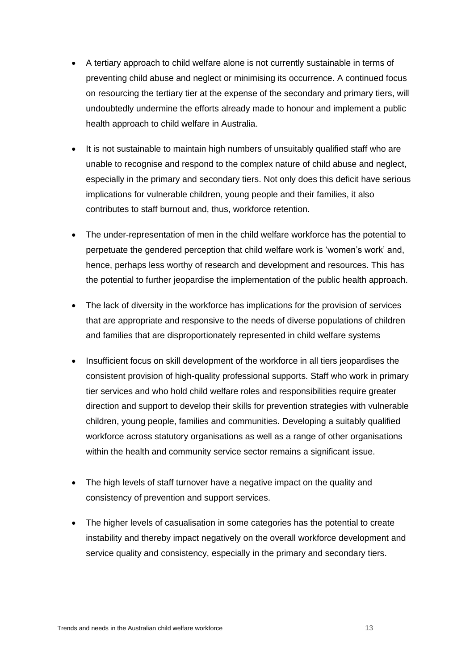- A tertiary approach to child welfare alone is not currently sustainable in terms of preventing child abuse and neglect or minimising its occurrence. A continued focus on resourcing the tertiary tier at the expense of the secondary and primary tiers, will undoubtedly undermine the efforts already made to honour and implement a public health approach to child welfare in Australia.
- It is not sustainable to maintain high numbers of unsuitably qualified staff who are unable to recognise and respond to the complex nature of child abuse and neglect, especially in the primary and secondary tiers. Not only does this deficit have serious implications for vulnerable children, young people and their families, it also contributes to staff burnout and, thus, workforce retention.
- The under-representation of men in the child welfare workforce has the potential to perpetuate the gendered perception that child welfare work is 'women's work' and, hence, perhaps less worthy of research and development and resources. This has the potential to further jeopardise the implementation of the public health approach.
- The lack of diversity in the workforce has implications for the provision of services that are appropriate and responsive to the needs of diverse populations of children and families that are disproportionately represented in child welfare systems
- Insufficient focus on skill development of the workforce in all tiers jeopardises the consistent provision of high-quality professional supports. Staff who work in primary tier services and who hold child welfare roles and responsibilities require greater direction and support to develop their skills for prevention strategies with vulnerable children, young people, families and communities. Developing a suitably qualified workforce across statutory organisations as well as a range of other organisations within the health and community service sector remains a significant issue.
- The high levels of staff turnover have a negative impact on the quality and consistency of prevention and support services.
- The higher levels of casualisation in some categories has the potential to create instability and thereby impact negatively on the overall workforce development and service quality and consistency, especially in the primary and secondary tiers.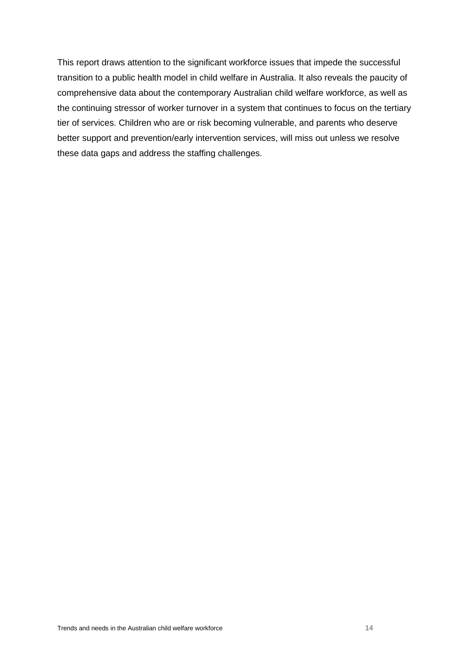This report draws attention to the significant workforce issues that impede the successful transition to a public health model in child welfare in Australia. It also reveals the paucity of comprehensive data about the contemporary Australian child welfare workforce, as well as the continuing stressor of worker turnover in a system that continues to focus on the tertiary tier of services. Children who are or risk becoming vulnerable, and parents who deserve better support and prevention/early intervention services, will miss out unless we resolve these data gaps and address the staffing challenges.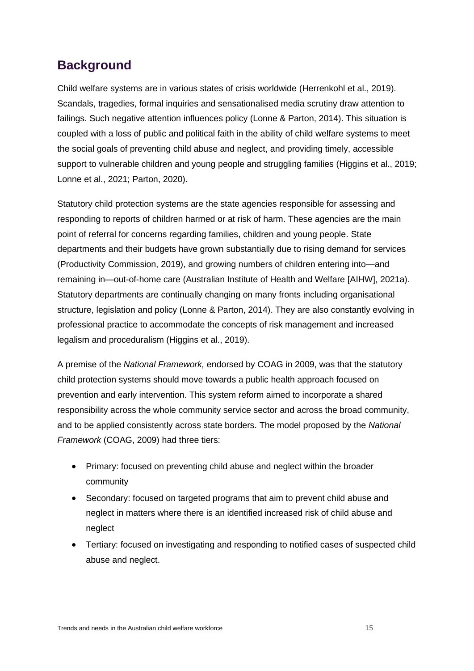# <span id="page-14-0"></span>**Background**

Child welfare systems are in various states of crisis worldwide (Herrenkohl et al., 2019). Scandals, tragedies, formal inquiries and sensationalised media scrutiny draw attention to failings. Such negative attention influences policy (Lonne & Parton, 2014). This situation is coupled with a loss of public and political faith in the ability of child welfare systems to meet the social goals of preventing child abuse and neglect, and providing timely, accessible support to vulnerable children and young people and struggling families (Higgins et al., 2019; Lonne et al., 2021; Parton, 2020).

Statutory child protection systems are the state agencies responsible for assessing and responding to reports of children harmed or at risk of harm. These agencies are the main point of referral for concerns regarding families, children and young people. State departments and their budgets have grown substantially due to rising demand for services (Productivity Commission, 2019), and growing numbers of children entering into—and remaining in—out-of-home care (Australian Institute of Health and Welfare [AIHW], 2021a). Statutory departments are continually changing on many fronts including organisational structure, legislation and policy (Lonne & Parton, 2014). They are also constantly evolving in professional practice to accommodate the concepts of risk management and increased legalism and proceduralism (Higgins et al., 2019).

A premise of the *National Framework,* endorsed by COAG in 2009, was that the statutory child protection systems should move towards a public health approach focused on prevention and early intervention. This system reform aimed to incorporate a shared responsibility across the whole community service sector and across the broad community, and to be applied consistently across state borders. The model proposed by the *National Framework* (COAG, 2009) had three tiers:

- Primary: focused on preventing child abuse and neglect within the broader community
- Secondary: focused on targeted programs that aim to prevent child abuse and neglect in matters where there is an identified increased risk of child abuse and neglect
- Tertiary: focused on investigating and responding to notified cases of suspected child abuse and neglect.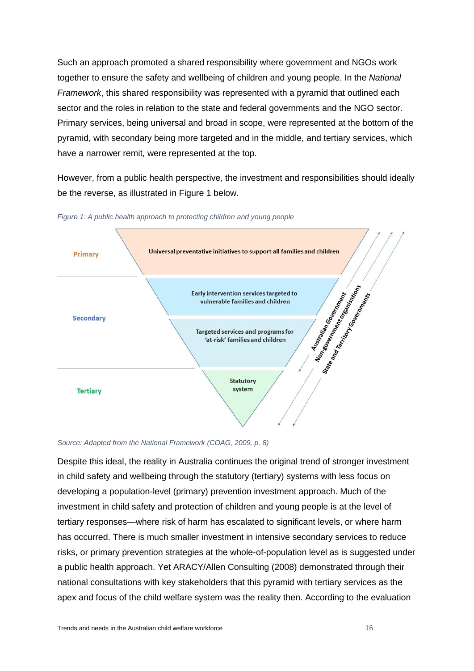Such an approach promoted a shared responsibility where government and NGOs work together to ensure the safety and wellbeing of children and young people. In the *National Framework*, this shared responsibility was represented with a pyramid that outlined each sector and the roles in relation to the state and federal governments and the NGO sector. Primary services, being universal and broad in scope, were represented at the bottom of the pyramid, with secondary being more targeted and in the middle, and tertiary services, which have a narrower remit, were represented at the top.

However, from a public health perspective, the investment and responsibilities should ideally be the reverse, as illustrated in Figure 1 below.



<span id="page-15-0"></span>*Figure 1: A public health approach to protecting children and young people*

#### *Source: Adapted from the National Framework (COAG, 2009, p. 8)*

Despite this ideal, the reality in Australia continues the original trend of stronger investment in child safety and wellbeing through the statutory (tertiary) systems with less focus on developing a population-level (primary) prevention investment approach. Much of the investment in child safety and protection of children and young people is at the level of tertiary responses—where risk of harm has escalated to significant levels, or where harm has occurred. There is much smaller investment in intensive secondary services to reduce risks, or primary prevention strategies at the whole-of-population level as is suggested under a public health approach. Yet ARACY/Allen Consulting (2008) demonstrated through their national consultations with key stakeholders that this pyramid with tertiary services as the apex and focus of the child welfare system was the reality then. According to the evaluation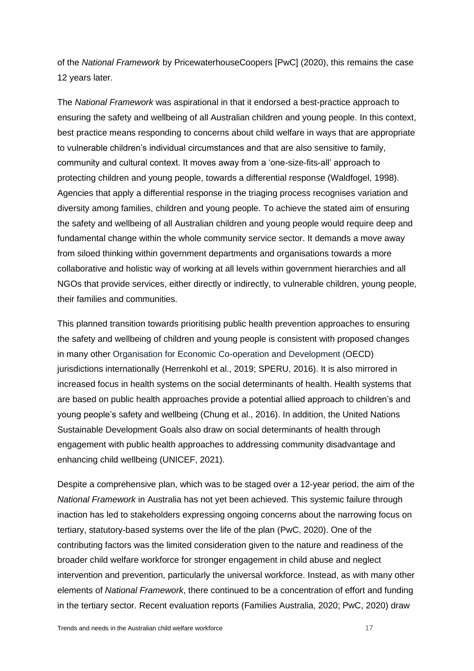of the *National Framework* by PricewaterhouseCoopers [PwC] (2020), this remains the case 12 years later.

The *National Framework* was aspirational in that it endorsed a best-practice approach to ensuring the safety and wellbeing of all Australian children and young people. In this context, best practice means responding to concerns about child welfare in ways that are appropriate to vulnerable children's individual circumstances and that are also sensitive to family, community and cultural context. It moves away from a 'one-size-fits-all' approach to protecting children and young people, towards a differential response (Waldfogel, 1998). Agencies that apply a differential response in the triaging process recognises variation and diversity among families, children and young people. To achieve the stated aim of ensuring the safety and wellbeing of all Australian children and young people would require deep and fundamental change within the whole community service sector. It demands a move away from siloed thinking within government departments and organisations towards a more collaborative and holistic way of working at all levels within government hierarchies and all NGOs that provide services, either directly or indirectly, to vulnerable children, young people, their families and communities.

This planned transition towards prioritising public health prevention approaches to ensuring the safety and wellbeing of children and young people is consistent with proposed changes in many other Organisation for Economic Co-operation and Development (OECD) jurisdictions internationally (Herrenkohl et al., 2019; SPERU, 2016). It is also mirrored in increased focus in health systems on the social determinants of health. Health systems that are based on public health approaches provide a potential allied approach to children's and young people's safety and wellbeing (Chung et al., 2016). In addition, the United Nations Sustainable Development Goals also draw on social determinants of health through engagement with public health approaches to addressing community disadvantage and enhancing child wellbeing (UNICEF, 2021).

Despite a comprehensive plan, which was to be staged over a 12-year period, the aim of the *National Framework* in Australia has not yet been achieved. This systemic failure through inaction has led to stakeholders expressing ongoing concerns about the narrowing focus on tertiary, statutory-based systems over the life of the plan (PwC, 2020). One of the contributing factors was the limited consideration given to the nature and readiness of the broader child welfare workforce for stronger engagement in child abuse and neglect intervention and prevention, particularly the universal workforce. Instead, as with many other elements of *National Framework*, there continued to be a concentration of effort and funding in the tertiary sector. Recent evaluation reports (Families Australia, 2020; PwC, 2020) draw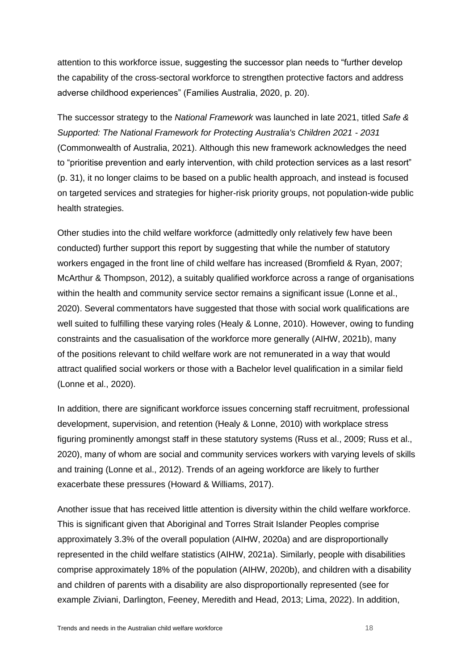attention to this workforce issue, suggesting the successor plan needs to "further develop the capability of the cross-sectoral workforce to strengthen protective factors and address adverse childhood experiences" (Families Australia, 2020, p. 20).

The successor strategy to the *National Framework* was launched in late 2021, titled *Safe & Supported: The National Framework for Protecting Australia's Children 2021 - 2031* (Commonwealth of Australia, 2021). Although this new framework acknowledges the need to "prioritise prevention and early intervention, with child protection services as a last resort" (p. 31), it no longer claims to be based on a public health approach, and instead is focused on targeted services and strategies for higher-risk priority groups, not population-wide public health strategies.

Other studies into the child welfare workforce (admittedly only relatively few have been conducted) further support this report by suggesting that while the number of statutory workers engaged in the front line of child welfare has increased (Bromfield & Ryan, 2007; McArthur & Thompson, 2012), a suitably qualified workforce across a range of organisations within the health and community service sector remains a significant issue (Lonne et al., 2020). Several commentators have suggested that those with social work qualifications are well suited to fulfilling these varying roles (Healy & Lonne, 2010). However, owing to funding constraints and the casualisation of the workforce more generally (AIHW, 2021b), many of the positions relevant to child welfare work are not remunerated in a way that would attract qualified social workers or those with a Bachelor level qualification in a similar field (Lonne et al., 2020).

In addition, there are significant workforce issues concerning staff recruitment, professional development, supervision, and retention (Healy & Lonne, 2010) with workplace stress figuring prominently amongst staff in these statutory systems (Russ et al., 2009; Russ et al., 2020), many of whom are social and community services workers with varying levels of skills and training (Lonne et al., 2012). Trends of an ageing workforce are likely to further exacerbate these pressures (Howard & Williams, 2017).

Another issue that has received little attention is diversity within the child welfare workforce. This is significant given that Aboriginal and Torres Strait Islander Peoples comprise approximately 3.3% of the overall population (AIHW, 2020a) and are disproportionally represented in the child welfare statistics (AIHW, 2021a). Similarly, people with disabilities comprise approximately 18% of the population (AIHW, 2020b), and children with a disability and children of parents with a disability are also disproportionally represented (see for example Ziviani, Darlington, Feeney, Meredith and Head, 2013; Lima, 2022). In addition,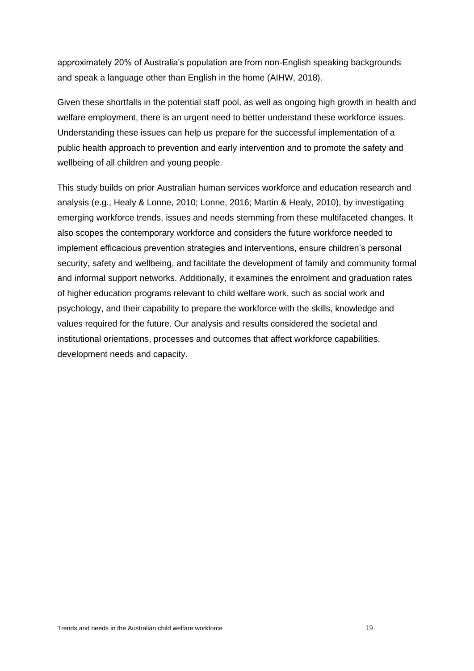approximately 20% of Australia's population are from non-English speaking backgrounds and speak a language other than English in the home (AIHW, 2018).

Given these shortfalls in the potential staff pool, as well as ongoing high growth in health and welfare employment, there is an urgent need to better understand these workforce issues. Understanding these issues can help us prepare for the successful implementation of a public health approach to prevention and early intervention and to promote the safety and wellbeing of all children and young people.

This study builds on prior Australian human services workforce and education research and analysis (e.g., Healy & Lonne, 2010; Lonne, 2016; Martin & Healy, 2010), by investigating emerging workforce trends, issues and needs stemming from these multifaceted changes. It also scopes the contemporary workforce and considers the future workforce needed to implement efficacious prevention strategies and interventions, ensure children's personal security, safety and wellbeing, and facilitate the development of family and community formal and informal support networks. Additionally, it examines the enrolment and graduation rates of higher education programs relevant to child welfare work, such as social work and psychology, and their capability to prepare the workforce with the skills, knowledge and values required for the future. Our analysis and results considered the societal and institutional orientations, processes and outcomes that affect workforce capabilities, development needs and capacity.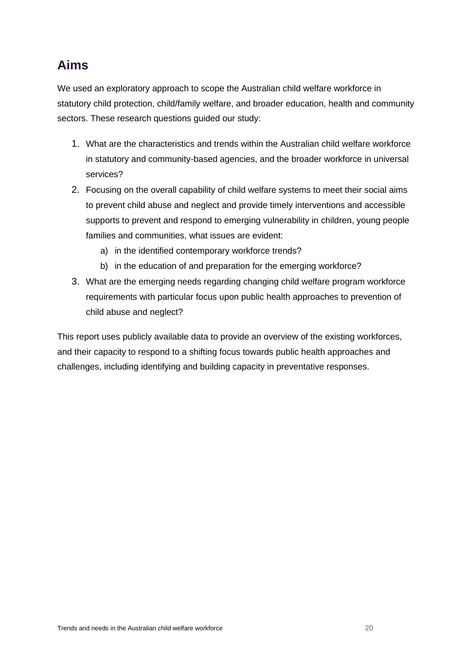# <span id="page-19-0"></span>**Aims**

We used an exploratory approach to scope the Australian child welfare workforce in statutory child protection, child/family welfare, and broader education, health and community sectors. These research questions guided our study:

- 1. What are the characteristics and trends within the Australian child welfare workforce in statutory and community-based agencies, and the broader workforce in universal services?
- 2. Focusing on the overall capability of child welfare systems to meet their social aims to prevent child abuse and neglect and provide timely interventions and accessible supports to prevent and respond to emerging vulnerability in children, young people families and communities, what issues are evident:
	- a) in the identified contemporary workforce trends?
	- b) in the education of and preparation for the emerging workforce?
- 3. What are the emerging needs regarding changing child welfare program workforce requirements with particular focus upon public health approaches to prevention of child abuse and neglect?

This report uses publicly available data to provide an overview of the existing workforces, and their capacity to respond to a shifting focus towards public health approaches and challenges, including identifying and building capacity in preventative responses.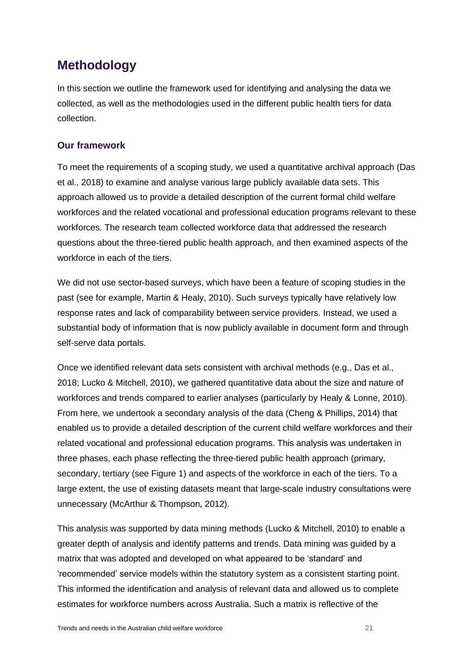# <span id="page-20-0"></span>**Methodology**

In this section we outline the framework used for identifying and analysing the data we collected, as well as the methodologies used in the different public health tiers for data collection.

## <span id="page-20-1"></span>**Our framework**

To meet the requirements of a scoping study, we used a quantitative archival approach (Das et al., 2018) to examine and analyse various large publicly available data sets. This approach allowed us to provide a detailed description of the current formal child welfare workforces and the related vocational and professional education programs relevant to these workforces. The research team collected workforce data that addressed the research questions about the three-tiered public health approach, and then examined aspects of the workforce in each of the tiers.

We did not use sector-based surveys, which have been a feature of scoping studies in the past (see for example, Martin & Healy, 2010). Such surveys typically have relatively low response rates and lack of comparability between service providers. Instead, we used a substantial body of information that is now publicly available in document form and through self-serve data portals.

Once we identified relevant data sets consistent with archival methods (e.g., Das et al., 2018; Lucko & Mitchell, 2010), we gathered quantitative data about the size and nature of workforces and trends compared to earlier analyses (particularly by Healy & Lonne, 2010). From here, we undertook a secondary analysis of the data (Cheng & Phillips, 2014) that enabled us to provide a detailed description of the current child welfare workforces and their related vocational and professional education programs. This analysis was undertaken in three phases, each phase reflecting the three-tiered public health approach (primary, secondary, tertiary (see [Figure 1\)](#page-15-0) and aspects of the workforce in each of the tiers. To a large extent, the use of existing datasets meant that large-scale industry consultations were unnecessary (McArthur & Thompson, 2012).

This analysis was supported by data mining methods (Lucko & Mitchell, 2010) to enable a greater depth of analysis and identify patterns and trends. Data mining was guided by a matrix that was adopted and developed on what appeared to be 'standard' and 'recommended' service models within the statutory system as a consistent starting point. This informed the identification and analysis of relevant data and allowed us to complete estimates for workforce numbers across Australia. Such a matrix is reflective of the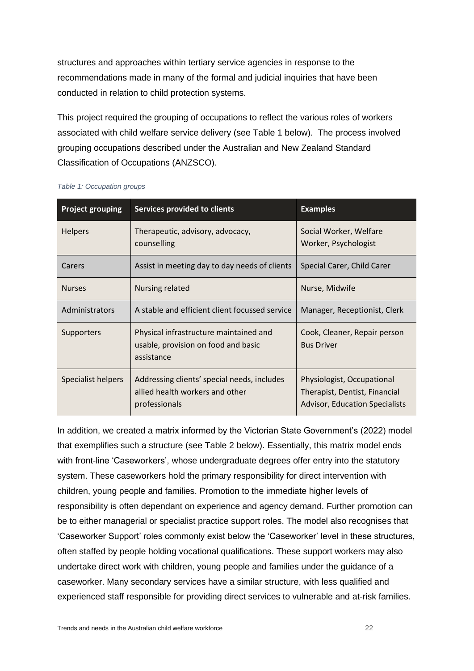structures and approaches within tertiary service agencies in response to the recommendations made in many of the formal and judicial inquiries that have been conducted in relation to child protection systems.

This project required the grouping of occupations to reflect the various roles of workers associated with child welfare service delivery (see Table 1 below). The process involved grouping occupations described under the Australian and New Zealand Standard Classification of Occupations (ANZSCO).

| <b>Project grouping</b> | <b>Services provided to clients</b>                                                               | <b>Examples</b>                                                                                      |
|-------------------------|---------------------------------------------------------------------------------------------------|------------------------------------------------------------------------------------------------------|
| <b>Helpers</b>          | Therapeutic, advisory, advocacy,<br>Social Worker, Welfare<br>counselling<br>Worker, Psychologist |                                                                                                      |
| Carers                  | Assist in meeting day to day needs of clients                                                     | Special Carer, Child Carer                                                                           |
| <b>Nurses</b>           | Nursing related                                                                                   | Nurse, Midwife                                                                                       |
| Administrators          | A stable and efficient client focussed service                                                    | Manager, Receptionist, Clerk                                                                         |
| <b>Supporters</b>       | Physical infrastructure maintained and<br>usable, provision on food and basic<br>assistance       | Cook, Cleaner, Repair person<br><b>Bus Driver</b>                                                    |
| Specialist helpers      | Addressing clients' special needs, includes<br>allied health workers and other<br>professionals   | Physiologist, Occupational<br>Therapist, Dentist, Financial<br><b>Advisor, Education Specialists</b> |

#### <span id="page-21-0"></span>*Table 1: Occupation groups*

In addition, we created a matrix informed by the Victorian State Government's (2022) model that exemplifies such a structure (see Table 2 below). Essentially, this matrix model ends with front-line 'Caseworkers', whose undergraduate degrees offer entry into the statutory system. These caseworkers hold the primary responsibility for direct intervention with children, young people and families. Promotion to the immediate higher levels of responsibility is often dependant on experience and agency demand. Further promotion can be to either managerial or specialist practice support roles. The model also recognises that 'Caseworker Support' roles commonly exist below the 'Caseworker' level in these structures, often staffed by people holding vocational qualifications. These support workers may also undertake direct work with children, young people and families under the guidance of a caseworker. Many secondary services have a similar structure, with less qualified and experienced staff responsible for providing direct services to vulnerable and at-risk families.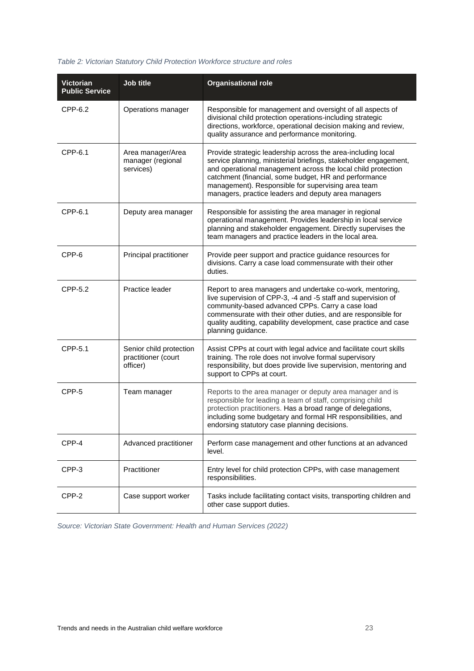#### <span id="page-22-0"></span>*Table 2: Victorian Statutory Child Protection Workforce structure and roles*

| <b>Victorian</b><br><b>Public Service</b> | Job title                                                  | <b>Organisational role</b>                                                                                                                                                                                                                                                                                                                                             |
|-------------------------------------------|------------------------------------------------------------|------------------------------------------------------------------------------------------------------------------------------------------------------------------------------------------------------------------------------------------------------------------------------------------------------------------------------------------------------------------------|
| CPP-6.2                                   | Operations manager                                         | Responsible for management and oversight of all aspects of<br>divisional child protection operations-including strategic<br>directions, workforce, operational decision making and review,<br>quality assurance and performance monitoring.                                                                                                                            |
| CPP-6.1                                   | Area manager/Area<br>manager (regional<br>services)        | Provide strategic leadership across the area-including local<br>service planning, ministerial briefings, stakeholder engagement,<br>and operational management across the local child protection<br>catchment (financial, some budget, HR and performance<br>management). Responsible for supervising area team<br>managers, practice leaders and deputy area managers |
| CPP-6.1                                   | Deputy area manager                                        | Responsible for assisting the area manager in regional<br>operational management. Provides leadership in local service<br>planning and stakeholder engagement. Directly supervises the<br>team managers and practice leaders in the local area.                                                                                                                        |
| CPP-6                                     | Principal practitioner                                     | Provide peer support and practice guidance resources for<br>divisions. Carry a case load commensurate with their other<br>duties.                                                                                                                                                                                                                                      |
| CPP-5.2                                   | Practice leader                                            | Report to area managers and undertake co-work, mentoring,<br>live supervision of CPP-3, -4 and -5 staff and supervision of<br>community-based advanced CPPs. Carry a case load<br>commensurate with their other duties, and are responsible for<br>quality auditing, capability development, case practice and case<br>planning guidance.                              |
| CPP-5.1                                   | Senior child protection<br>practitioner (court<br>officer) | Assist CPPs at court with legal advice and facilitate court skills<br>training. The role does not involve formal supervisory<br>responsibility, but does provide live supervision, mentoring and<br>support to CPPs at court.                                                                                                                                          |
| CPP-5                                     | Team manager                                               | Reports to the area manager or deputy area manager and is<br>responsible for leading a team of staff, comprising child<br>protection practitioners. Has a broad range of delegations,<br>including some budgetary and formal HR responsibilities, and<br>endorsing statutory case planning decisions.                                                                  |
| CPP-4                                     | Advanced practitioner                                      | Perform case management and other functions at an advanced<br>level.                                                                                                                                                                                                                                                                                                   |
| CPP-3                                     | Practitioner                                               | Entry level for child protection CPPs, with case management<br>responsibilities.                                                                                                                                                                                                                                                                                       |
| CPP-2                                     | Case support worker                                        | Tasks include facilitating contact visits, transporting children and<br>other case support duties.                                                                                                                                                                                                                                                                     |

*Source: Victorian State Government: Health and Human Services (2022)*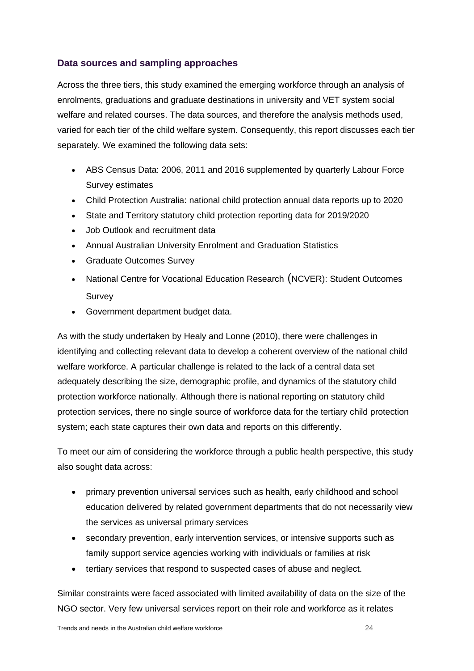## <span id="page-23-0"></span>**Data sources and sampling approaches**

Across the three tiers, this study examined the emerging workforce through an analysis of enrolments, graduations and graduate destinations in university and VET system social welfare and related courses. The data sources, and therefore the analysis methods used, varied for each tier of the child welfare system. Consequently, this report discusses each tier separately. We examined the following data sets:

- ABS Census Data: 2006, 2011 and 2016 supplemented by quarterly Labour Force Survey estimates
- Child Protection Australia: national child protection annual data reports up to 2020
- State and Territory statutory child protection reporting data for 2019/2020
- Job Outlook and recruitment data
- Annual Australian University Enrolment and Graduation Statistics
- Graduate Outcomes Survey
- National Centre for Vocational Education Research (NCVER): Student Outcomes Survey
- Government department budget data.

As with the study undertaken by Healy and Lonne (2010), there were challenges in identifying and collecting relevant data to develop a coherent overview of the national child welfare workforce. A particular challenge is related to the lack of a central data set adequately describing the size, demographic profile, and dynamics of the statutory child protection workforce nationally. Although there is national reporting on statutory child protection services, there no single source of workforce data for the tertiary child protection system; each state captures their own data and reports on this differently.

To meet our aim of considering the workforce through a public health perspective, this study also sought data across:

- primary prevention universal services such as health, early childhood and school education delivered by related government departments that do not necessarily view the services as universal primary services
- secondary prevention, early intervention services, or intensive supports such as family support service agencies working with individuals or families at risk
- tertiary services that respond to suspected cases of abuse and neglect.

Similar constraints were faced associated with limited availability of data on the size of the NGO sector. Very few universal services report on their role and workforce as it relates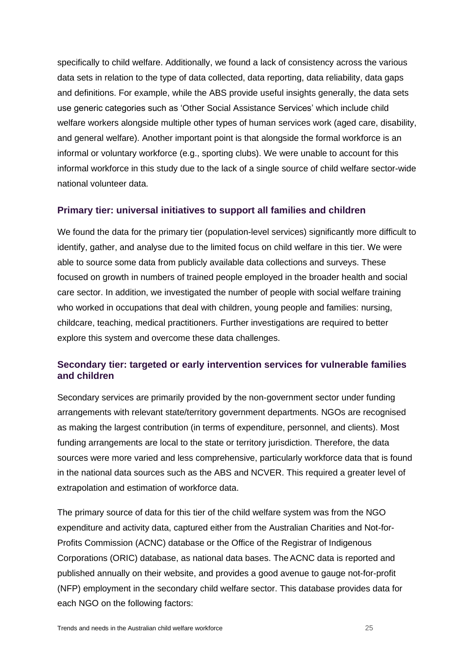specifically to child welfare. Additionally, we found a lack of consistency across the various data sets in relation to the type of data collected, data reporting, data reliability, data gaps and definitions. For example, while the ABS provide useful insights generally, the data sets use generic categories such as 'Other Social Assistance Services' which include child welfare workers alongside multiple other types of human services work (aged care, disability, and general welfare). Another important point is that alongside the formal workforce is an informal or voluntary workforce (e.g., sporting clubs). We were unable to account for this informal workforce in this study due to the lack of a single source of child welfare sector-wide national volunteer data.

#### <span id="page-24-0"></span>**Primary tier: universal initiatives to support all families and children**

We found the data for the primary tier (population-level services) significantly more difficult to identify, gather, and analyse due to the limited focus on child welfare in this tier. We were able to source some data from publicly available data collections and surveys. These focused on growth in numbers of trained people employed in the broader health and social care sector. In addition, we investigated the number of people with social welfare training who worked in occupations that deal with children, young people and families: nursing, childcare, teaching, medical practitioners. Further investigations are required to better explore this system and overcome these data challenges.

#### <span id="page-24-1"></span>**Secondary tier: targeted or early intervention services for vulnerable families and children**

Secondary services are primarily provided by the non-government sector under funding arrangements with relevant state/territory government departments. NGOs are recognised as making the largest contribution (in terms of expenditure, personnel, and clients). Most funding arrangements are local to the state or territory jurisdiction. Therefore, the data sources were more varied and less comprehensive, particularly workforce data that is found in the national data sources such as the ABS and NCVER. This required a greater level of extrapolation and estimation of workforce data.

The primary source of data for this tier of the child welfare system was from the NGO expenditure and activity data, captured either from the Australian Charities and Not-for-Profits Commission (ACNC) database or the Office of the Registrar of Indigenous Corporations (ORIC) database, as national data bases. TheACNC data is reported and published annually on their website, and provides a good avenue to gauge not-for-profit (NFP) employment in the secondary child welfare sector. This database provides data for each NGO on the following factors: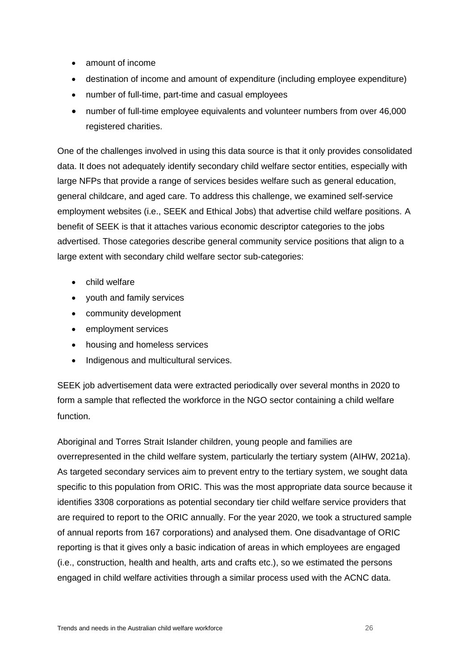- amount of income
- destination of income and amount of expenditure (including employee expenditure)
- number of full-time, part-time and casual employees
- number of full-time employee equivalents and volunteer numbers from over 46,000 registered charities.

One of the challenges involved in using this data source is that it only provides consolidated data. It does not adequately identify secondary child welfare sector entities, especially with large NFPs that provide a range of services besides welfare such as general education, general childcare, and aged care. To address this challenge, we examined self-service employment websites (i.e., SEEK and Ethical Jobs) that advertise child welfare positions. A benefit of SEEK is that it attaches various economic descriptor categories to the jobs advertised. Those categories describe general community service positions that align to a large extent with secondary child welfare sector sub-categories:

- child welfare
- youth and family services
- community development
- employment services
- housing and homeless services
- Indigenous and multicultural services.

SEEK job advertisement data were extracted periodically over several months in 2020 to form a sample that reflected the workforce in the NGO sector containing a child welfare function.

Aboriginal and Torres Strait Islander children, young people and families are overrepresented in the child welfare system, particularly the tertiary system (AIHW, 2021a). As targeted secondary services aim to prevent entry to the tertiary system, we sought data specific to this population from ORIC. This was the most appropriate data source because it identifies 3308 corporations as potential secondary tier child welfare service providers that are required to report to the ORIC annually. For the year 2020, we took a structured sample of annual reports from 167 corporations) and analysed them. One disadvantage of ORIC reporting is that it gives only a basic indication of areas in which employees are engaged (i.e., construction, health and health, arts and crafts etc.), so we estimated the persons engaged in child welfare activities through a similar process used with the ACNC data.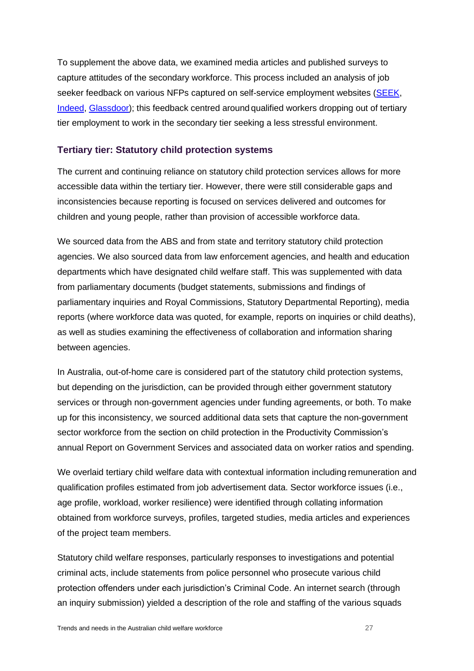To supplement the above data, we examined media articles and published surveys to capture attitudes of the secondary workforce. This process included an analysis of job seeker feedback on various NFPs captured on self-service employment websites [\(SEEK,](https://www.seek.com.au/) [Indeed,](https://au.indeed.com/) [Glassdoor\)](https://www.glassdoor.com.au/index.htm); this feedback centred around qualified workers dropping out of tertiary tier employment to work in the secondary tier seeking a less stressful environment.

#### <span id="page-26-0"></span>**Tertiary tier: Statutory child protection systems**

The current and continuing reliance on statutory child protection services allows for more accessible data within the tertiary tier. However, there were still considerable gaps and inconsistencies because reporting is focused on services delivered and outcomes for children and young people, rather than provision of accessible workforce data.

We sourced data from the ABS and from state and territory statutory child protection agencies. We also sourced data from law enforcement agencies, and health and education departments which have designated child welfare staff. This was supplemented with data from parliamentary documents (budget statements, submissions and findings of parliamentary inquiries and Royal Commissions, Statutory Departmental Reporting), media reports (where workforce data was quoted, for example, reports on inquiries or child deaths), as well as studies examining the effectiveness of collaboration and information sharing between agencies.

In Australia, out-of-home care is considered part of the statutory child protection systems, but depending on the jurisdiction, can be provided through either government statutory services or through non-government agencies under funding agreements, or both. To make up for this inconsistency, we sourced additional data sets that capture the non-government sector workforce from the section on child protection in the Productivity Commission's annual Report on Government Services and associated data on worker ratios and spending.

We overlaid tertiary child welfare data with contextual information including remuneration and qualification profiles estimated from job advertisement data. Sector workforce issues (i.e., age profile, workload, worker resilience) were identified through collating information obtained from workforce surveys, profiles, targeted studies, media articles and experiences of the project team members.

Statutory child welfare responses, particularly responses to investigations and potential criminal acts, include statements from police personnel who prosecute various child protection offenders under each jurisdiction's Criminal Code. An internet search (through an inquiry submission) yielded a description of the role and staffing of the various squads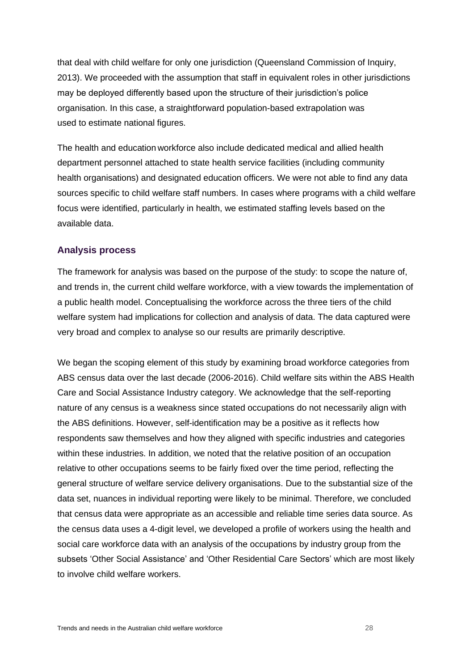that deal with child welfare for only one jurisdiction (Queensland Commission of Inquiry, 2013). We proceeded with the assumption that staff in equivalent roles in other jurisdictions may be deployed differently based upon the structure of their jurisdiction's police organisation. In this case, a straightforward population-based extrapolation was used to estimate national figures.

The health and education workforce also include dedicated medical and allied health department personnel attached to state health service facilities (including community health organisations) and designated education officers. We were not able to find any data sources specific to child welfare staff numbers. In cases where programs with a child welfare focus were identified, particularly in health, we estimated staffing levels based on the available data.

#### <span id="page-27-0"></span>**Analysis process**

The framework for analysis was based on the purpose of the study: to scope the nature of, and trends in, the current child welfare workforce, with a view towards the implementation of a public health model. Conceptualising the workforce across the three tiers of the child welfare system had implications for collection and analysis of data. The data captured were very broad and complex to analyse so our results are primarily descriptive.

We began the scoping element of this study by examining broad workforce categories from ABS census data over the last decade (2006-2016). Child welfare sits within the ABS Health Care and Social Assistance Industry category. We acknowledge that the self-reporting nature of any census is a weakness since stated occupations do not necessarily align with the ABS definitions. However, self-identification may be a positive as it reflects how respondents saw themselves and how they aligned with specific industries and categories within these industries. In addition, we noted that the relative position of an occupation relative to other occupations seems to be fairly fixed over the time period, reflecting the general structure of welfare service delivery organisations. Due to the substantial size of the data set, nuances in individual reporting were likely to be minimal. Therefore, we concluded that census data were appropriate as an accessible and reliable time series data source. As the census data uses a 4-digit level, we developed a profile of workers using the health and social care workforce data with an analysis of the occupations by industry group from the subsets 'Other Social Assistance' and 'Other Residential Care Sectors' which are most likely to involve child welfare workers.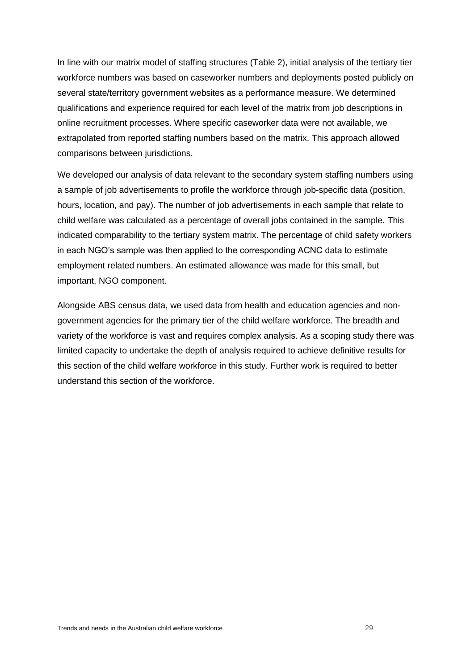In line with our matrix model of staffing structures [\(Table 2\)](#page-22-0), initial analysis of the tertiary tier workforce numbers was based on caseworker numbers and deployments posted publicly on several state/territory government websites as a performance measure. We determined qualifications and experience required for each level of the matrix from job descriptions in online recruitment processes. Where specific caseworker data were not available, we extrapolated from reported staffing numbers based on the matrix. This approach allowed comparisons between jurisdictions.

We developed our analysis of data relevant to the secondary system staffing numbers using a sample of job advertisements to profile the workforce through job-specific data (position, hours, location, and pay). The number of job advertisements in each sample that relate to child welfare was calculated as a percentage of overall jobs contained in the sample. This indicated comparability to the tertiary system matrix. The percentage of child safety workers in each NGO's sample was then applied to the corresponding ACNC data to estimate employment related numbers. An estimated allowance was made for this small, but important, NGO component.

Alongside ABS census data, we used data from health and education agencies and nongovernment agencies for the primary tier of the child welfare workforce. The breadth and variety of the workforce is vast and requires complex analysis. As a scoping study there was limited capacity to undertake the depth of analysis required to achieve definitive results for this section of the child welfare workforce in this study. Further work is required to better understand this section of the workforce.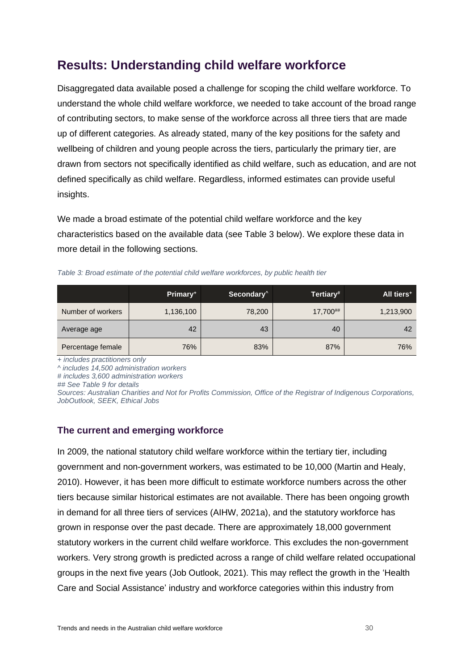# <span id="page-29-0"></span>**Results: Understanding child welfare workforce**

Disaggregated data available posed a challenge for scoping the child welfare workforce. To understand the whole child welfare workforce, we needed to take account of the broad range of contributing sectors, to make sense of the workforce across all three tiers that are made up of different categories. As already stated, many of the key positions for the safety and wellbeing of children and young people across the tiers, particularly the primary tier, are drawn from sectors not specifically identified as child welfare, such as education, and are not defined specifically as child welfare. Regardless, informed estimates can provide useful insights.

We made a broad estimate of the potential child welfare workforce and the key characteristics based on the available data (see Table 3 below). We explore these data in more detail in the following sections.

|                   | Primary <sup>+</sup> | Secondary <sup>^</sup> | Tertiary# | All tiers <sup>+</sup> |
|-------------------|----------------------|------------------------|-----------|------------------------|
| Number of workers | 1,136,100            | 78,200                 | 17,700##  | 1,213,900              |
| Average age       | 42                   | 43                     | 40        | 42                     |

<span id="page-29-2"></span>*Table 3: Broad estimate of the potential child welfare workforces, by public health tier*

*+ includes practitioners only*

*^ includes 14,500 administration workers*

*# includes 3,600 administration workers*

*## See Table 9 for details* 

*Sources: Australian Charities and Not for Profits Commission, Office of the Registrar of Indigenous Corporations, JobOutlook, SEEK, Ethical Jobs*

Percentage female | 76% | 83% | 87% | 76% | 76%

## <span id="page-29-1"></span>**The current and emerging workforce**

In 2009, the national statutory child welfare workforce within the tertiary tier, including government and non-government workers, was estimated to be 10,000 (Martin and Healy, 2010). However, it has been more difficult to estimate workforce numbers across the other tiers because similar historical estimates are not available. There has been ongoing growth in demand for all three tiers of services (AIHW, 2021a), and the statutory workforce has grown in response over the past decade. There are approximately 18,000 government statutory workers in the current child welfare workforce. This excludes the non-government workers. Very strong growth is predicted across a range of child welfare related occupational groups in the next five years (Job Outlook, 2021). This may reflect the growth in the 'Health Care and Social Assistance' industry and workforce categories within this industry from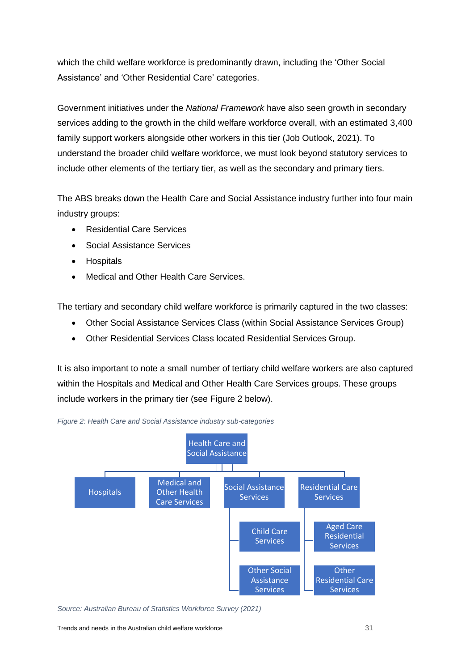which the child welfare workforce is predominantly drawn, including the 'Other Social Assistance' and 'Other Residential Care' categories.

Government initiatives under the *National Framework* have also seen growth in secondary services adding to the growth in the child welfare workforce overall, with an estimated 3,400 family support workers alongside other workers in this tier (Job Outlook, 2021). To understand the broader child welfare workforce, we must look beyond statutory services to include other elements of the tertiary tier, as well as the secondary and primary tiers.

The ABS breaks down the Health Care and Social Assistance industry further into four main industry groups:

- Residential Care Services
- Social Assistance Services
- Hospitals
- Medical and Other Health Care Services.

The tertiary and secondary child welfare workforce is primarily captured in the two classes:

- Other Social Assistance Services Class (within Social Assistance Services Group)
- Other Residential Services Class located Residential Services Group.

It is also important to note a small number of tertiary child welfare workers are also captured within the Hospitals and Medical and Other Health Care Services groups. These groups include workers in the primary tier (see Figure 2 below).



<span id="page-30-0"></span>

*Source: Australian Bureau of Statistics Workforce Survey (2021)*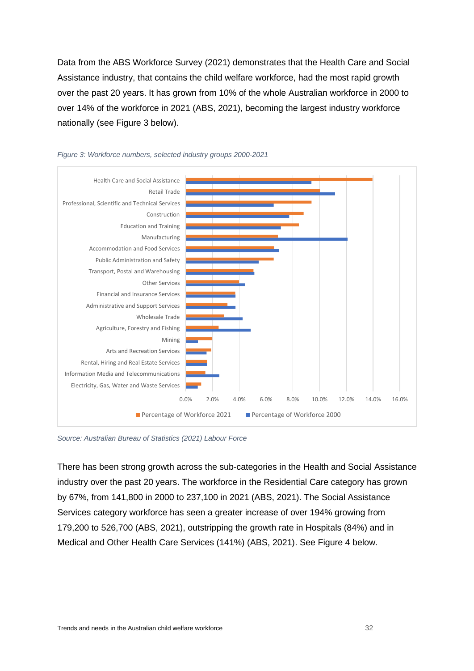Data from the ABS Workforce Survey (2021) demonstrates that the Health Care and Social Assistance industry, that contains the child welfare workforce, had the most rapid growth over the past 20 years. It has grown from 10% of the whole Australian workforce in 2000 to over 14% of the workforce in 2021 (ABS, 2021), becoming the largest industry workforce nationally (see Figure 3 below).



#### <span id="page-31-0"></span>*Figure 3: Workforce numbers, selected industry groups 2000-2021*

*Source: Australian Bureau of Statistics (2021) Labour Force*

There has been strong growth across the sub-categories in the Health and Social Assistance industry over the past 20 years. The workforce in the Residential Care category has grown by 67%, from 141,800 in 2000 to 237,100 in 2021 (ABS, 2021). The Social Assistance Services category workforce has seen a greater increase of over 194% growing from 179,200 to 526,700 (ABS, 2021), outstripping the growth rate in Hospitals (84%) and in Medical and Other Health Care Services (141%) (ABS, 2021). See Figure 4 below.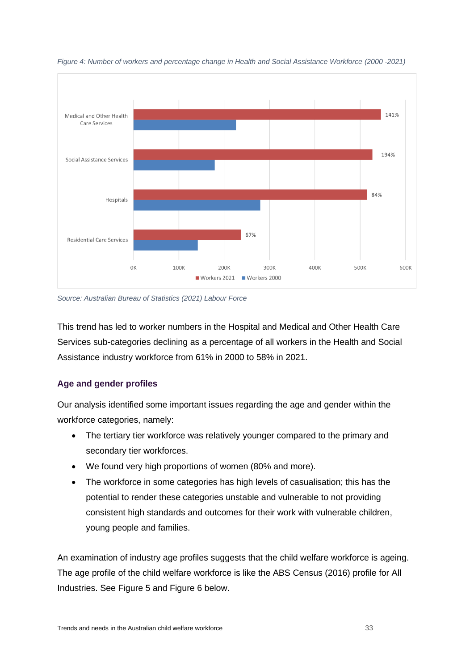

<span id="page-32-0"></span>*Figure 4: Number of workers and percentage change in Health and Social Assistance Workforce (2000 -2021)*

*Source: Australian Bureau of Statistics (2021) Labour Force*

This trend has led to worker numbers in the Hospital and Medical and Other Health Care Services sub-categories declining as a percentage of all workers in the Health and Social Assistance industry workforce from 61% in 2000 to 58% in 2021.

## **Age and gender profiles**

Our analysis identified some important issues regarding the age and gender within the workforce categories, namely:

- The tertiary tier workforce was relatively younger compared to the primary and secondary tier workforces.
- We found very high proportions of women (80% and more).
- The workforce in some categories has high levels of casualisation; this has the potential to render these categories unstable and vulnerable to not providing consistent high standards and outcomes for their work with vulnerable children, young people and families.

An examination of industry age profiles suggests that the child welfare workforce is ageing. The age profile of the child welfare workforce is like the ABS Census (2016) profile for All Industries. See [Figure 5](#page-33-0) and [Figure 6](#page-33-1) below.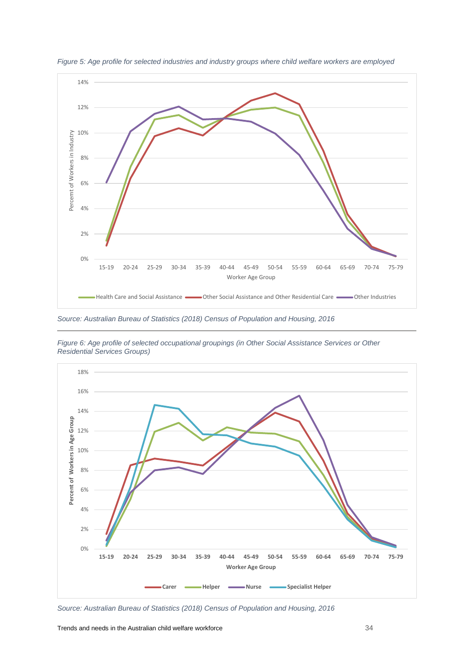

<span id="page-33-0"></span>*Figure 5: Age profile for selected industries and industry groups where child welfare workers are employed*

*Source: Australian Bureau of Statistics (2018) Census of Population and Housing, 2016* 



<span id="page-33-1"></span>*Figure 6: Age profile of selected occupational groupings (in Other Social Assistance Services or Other Residential Services Groups)*

*Source: Australian Bureau of Statistics (2018) Census of Population and Housing, 2016*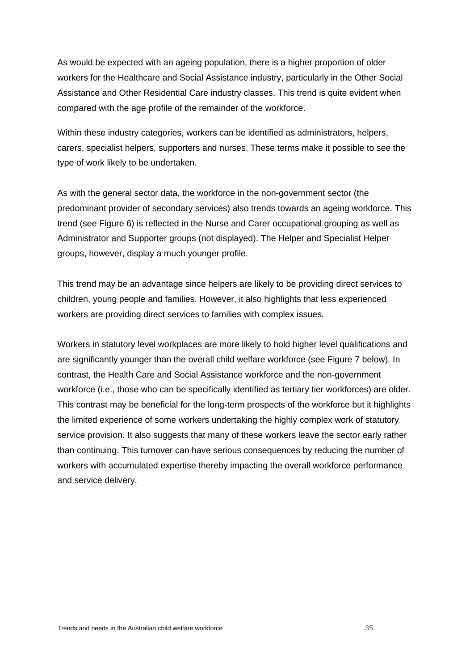As would be expected with an ageing population, there is a higher proportion of older workers for the Healthcare and Social Assistance industry, particularly in the Other Social Assistance and Other Residential Care industry classes. This trend is quite evident when compared with the age profile of the remainder of the workforce.

Within these industry categories, workers can be identified as administrators, helpers, carers, specialist helpers, supporters and nurses. These terms make it possible to see the type of work likely to be undertaken.

As with the general sector data, the workforce in the non-government sector (the predominant provider of secondary services) also trends towards an ageing workforce. This trend (see [Figure 6\)](#page-33-1) is reflected in the Nurse and Carer occupational grouping as well as Administrator and Supporter groups (not displayed). The Helper and Specialist Helper groups, however, display a much younger profile.

This trend may be an advantage since helpers are likely to be providing direct services to children, young people and families. However, it also highlights that less experienced workers are providing direct services to families with complex issues.

Workers in statutory level workplaces are more likely to hold higher level qualifications and are significantly younger than the overall child welfare workforce (see [Figure 7](#page-35-0) below). In contrast, the Health Care and Social Assistance workforce and the non-government workforce (i.e., those who can be specifically identified as tertiary tier workforces) are older. This contrast may be beneficial for the long-term prospects of the workforce but it highlights the limited experience of some workers undertaking the highly complex work of statutory service provision. It also suggests that many of these workers leave the sector early rather than continuing. This turnover can have serious consequences by reducing the number of workers with accumulated expertise thereby impacting the overall workforce performance and service delivery.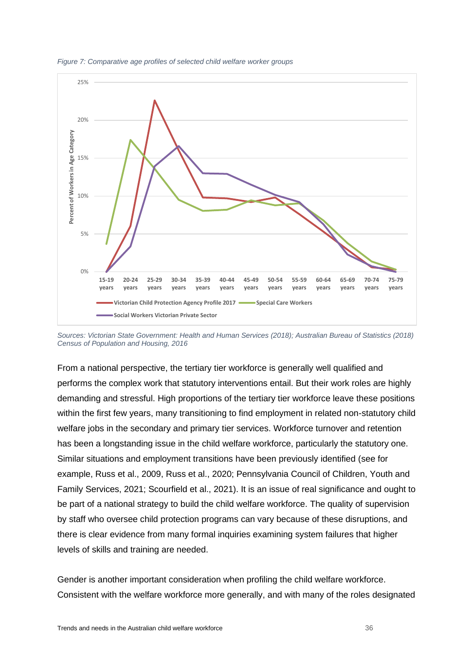

<span id="page-35-0"></span>*Figure 7: Comparative age profiles of selected child welfare worker groups*

*Sources: Victorian State Government: Health and Human Services (2018); Australian Bureau of Statistics (2018) Census of Population and Housing, 2016*

From a national perspective, the tertiary tier workforce is generally well qualified and performs the complex work that statutory interventions entail. But their work roles are highly demanding and stressful. High proportions of the tertiary tier workforce leave these positions within the first few years, many transitioning to find employment in related non-statutory child welfare jobs in the secondary and primary tier services. Workforce turnover and retention has been a longstanding issue in the child welfare workforce, particularly the statutory one. Similar situations and employment transitions have been previously identified (see for example, Russ et al., 2009, Russ et al., 2020; Pennsylvania Council of Children, Youth and Family Services, 2021; Scourfield et al., 2021). It is an issue of real significance and ought to be part of a national strategy to build the child welfare workforce. The quality of supervision by staff who oversee child protection programs can vary because of these disruptions, and there is clear evidence from many formal inquiries examining system failures that higher levels of skills and training are needed.

Gender is another important consideration when profiling the child welfare workforce. Consistent with the welfare workforce more generally, and with many of the roles designated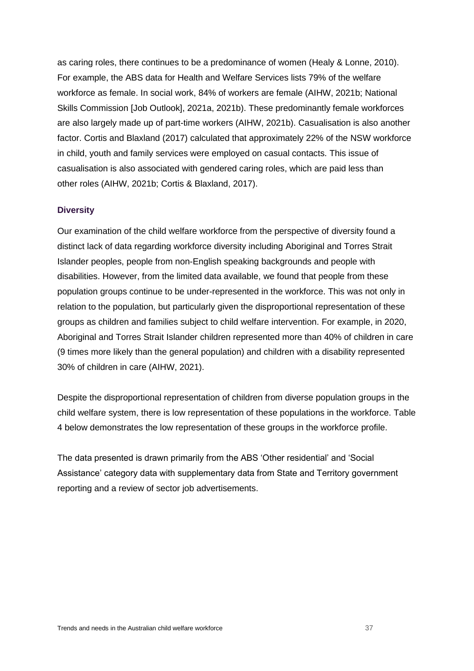as caring roles, there continues to be a predominance of women (Healy & Lonne, 2010). For example, the ABS data for Health and Welfare Services lists 79% of the welfare workforce as female. In social work, 84% of workers are female (AIHW, 2021b; National Skills Commission [Job Outlook], 2021a, 2021b). These predominantly female workforces are also largely made up of part-time workers (AIHW, 2021b). Casualisation is also another factor. Cortis and Blaxland (2017) calculated that approximately 22% of the NSW workforce in child, youth and family services were employed on casual contacts. This issue of casualisation is also associated with gendered caring roles, which are paid less than other roles (AIHW, 2021b; Cortis & Blaxland, 2017).

#### **Diversity**

Our examination of the child welfare workforce from the perspective of diversity found a distinct lack of data regarding workforce diversity including Aboriginal and Torres Strait Islander peoples, people from non-English speaking backgrounds and people with disabilities. However, from the limited data available, we found that people from these population groups continue to be under-represented in the workforce. This was not only in relation to the population, but particularly given the disproportional representation of these groups as children and families subject to child welfare intervention. For example, in 2020, Aboriginal and Torres Strait Islander children represented more than 40% of children in care (9 times more likely than the general population) and children with a disability represented 30% of children in care (AIHW, 2021).

Despite the disproportional representation of children from diverse population groups in the child welfare system, there is low representation of these populations in the workforce. [Table](#page-37-0)  [4](#page-37-0) below demonstrates the low representation of these groups in the workforce profile.

The data presented is drawn primarily from the ABS 'Other residential' and 'Social Assistance' category data with supplementary data from State and Territory government reporting and a review of sector job advertisements.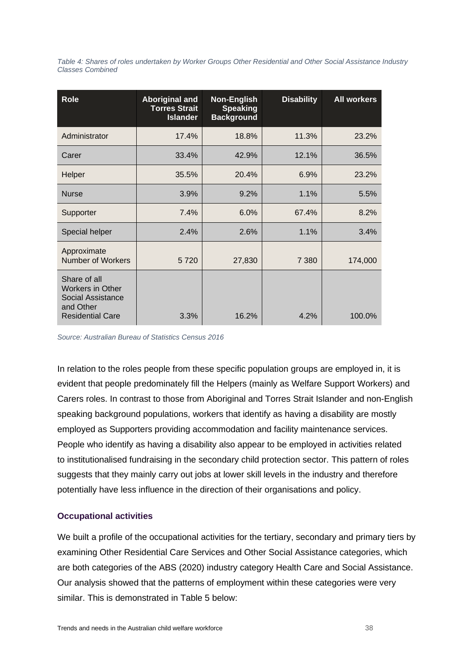<span id="page-37-0"></span>*Table 4: Shares of roles undertaken by Worker Groups Other Residential and Other Social Assistance Industry Classes Combined*

| <b>Role</b>                                                                                          | <b>Aboriginal and</b><br><b>Torres Strait</b><br><b>Islander</b> | <b>Non-English</b><br><b>Speaking</b><br><b>Background</b> | <b>Disability</b> | <b>All workers</b> |
|------------------------------------------------------------------------------------------------------|------------------------------------------------------------------|------------------------------------------------------------|-------------------|--------------------|
| Administrator                                                                                        | 17.4%                                                            | 18.8%                                                      | 11.3%             | 23.2%              |
| Carer                                                                                                | 33.4%                                                            | 42.9%                                                      | 12.1%             | 36.5%              |
| Helper                                                                                               | 35.5%                                                            | 20.4%                                                      | 6.9%              | 23.2%              |
| <b>Nurse</b>                                                                                         | 3.9%                                                             | 9.2%                                                       | 1.1%              | 5.5%               |
| Supporter                                                                                            | 7.4%                                                             | 6.0%                                                       | 67.4%             | 8.2%               |
| Special helper                                                                                       | 2.4%                                                             | 2.6%                                                       | 1.1%              | 3.4%               |
| Approximate<br><b>Number of Workers</b>                                                              | 5720                                                             | 27,830                                                     | 7 3 8 0           | 174,000            |
| Share of all<br><b>Workers in Other</b><br>Social Assistance<br>and Other<br><b>Residential Care</b> | 3.3%                                                             | 16.2%                                                      | 4.2%              | 100.0%             |

*Source: Australian Bureau of Statistics Census 2016*

In relation to the roles people from these specific population groups are employed in, it is evident that people predominately fill the Helpers (mainly as Welfare Support Workers) and Carers roles. In contrast to those from Aboriginal and Torres Strait Islander and non-English speaking background populations, workers that identify as having a disability are mostly employed as Supporters providing accommodation and facility maintenance services. People who identify as having a disability also appear to be employed in activities related to institutionalised fundraising in the secondary child protection sector. This pattern of roles suggests that they mainly carry out jobs at lower skill levels in the industry and therefore potentially have less influence in the direction of their organisations and policy.

## **Occupational activities**

We built a profile of the occupational activities for the tertiary, secondary and primary tiers by examining Other Residential Care Services and Other Social Assistance categories, which are both categories of the ABS (2020) industry category Health Care and Social Assistance. Our analysis showed that the patterns of employment within these categories were very similar. This is demonstrated in [Table 5](#page-38-0) below: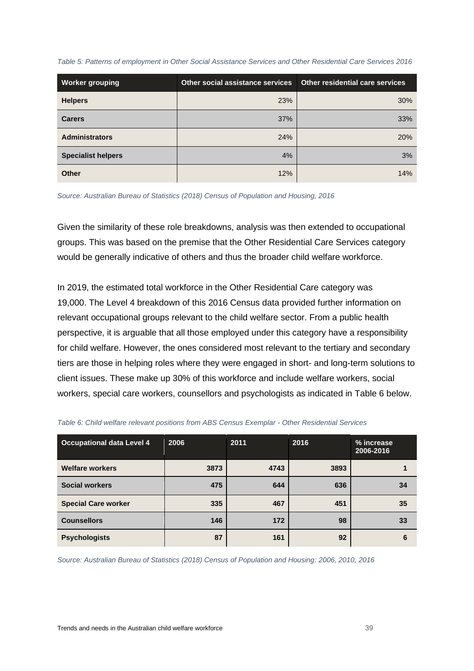<span id="page-38-0"></span>

|  |  |  | Table 5: Patterns of employment in Other Social Assistance Services and Other Residential Care Services 2016 |
|--|--|--|--------------------------------------------------------------------------------------------------------------|
|  |  |  |                                                                                                              |

| <b>Worker grouping</b>    | Other social assistance services | Other residential care services |
|---------------------------|----------------------------------|---------------------------------|
| <b>Helpers</b>            | 23%                              | 30%                             |
| <b>Carers</b>             | 37%                              | 33%                             |
| <b>Administrators</b>     | 24%                              | 20%                             |
| <b>Specialist helpers</b> | 4%                               | 3%                              |
| <b>Other</b>              | 12%                              | 14%                             |

*Source: Australian Bureau of Statistics (2018) Census of Population and Housing, 2016*

Given the similarity of these role breakdowns, analysis was then extended to occupational groups. This was based on the premise that the Other Residential Care Services category would be generally indicative of others and thus the broader child welfare workforce.

In 2019, the estimated total workforce in the Other Residential Care category was 19,000. The Level 4 breakdown of this 2016 Census data provided further information on relevant occupational groups relevant to the child welfare sector. From a public health perspective, it is arguable that all those employed under this category have a responsibility for child welfare. However, the ones considered most relevant to the tertiary and secondary tiers are those in helping roles where they were engaged in short- and long-term solutions to client issues. These make up 30% of this workforce and include welfare workers, social workers, special care workers, counsellors and psychologists as indicated in [Table 6](#page-38-1) below.

| <b>Occupational data Level 4</b> | 2006 | 2011 | 2016 | % increase<br>2006-2016 |
|----------------------------------|------|------|------|-------------------------|
| <b>Welfare workers</b>           | 3873 | 4743 | 3893 |                         |
| <b>Social workers</b>            | 475  | 644  | 636  | 34                      |
| <b>Special Care worker</b>       | 335  | 467  | 451  | 35                      |
| <b>Counsellors</b>               | 146  | 172  | 98   | 33                      |
| <b>Psychologists</b>             | 87   | 161  | 92   | 6                       |

<span id="page-38-1"></span>

*Source: Australian Bureau of Statistics (2018) Census of Population and Housing: 2006, 2010, 2016*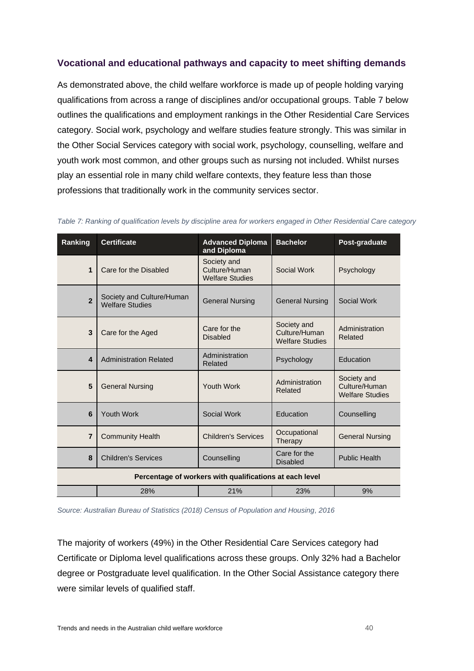## **Vocational and educational pathways and capacity to meet shifting demands**

As demonstrated above, the child welfare workforce is made up of people holding varying qualifications from across a range of disciplines and/or occupational groups. [Table 7](#page-39-0) below outlines the qualifications and employment rankings in the Other Residential Care Services category. Social work, psychology and welfare studies feature strongly. This was similar in the Other Social Services category with social work, psychology, counselling, welfare and youth work most common, and other groups such as nursing not included. Whilst nurses play an essential role in many child welfare contexts, they feature less than those professions that traditionally work in the community services sector.

| Ranking                 | <b>Certificate</b>                                  | <b>Advanced Diploma</b><br>and Diploma                  | <b>Bachelor</b>                                        | Post-graduate                                          |
|-------------------------|-----------------------------------------------------|---------------------------------------------------------|--------------------------------------------------------|--------------------------------------------------------|
| 1                       | Care for the Disabled                               | Society and<br>Culture/Human<br><b>Welfare Studies</b>  | Social Work                                            | Psychology                                             |
| $\overline{2}$          | Society and Culture/Human<br><b>Welfare Studies</b> | <b>General Nursing</b>                                  | <b>General Nursing</b>                                 | Social Work                                            |
| 3                       | Care for the Aged                                   | Care for the<br><b>Disabled</b>                         | Society and<br>Culture/Human<br><b>Welfare Studies</b> | Administration<br>Related                              |
| $\overline{\mathbf{4}}$ | <b>Administration Related</b>                       | Administration<br>Related                               | Psychology                                             | Education                                              |
| 5                       | <b>General Nursing</b>                              | Youth Work                                              | Administration<br>Related                              | Society and<br>Culture/Human<br><b>Welfare Studies</b> |
| 6                       | <b>Youth Work</b>                                   | Social Work                                             | Education                                              | Counselling                                            |
| $\overline{7}$          | <b>Community Health</b>                             | <b>Children's Services</b>                              | Occupational<br>Therapy                                | <b>General Nursing</b>                                 |
| 8                       | <b>Children's Services</b>                          | Counselling                                             | Care for the<br><b>Disabled</b>                        | <b>Public Health</b>                                   |
|                         |                                                     | Percentage of workers with qualifications at each level |                                                        |                                                        |
|                         | 28%                                                 | 21%                                                     | 23%                                                    | 9%                                                     |

<span id="page-39-0"></span>*Table 7: Ranking of qualification levels by discipline area for workers engaged in Other Residential Care category*

*Source: Australian Bureau of Statistics (2018) Census of Population and Housing, 2016*

The majority of workers (49%) in the Other Residential Care Services category had Certificate or Diploma level qualifications across these groups. Only 32% had a Bachelor degree or Postgraduate level qualification. In the Other Social Assistance category there were similar levels of qualified staff.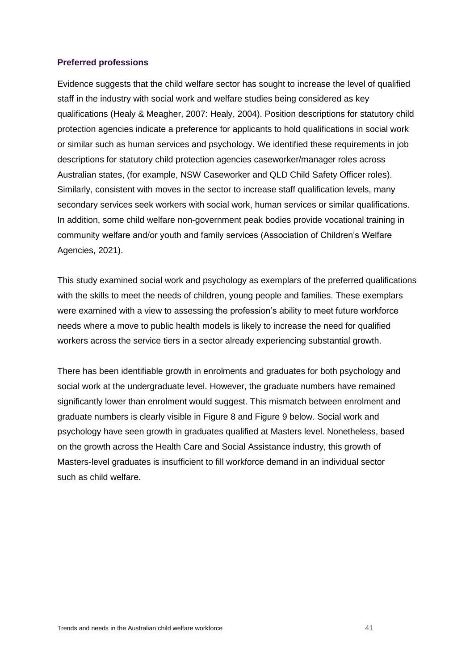#### **Preferred professions**

Evidence suggests that the child welfare sector has sought to increase the level of qualified staff in the industry with social work and welfare studies being considered as key qualifications (Healy & Meagher, 2007: Healy, 2004). Position descriptions for statutory child protection agencies indicate a preference for applicants to hold qualifications in social work or similar such as human services and psychology. We identified these requirements in job descriptions for statutory child protection agencies caseworker/manager roles across Australian states, (for example, NSW Caseworker and QLD Child Safety Officer roles). Similarly, consistent with moves in the sector to increase staff qualification levels, many secondary services seek workers with social work, human services or similar qualifications. In addition, some child welfare non-government peak bodies provide vocational training in community welfare and/or youth and family services (Association of Children's Welfare Agencies, 2021).

This study examined social work and psychology as exemplars of the preferred qualifications with the skills to meet the needs of children, young people and families. These exemplars were examined with a view to assessing the profession's ability to meet future workforce needs where a move to public health models is likely to increase the need for qualified workers across the service tiers in a sector already experiencing substantial growth.

There has been identifiable growth in enrolments and graduates for both psychology and social work at the undergraduate level. However, the graduate numbers have remained significantly lower than enrolment would suggest. This mismatch between enrolment and graduate numbers is clearly visible in [Figure 8](#page-41-0) and [Figure 9](#page-41-1) below. Social work and psychology have seen growth in graduates qualified at Masters level. Nonetheless, based on the growth across the Health Care and Social Assistance industry, this growth of Masters-level graduates is insufficient to fill workforce demand in an individual sector such as child welfare.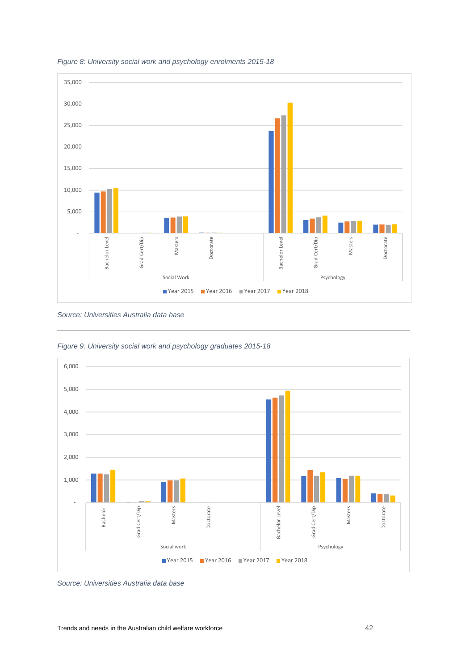

#### <span id="page-41-0"></span>*Figure 8: University social work and psychology enrolments 2015-18*

*Source: Universities Australia data base*



<span id="page-41-1"></span>*Figure 9: University social work and psychology graduates 2015-18*

*Source: Universities Australia data base*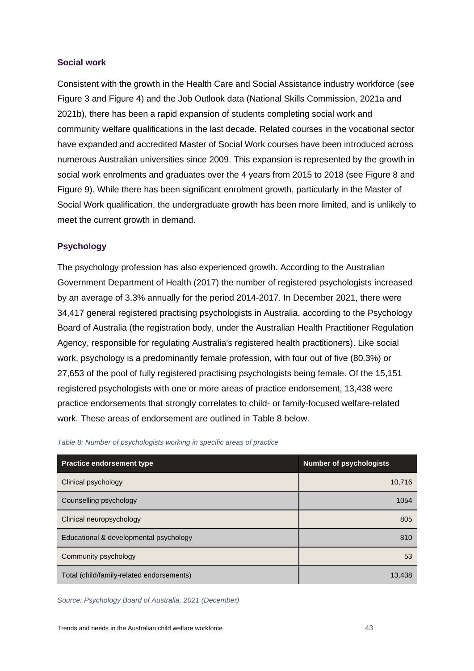## **Social work**

Consistent with the growth in the Health Care and Social Assistance industry workforce (see [Figure 3](#page-31-0) and [Figure 4\)](#page-32-0) and the Job Outlook data (National Skills Commission, 2021a and 2021b), there has been a rapid expansion of students completing social work and community welfare qualifications in the last decade. Related courses in the vocational sector have expanded and accredited Master of Social Work courses have been introduced across numerous Australian universities since 2009. This expansion is represented by the growth in social work enrolments and graduates over the 4 years from 2015 to 2018 (see [Figure 8](#page-41-0) and [Figure 9\)](#page-41-1). While there has been significant enrolment growth, particularly in the Master of Social Work qualification, the undergraduate growth has been more limited, and is unlikely to meet the current growth in demand.

## **Psychology**

The psychology profession has also experienced growth. According to the Australian Government Department of Health (2017) the number of registered psychologists increased by an average of 3.3% annually for the period 2014-2017. In December 2021, there were 34,417 general registered practising psychologists in Australia, according to the Psychology Board of Australia (the registration body, under the Australian Health Practitioner Regulation Agency, responsible for regulating Australia's registered health practitioners). Like social work, psychology is a predominantly female profession, with four out of five (80.3%) or 27,653 of the pool of fully registered practising psychologists being female. Of the 15,151 registered psychologists with one or more areas of practice endorsement, 13,438 were practice endorsements that strongly correlates to child- or family-focused welfare-related work. These areas of endorsement are outlined in [Table 8](#page-42-0) below.

| <b>Practice endorsement type</b>          | <b>Number of psychologists</b> |
|-------------------------------------------|--------------------------------|
| Clinical psychology                       | 10,716                         |
| Counselling psychology                    | 1054                           |
| Clinical neuropsychology                  | 805                            |
| Educational & developmental psychology    | 810                            |
| Community psychology                      | 53                             |
| Total (child/family-related endorsements) | 13.438                         |

<span id="page-42-0"></span>*Table 8: Number of psychologists working in specific areas of practice*

*Source: Psychology Board of Australia, 2021 (December)*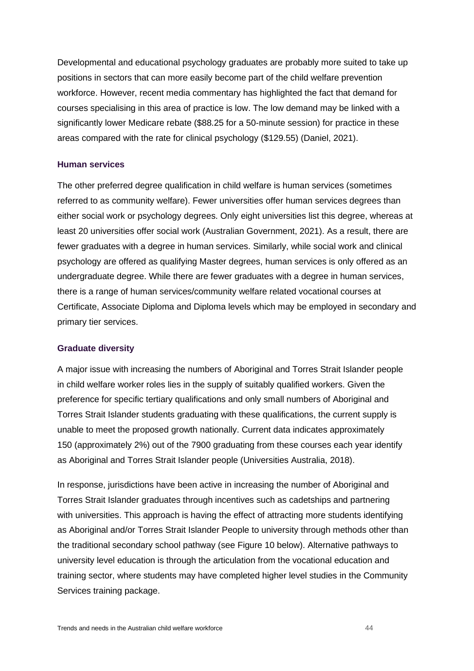Developmental and educational psychology graduates are probably more suited to take up positions in sectors that can more easily become part of the child welfare prevention workforce. However, recent media commentary has highlighted the fact that demand for courses specialising in this area of practice is low. The low demand may be linked with a significantly lower Medicare rebate (\$88.25 for a 50-minute session) for practice in these areas compared with the rate for clinical psychology (\$129.55) (Daniel, 2021).

#### **Human services**

The other preferred degree qualification in child welfare is human services (sometimes referred to as community welfare). Fewer universities offer human services degrees than either social work or psychology degrees. Only eight universities list this degree, whereas at least 20 universities offer social work (Australian Government, 2021). As a result, there are fewer graduates with a degree in human services. Similarly, while social work and clinical psychology are offered as qualifying Master degrees, human services is only offered as an undergraduate degree. While there are fewer graduates with a degree in human services, there is a range of human services/community welfare related vocational courses at Certificate, Associate Diploma and Diploma levels which may be employed in secondary and primary tier services.

#### **Graduate diversity**

A major issue with increasing the numbers of Aboriginal and Torres Strait Islander people in child welfare worker roles lies in the supply of suitably qualified workers. Given the preference for specific tertiary qualifications and only small numbers of Aboriginal and Torres Strait Islander students graduating with these qualifications, the current supply is unable to meet the proposed growth nationally. Current data indicates approximately 150 (approximately 2%) out of the 7900 graduating from these courses each year identify as Aboriginal and Torres Strait Islander people (Universities Australia, 2018).

In response, jurisdictions have been active in increasing the number of Aboriginal and Torres Strait Islander graduates through incentives such as cadetships and partnering with universities. This approach is having the effect of attracting more students identifying as Aboriginal and/or Torres Strait Islander People to university through methods other than the traditional secondary school pathway (see Figure 10 below). Alternative pathways to university level education is through the articulation from the vocational education and training sector, where students may have completed higher level studies in the Community Services training package.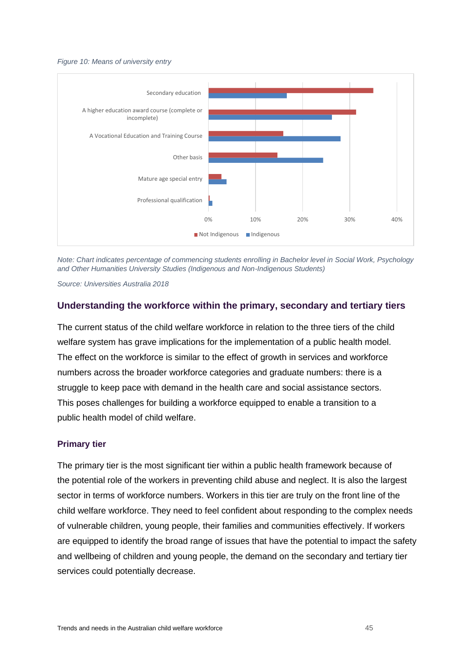#### *Figure 10: Means of university entry*



*Note: Chart indicates percentage of commencing students enrolling in Bachelor level in Social Work, Psychology and Other Humanities University Studies (Indigenous and Non-Indigenous Students)* 

*Source: Universities Australia 2018* 

## **Understanding the workforce within the primary, secondary and tertiary tiers**

The current status of the child welfare workforce in relation to the three tiers of the child welfare system has grave implications for the implementation of a public health model. The effect on the workforce is similar to the effect of growth in services and workforce numbers across the broader workforce categories and graduate numbers: there is a struggle to keep pace with demand in the health care and social assistance sectors. This poses challenges for building a workforce equipped to enable a transition to a public health model of child welfare.

#### **Primary tier**

The primary tier is the most significant tier within a public health framework because of the potential role of the workers in preventing child abuse and neglect. It is also the largest sector in terms of workforce numbers. Workers in this tier are truly on the front line of the child welfare workforce. They need to feel confident about responding to the complex needs of vulnerable children, young people, their families and communities effectively. If workers are equipped to identify the broad range of issues that have the potential to impact the safety and wellbeing of children and young people, the demand on the secondary and tertiary tier services could potentially decrease.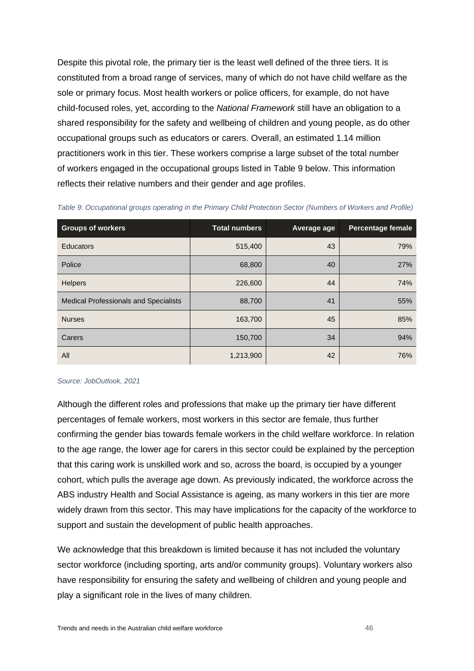Despite this pivotal role, the primary tier is the least well defined of the three tiers. It is constituted from a broad range of services, many of which do not have child welfare as the sole or primary focus. Most health workers or police officers, for example, do not have child-focused roles, yet, according to the *National Framework* still have an obligation to a shared responsibility for the safety and wellbeing of children and young people, as do other occupational groups such as educators or carers. Overall, an estimated 1.14 million practitioners work in this tier. These workers comprise a large subset of the total number of workers engaged in the occupational groups listed in [Table 9](#page-45-0) below. This information reflects their relative numbers and their gender and age profiles.

| <b>Groups of workers</b>                     | <b>Total numbers</b> | Average age | <b>Percentage female</b> |
|----------------------------------------------|----------------------|-------------|--------------------------|
| <b>Educators</b>                             | 515,400              | 43          | 79%                      |
| Police                                       | 68,800               | 40          | 27%                      |
| <b>Helpers</b>                               | 226,600              | 44          | 74%                      |
| <b>Medical Professionals and Specialists</b> | 88,700               | 41          | 55%                      |
| <b>Nurses</b>                                | 163,700              | 45          | 85%                      |
| Carers                                       | 150,700              | 34          | 94%                      |
| All                                          | 1,213,900            | 42          | 76%                      |

<span id="page-45-0"></span>*Table 9: Occupational groups operating in the Primary Child Protection Sector (Numbers of Workers and Profile)*

#### *Source: JobOutlook, 2021*

Although the different roles and professions that make up the primary tier have different percentages of female workers, most workers in this sector are female, thus further confirming the gender bias towards female workers in the child welfare workforce. In relation to the age range, the lower age for carers in this sector could be explained by the perception that this caring work is unskilled work and so, across the board, is occupied by a younger cohort, which pulls the average age down. As previously indicated, the workforce across the ABS industry Health and Social Assistance is ageing, as many workers in this tier are more widely drawn from this sector. This may have implications for the capacity of the workforce to support and sustain the development of public health approaches.

We acknowledge that this breakdown is limited because it has not included the voluntary sector workforce (including sporting, arts and/or community groups). Voluntary workers also have responsibility for ensuring the safety and wellbeing of children and young people and play a significant role in the lives of many children.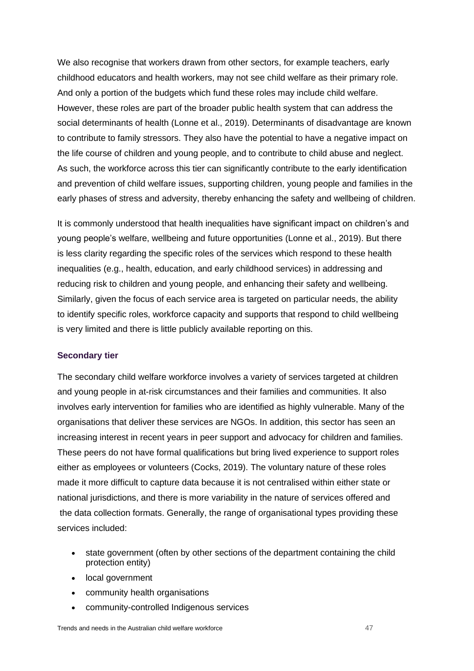We also recognise that workers drawn from other sectors, for example teachers, early childhood educators and health workers, may not see child welfare as their primary role. And only a portion of the budgets which fund these roles may include child welfare. However, these roles are part of the broader public health system that can address the social determinants of health (Lonne et al., 2019). Determinants of disadvantage are known to contribute to family stressors. They also have the potential to have a negative impact on the life course of children and young people, and to contribute to child abuse and neglect. As such, the workforce across this tier can significantly contribute to the early identification and prevention of child welfare issues, supporting children, young people and families in the early phases of stress and adversity, thereby enhancing the safety and wellbeing of children.

It is commonly understood that health inequalities have significant impact on children's and young people's welfare, wellbeing and future opportunities (Lonne et al., 2019). But there is less clarity regarding the specific roles of the services which respond to these health inequalities (e.g., health, education, and early childhood services) in addressing and reducing risk to children and young people, and enhancing their safety and wellbeing. Similarly, given the focus of each service area is targeted on particular needs, the ability to identify specific roles, workforce capacity and supports that respond to child wellbeing is very limited and there is little publicly available reporting on this.

#### **Secondary tier**

The secondary child welfare workforce involves a variety of services targeted at children and young people in at-risk circumstances and their families and communities. It also involves early intervention for families who are identified as highly vulnerable. Many of the organisations that deliver these services are NGOs. In addition, this sector has seen an increasing interest in recent years in peer support and advocacy for children and families. These peers do not have formal qualifications but bring lived experience to support roles either as employees or volunteers (Cocks, 2019). The voluntary nature of these roles made it more difficult to capture data because it is not centralised within either state or national jurisdictions, and there is more variability in the nature of services offered and the data collection formats. Generally, the range of organisational types providing these services included:

- state government (often by other sections of the department containing the child protection entity)
- local government
- community health organisations
- community-controlled Indigenous services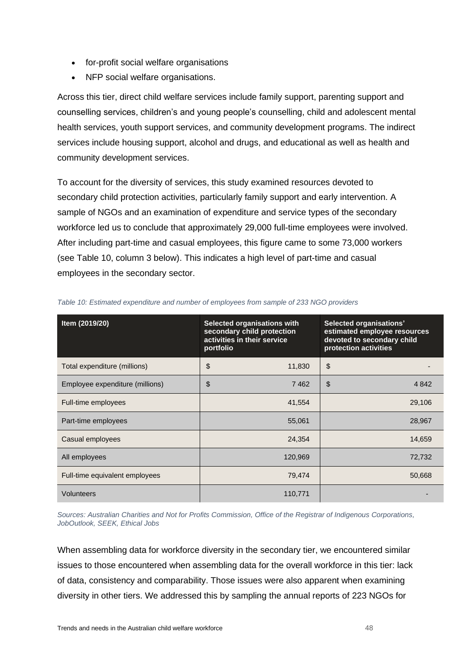- for-profit social welfare organisations
- NFP social welfare organisations.

Across this tier, direct child welfare services include family support, parenting support and counselling services, children's and young people's counselling, child and adolescent mental health services, youth support services, and community development programs. The indirect services include housing support, alcohol and drugs, and educational as well as health and community development services.

To account for the diversity of services, this study examined resources devoted to secondary child protection activities, particularly family support and early intervention. A sample of NGOs and an examination of expenditure and service types of the secondary workforce led us to conclude that approximately 29,000 full-time employees were involved. After including part-time and casual employees, this figure came to some 73,000 workers (see [Table 10,](#page-47-0) column 3 below). This indicates a high level of part-time and casual employees in the secondary sector.

| Item (2019/20)                  | <b>Selected organisations with</b><br>secondary child protection<br>activities in their service<br>portfolio | Selected organisations'<br>estimated employee resources<br>devoted to secondary child<br>protection activities |
|---------------------------------|--------------------------------------------------------------------------------------------------------------|----------------------------------------------------------------------------------------------------------------|
| Total expenditure (millions)    | \$<br>11,830                                                                                                 | $\frac{1}{2}$                                                                                                  |
| Employee expenditure (millions) | \$<br>7462                                                                                                   | \$<br>4 8 4 2                                                                                                  |
| Full-time employees             | 41,554                                                                                                       | 29,106                                                                                                         |
| Part-time employees             | 55,061                                                                                                       | 28,967                                                                                                         |
| Casual employees                | 24,354                                                                                                       | 14,659                                                                                                         |
| All employees                   | 120,969                                                                                                      | 72,732                                                                                                         |
| Full-time equivalent employees  | 79,474                                                                                                       | 50,668                                                                                                         |
| Volunteers                      | 110,771                                                                                                      |                                                                                                                |

<span id="page-47-0"></span>*Table 10: Estimated expenditure and number of employees from sample of 233 NGO providers*

*Sources: Australian Charities and Not for Profits Commission, Office of the Registrar of Indigenous Corporations, JobOutlook, SEEK, Ethical Jobs*

When assembling data for workforce diversity in the secondary tier, we encountered similar issues to those encountered when assembling data for the overall workforce in this tier: lack of data, consistency and comparability. Those issues were also apparent when examining diversity in other tiers. We addressed this by sampling the annual reports of 223 NGOs for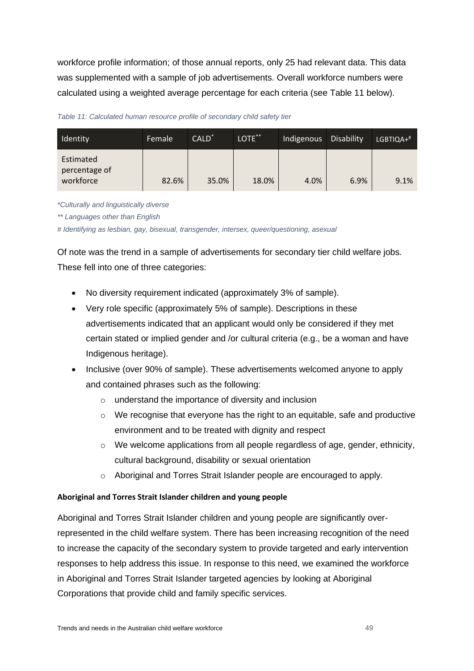workforce profile information; of those annual reports, only 25 had relevant data. This data was supplemented with a sample of job advertisements. Overall workforce numbers were calculated using a weighted average percentage for each criteria (see [Table 11](#page-48-0) below).

<span id="page-48-0"></span>*Table 11: Calculated human resource profile of secondary child safety tier*

| Identity                                | Female | $CALD^*$ | $LOTE***$ | Indigenous | Disability | $LGBTIQA+#$ |
|-----------------------------------------|--------|----------|-----------|------------|------------|-------------|
| Estimated<br>percentage of<br>workforce | 82.6%  | 35.0%    | 18.0%     | 4.0%       | 6.9%       | 9.1%        |

*\*Culturally and linguistically diverse*

*\*\* Languages other than English*

*# Identifying as lesbian, gay, bisexual, transgender, intersex, queer/questioning, asexual*

Of note was the trend in a sample of advertisements for secondary tier child welfare jobs. These fell into one of three categories:

- No diversity requirement indicated (approximately 3% of sample).
- Very role specific (approximately 5% of sample). Descriptions in these advertisements indicated that an applicant would only be considered if they met certain stated or implied gender and /or cultural criteria (e.g., be a woman and have Indigenous heritage).
- Inclusive (over 90% of sample). These advertisements welcomed anyone to apply and contained phrases such as the following:
	- o understand the importance of diversity and inclusion
	- $\circ$  We recognise that everyone has the right to an equitable, safe and productive environment and to be treated with dignity and respect
	- $\circ$  We welcome applications from all people regardless of age, gender, ethnicity, cultural background, disability or sexual orientation
	- o Aboriginal and Torres Strait Islander people are encouraged to apply.

## **Aboriginal and Torres Strait Islander children and young people**

Aboriginal and Torres Strait Islander children and young people are significantly overrepresented in the child welfare system. There has been increasing recognition of the need to increase the capacity of the secondary system to provide targeted and early intervention responses to help address this issue. In response to this need, we examined the workforce in Aboriginal and Torres Strait Islander targeted agencies by looking at Aboriginal Corporations that provide child and family specific services.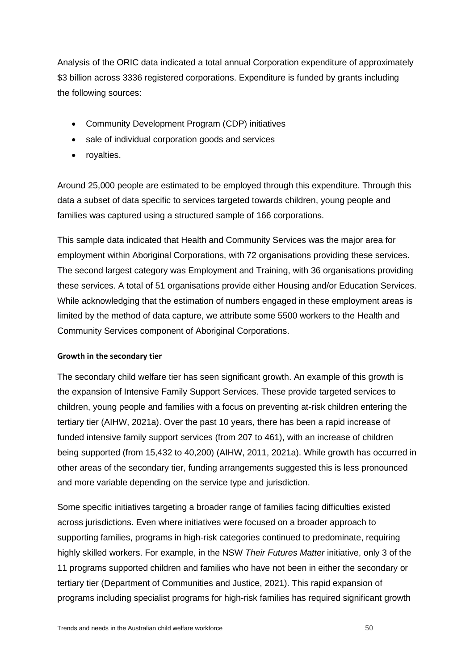Analysis of the ORIC data indicated a total annual Corporation expenditure of approximately \$3 billion across 3336 registered corporations. Expenditure is funded by grants including the following sources:

- Community Development Program (CDP) initiatives
- sale of individual corporation goods and services
- royalties.

Around 25,000 people are estimated to be employed through this expenditure. Through this data a subset of data specific to services targeted towards children, young people and families was captured using a structured sample of 166 corporations.

This sample data indicated that Health and Community Services was the major area for employment within Aboriginal Corporations, with 72 organisations providing these services. The second largest category was Employment and Training, with 36 organisations providing these services. A total of 51 organisations provide either Housing and/or Education Services. While acknowledging that the estimation of numbers engaged in these employment areas is limited by the method of data capture, we attribute some 5500 workers to the Health and Community Services component of Aboriginal Corporations.

## **Growth in the secondary tier**

The secondary child welfare tier has seen significant growth. An example of this growth is the expansion of Intensive Family Support Services. These provide targeted services to children, young people and families with a focus on preventing at-risk children entering the tertiary tier (AIHW, 2021a). Over the past 10 years, there has been a rapid increase of funded intensive family support services (from 207 to 461), with an increase of children being supported (from 15,432 to 40,200) (AIHW, 2011, 2021a). While growth has occurred in other areas of the secondary tier, funding arrangements suggested this is less pronounced and more variable depending on the service type and jurisdiction.

Some specific initiatives targeting a broader range of families facing difficulties existed across jurisdictions. Even where initiatives were focused on a broader approach to supporting families, programs in high-risk categories continued to predominate, requiring highly skilled workers. For example, in the NSW *Their Futures Matter* initiative, only 3 of the 11 programs supported children and families who have not been in either the secondary or tertiary tier (Department of Communities and Justice, 2021). This rapid expansion of programs including specialist programs for high-risk families has required significant growth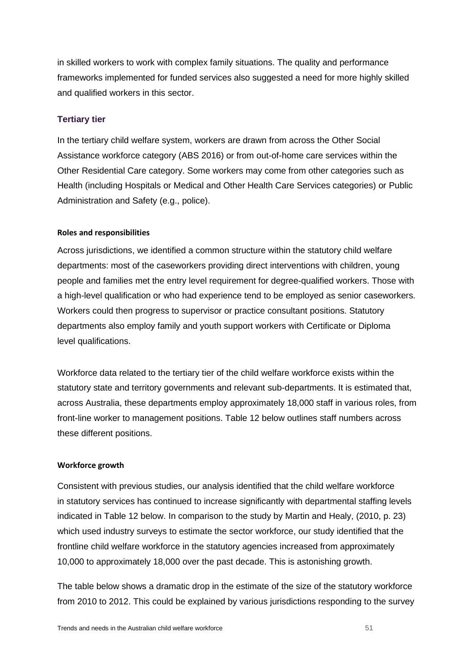in skilled workers to work with complex family situations. The quality and performance frameworks implemented for funded services also suggested a need for more highly skilled and qualified workers in this sector.

## **Tertiary tier**

In the tertiary child welfare system, workers are drawn from across the Other Social Assistance workforce category (ABS 2016) or from out-of-home care services within the Other Residential Care category. Some workers may come from other categories such as Health (including Hospitals or Medical and Other Health Care Services categories) or Public Administration and Safety (e.g., police).

#### **Roles and responsibilities**

Across jurisdictions, we identified a common structure within the statutory child welfare departments: most of the caseworkers providing direct interventions with children, young people and families met the entry level requirement for degree-qualified workers. Those with a high-level qualification or who had experience tend to be employed as senior caseworkers. Workers could then progress to supervisor or practice consultant positions. Statutory departments also employ family and youth support workers with Certificate or Diploma level qualifications.

Workforce data related to the tertiary tier of the child welfare workforce exists within the statutory state and territory governments and relevant sub-departments. It is estimated that, across Australia, these departments employ approximately 18,000 staff in various roles, from front-line worker to management positions. Table 12 below outlines staff numbers across these different positions.

#### **Workforce growth**

Consistent with previous studies, our analysis identified that the child welfare workforce in statutory services has continued to increase significantly with departmental staffing levels indicated in [Table 12](#page-51-0) below. In comparison to the study by Martin and Healy, (2010, p. 23) which used industry surveys to estimate the sector workforce, our study identified that the frontline child welfare workforce in the statutory agencies increased from approximately 10,000 to approximately 18,000 over the past decade. This is astonishing growth.

The table below shows a dramatic drop in the estimate of the size of the statutory workforce from 2010 to 2012. This could be explained by various jurisdictions responding to the survey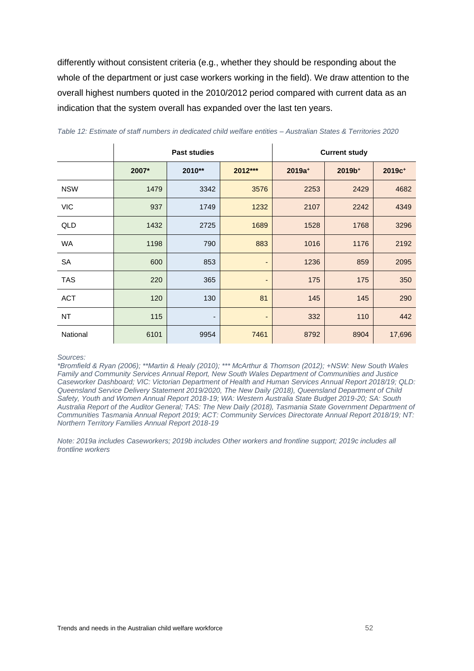differently without consistent criteria (e.g., whether they should be responding about the whole of the department or just case workers working in the field). We draw attention to the overall highest numbers quoted in the 2010/2012 period compared with current data as an indication that the system overall has expanded over the last ten years.

|            |       | <b>Past studies</b>      |                              | <b>Current study</b> |                    |                    |
|------------|-------|--------------------------|------------------------------|----------------------|--------------------|--------------------|
|            | 2007* | 2010**                   | 2012***                      | $2019a^{+}$          | 2019b <sup>+</sup> | 2019c <sup>+</sup> |
| <b>NSW</b> | 1479  | 3342                     | 3576                         | 2253                 | 2429               | 4682               |
| <b>VIC</b> | 937   | 1749                     | 1232                         | 2107                 | 2242               | 4349               |
| QLD        | 1432  | 2725                     | 1689                         | 1528                 | 1768               | 3296               |
| WA         | 1198  | 790                      | 883                          | 1016                 | 1176               | 2192               |
| SA         | 600   | 853                      | $\overline{a}$               | 1236                 | 859                | 2095               |
| <b>TAS</b> | 220   | 365                      | $\qquad \qquad \blacksquare$ | 175                  | 175                | 350                |
| <b>ACT</b> | 120   | 130                      | 81                           | 145                  | 145                | 290                |
| NT.        | 115   | $\overline{\phantom{a}}$ | $\qquad \qquad \blacksquare$ | 332                  | 110                | 442                |
| National   | 6101  | 9954                     | 7461                         | 8792                 | 8904               | 17,696             |

<span id="page-51-0"></span>

| Table 12: Estimate of staff numbers in dedicated child welfare entities – Australian States & Territories 2020 |  |  |  |  |  |  |  |
|----------------------------------------------------------------------------------------------------------------|--|--|--|--|--|--|--|
|----------------------------------------------------------------------------------------------------------------|--|--|--|--|--|--|--|

 $\overline{1}$ 

*Sources:* 

 $\mathbf{r}$ 

*\*Bromfield & Ryan (2006); \*\*Martin & Healy (2010); \*\*\* McArthur & Thomson (2012); +NSW: New South Wales Family and Community Services Annual Report, New South Wales Department of Communities and Justice Caseworker Dashboard; VIC: Victorian Department of Health and Human Services Annual Report 2018/19; QLD: Queensland Service Delivery Statement 2019/2020, The New Daily (2018), Queensland Department of Child Safety, Youth and Women Annual Report 2018-19; WA: Western Australia State Budget 2019-20; SA: South Australia Report of the Auditor General; TAS: The New Daily (2018), Tasmania State Government Department of Communities Tasmania Annual Report 2019; ACT: Community Services Directorate Annual Report 2018/19; NT: Northern Territory Families Annual Report 2018-19*

*Note: 2019a includes Caseworkers; 2019b includes Other workers and frontline support; 2019c includes all frontline workers*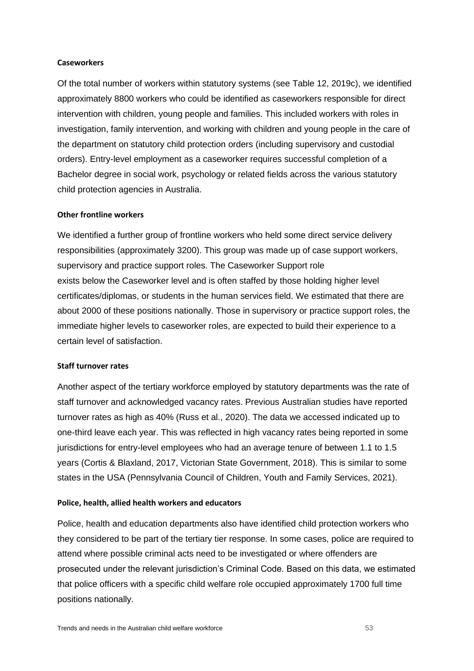#### **Caseworkers**

Of the total number of workers within statutory systems (see [Table 12,](#page-51-0) 2019c), we identified approximately 8800 workers who could be identified as caseworkers responsible for direct intervention with children, young people and families. This included workers with roles in investigation, family intervention, and working with children and young people in the care of the department on statutory child protection orders (including supervisory and custodial orders). Entry-level employment as a caseworker requires successful completion of a Bachelor degree in social work, psychology or related fields across the various statutory child protection agencies in Australia.

#### **Other frontline workers**

We identified a further group of frontline workers who held some direct service delivery responsibilities (approximately 3200). This group was made up of case support workers, supervisory and practice support roles. The Caseworker Support role exists below the Caseworker level and is often staffed by those holding higher level certificates/diplomas, or students in the human services field. We estimated that there are about 2000 of these positions nationally. Those in supervisory or practice support roles, the immediate higher levels to caseworker roles, are expected to build their experience to a certain level of satisfaction.

#### **Staff turnover rates**

Another aspect of the tertiary workforce employed by statutory departments was the rate of staff turnover and acknowledged vacancy rates. Previous Australian studies have reported turnover rates as high as 40% (Russ et al., 2020). The data we accessed indicated up to one-third leave each year. This was reflected in high vacancy rates being reported in some jurisdictions for entry-level employees who had an average tenure of between 1.1 to 1.5 years (Cortis & Blaxland, 2017, Victorian State Government, 2018). This is similar to some states in the USA (Pennsylvania Council of Children, Youth and Family Services, 2021).

#### **Police, health, allied health workers and educators**

Police, health and education departments also have identified child protection workers who they considered to be part of the tertiary tier response. In some cases, police are required to attend where possible criminal acts need to be investigated or where offenders are prosecuted under the relevant jurisdiction's Criminal Code. Based on this data, we estimated that police officers with a specific child welfare role occupied approximately 1700 full time positions nationally.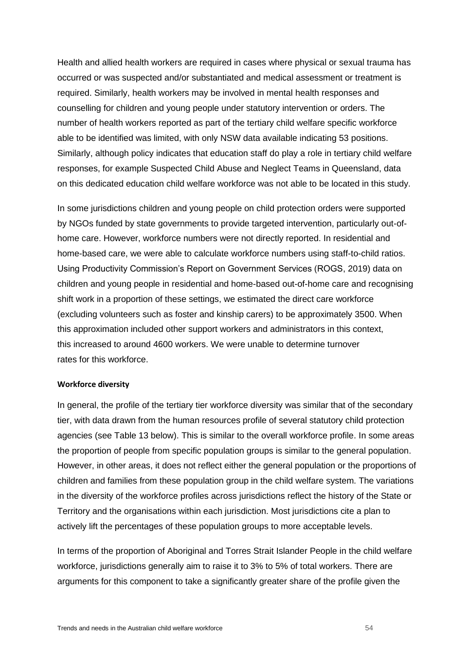Health and allied health workers are required in cases where physical or sexual trauma has occurred or was suspected and/or substantiated and medical assessment or treatment is required. Similarly, health workers may be involved in mental health responses and counselling for children and young people under statutory intervention or orders. The number of health workers reported as part of the tertiary child welfare specific workforce able to be identified was limited, with only NSW data available indicating 53 positions. Similarly, although policy indicates that education staff do play a role in tertiary child welfare responses, for example Suspected Child Abuse and Neglect Teams in Queensland, data on this dedicated education child welfare workforce was not able to be located in this study.

In some jurisdictions children and young people on child protection orders were supported by NGOs funded by state governments to provide targeted intervention, particularly out-ofhome care. However, workforce numbers were not directly reported. In residential and home-based care, we were able to calculate workforce numbers using staff-to-child ratios. Using Productivity Commission's Report on Government Services (ROGS, 2019) data on children and young people in residential and home-based out-of-home care and recognising shift work in a proportion of these settings, we estimated the direct care workforce (excluding volunteers such as foster and kinship carers) to be approximately 3500. When this approximation included other support workers and administrators in this context, this increased to around 4600 workers. We were unable to determine turnover rates for this workforce.

#### **Workforce diversity**

In general, the profile of the tertiary tier workforce diversity was similar that of the secondary tier, with data drawn from the human resources profile of several statutory child protection agencies (see [Table 13](#page-54-0) below). This is similar to the overall workforce profile. In some areas the proportion of people from specific population groups is similar to the general population. However, in other areas, it does not reflect either the general population or the proportions of children and families from these population group in the child welfare system. The variations in the diversity of the workforce profiles across jurisdictions reflect the history of the State or Territory and the organisations within each jurisdiction. Most jurisdictions cite a plan to actively lift the percentages of these population groups to more acceptable levels.

In terms of the proportion of Aboriginal and Torres Strait Islander People in the child welfare workforce, jurisdictions generally aim to raise it to 3% to 5% of total workers. There are arguments for this component to take a significantly greater share of the profile given the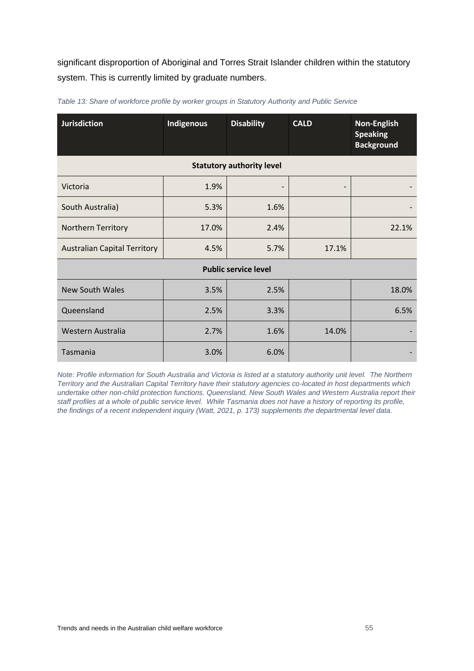significant disproportion of Aboriginal and Torres Strait Islander children within the statutory system. This is currently limited by graduate numbers.

| <b>Jurisdiction</b>                 | Indigenous | <b>Disability</b> | <b>CALD</b> | Non-English<br><b>Speaking</b><br><b>Background</b> |
|-------------------------------------|------------|-------------------|-------------|-----------------------------------------------------|
| <b>Statutory authority level</b>    |            |                   |             |                                                     |
| Victoria                            | 1.9%       |                   |             |                                                     |
| South Australia)                    | 5.3%       | 1.6%              |             |                                                     |
| Northern Territory                  | 17.0%      | 2.4%              |             | 22.1%                                               |
| <b>Australian Capital Territory</b> | 4.5%       | 5.7%              | 17.1%       |                                                     |
| <b>Public service level</b>         |            |                   |             |                                                     |
| <b>New South Wales</b>              | 3.5%       | 2.5%              |             | 18.0%                                               |
| Queensland                          | 2.5%       | 3.3%              |             | 6.5%                                                |
| Western Australia                   | 2.7%       | 1.6%              | 14.0%       |                                                     |
| Tasmania                            | 3.0%       | 6.0%              |             |                                                     |

<span id="page-54-0"></span>*Table 13: Share of workforce profile by worker groups in Statutory Authority and Public Service*

*Note: Profile information for South Australia and Victoria is listed at a statutory authority unit level. The Northern Territory and the Australian Capital Territory have their statutory agencies co-located in host departments which undertake other non-child protection functions. Queensland, New South Wales and Western Australia report their staff profiles at a whole of public service level. While Tasmania does not have a history of reporting its profile, the findings of a recent independent inquiry (Watt, 2021, p. 173) supplements the departmental level data.*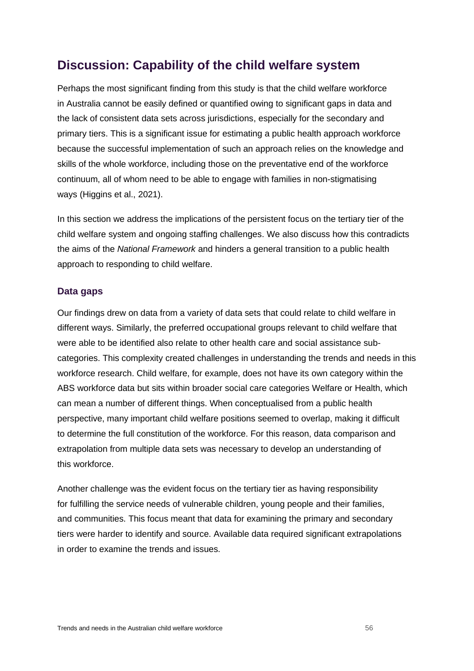## **Discussion: Capability of the child welfare system**

Perhaps the most significant finding from this study is that the child welfare workforce in Australia cannot be easily defined or quantified owing to significant gaps in data and the lack of consistent data sets across jurisdictions, especially for the secondary and primary tiers. This is a significant issue for estimating a public health approach workforce because the successful implementation of such an approach relies on the knowledge and skills of the whole workforce, including those on the preventative end of the workforce continuum, all of whom need to be able to engage with families in non-stigmatising ways (Higgins et al., 2021).

In this section we address the implications of the persistent focus on the tertiary tier of the child welfare system and ongoing staffing challenges. We also discuss how this contradicts the aims of the *National Framework* and hinders a general transition to a public health approach to responding to child welfare.

## **Data gaps**

Our findings drew on data from a variety of data sets that could relate to child welfare in different ways. Similarly, the preferred occupational groups relevant to child welfare that were able to be identified also relate to other health care and social assistance subcategories. This complexity created challenges in understanding the trends and needs in this workforce research. Child welfare, for example, does not have its own category within the ABS workforce data but sits within broader social care categories Welfare or Health, which can mean a number of different things. When conceptualised from a public health perspective, many important child welfare positions seemed to overlap, making it difficult to determine the full constitution of the workforce. For this reason, data comparison and extrapolation from multiple data sets was necessary to develop an understanding of this workforce.

Another challenge was the evident focus on the tertiary tier as having responsibility for fulfilling the service needs of vulnerable children, young people and their families, and communities. This focus meant that data for examining the primary and secondary tiers were harder to identify and source. Available data required significant extrapolations in order to examine the trends and issues.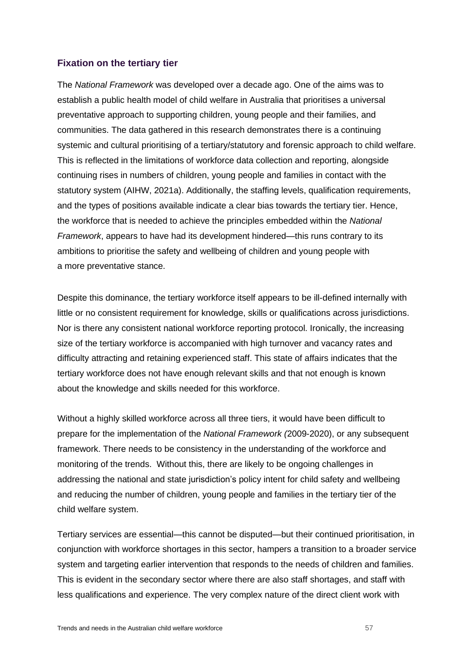## **Fixation on the tertiary tier**

The *National Framework* was developed over a decade ago. One of the aims was to establish a public health model of child welfare in Australia that prioritises a universal preventative approach to supporting children, young people and their families, and communities. The data gathered in this research demonstrates there is a continuing systemic and cultural prioritising of a tertiary/statutory and forensic approach to child welfare. This is reflected in the limitations of workforce data collection and reporting, alongside continuing rises in numbers of children, young people and families in contact with the statutory system (AIHW, 2021a). Additionally, the staffing levels, qualification requirements, and the types of positions available indicate a clear bias towards the tertiary tier. Hence, the workforce that is needed to achieve the principles embedded within the *National Framework*, appears to have had its development hindered—this runs contrary to its ambitions to prioritise the safety and wellbeing of children and young people with a more preventative stance.

Despite this dominance, the tertiary workforce itself appears to be ill-defined internally with little or no consistent requirement for knowledge, skills or qualifications across jurisdictions. Nor is there any consistent national workforce reporting protocol. Ironically, the increasing size of the tertiary workforce is accompanied with high turnover and vacancy rates and difficulty attracting and retaining experienced staff. This state of affairs indicates that the tertiary workforce does not have enough relevant skills and that not enough is known about the knowledge and skills needed for this workforce.

Without a highly skilled workforce across all three tiers, it would have been difficult to prepare for the implementation of the *National Framework (*2009-2020), or any subsequent framework. There needs to be consistency in the understanding of the workforce and monitoring of the trends. Without this, there are likely to be ongoing challenges in addressing the national and state jurisdiction's policy intent for child safety and wellbeing and reducing the number of children, young people and families in the tertiary tier of the child welfare system.

Tertiary services are essential—this cannot be disputed—but their continued prioritisation, in conjunction with workforce shortages in this sector, hampers a transition to a broader service system and targeting earlier intervention that responds to the needs of children and families. This is evident in the secondary sector where there are also staff shortages, and staff with less qualifications and experience. The very complex nature of the direct client work with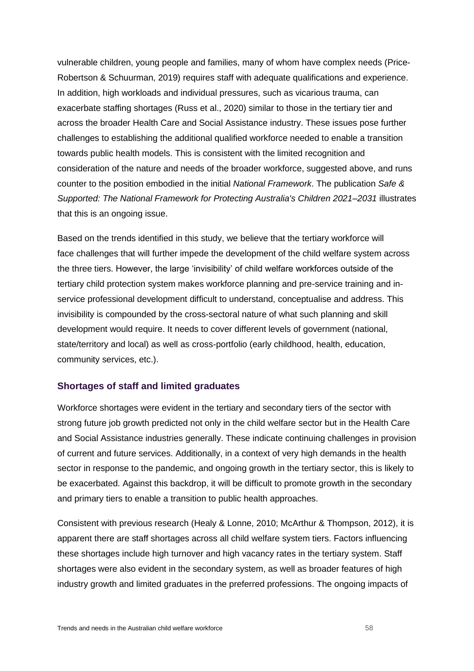vulnerable children, young people and families, many of whom have complex needs (Price-Robertson & Schuurman, 2019) requires staff with adequate qualifications and experience. In addition, high workloads and individual pressures, such as vicarious trauma, can exacerbate staffing shortages (Russ et al., 2020) similar to those in the tertiary tier and across the broader Health Care and Social Assistance industry. These issues pose further challenges to establishing the additional qualified workforce needed to enable a transition towards public health models. This is consistent with the limited recognition and consideration of the nature and needs of the broader workforce, suggested above, and runs counter to the position embodied in the initial *National Framework*. The publication *Safe & Supported: The National Framework for Protecting Australia's Children 2021–2031* illustrates that this is an ongoing issue.

Based on the trends identified in this study, we believe that the tertiary workforce will face challenges that will further impede the development of the child welfare system across the three tiers. However, the large 'invisibility' of child welfare workforces outside of the tertiary child protection system makes workforce planning and pre-service training and inservice professional development difficult to understand, conceptualise and address. This invisibility is compounded by the cross-sectoral nature of what such planning and skill development would require. It needs to cover different levels of government (national, state/territory and local) as well as cross-portfolio (early childhood, health, education, community services, etc.).

## **Shortages of staff and limited graduates**

Workforce shortages were evident in the tertiary and secondary tiers of the sector with strong future job growth predicted not only in the child welfare sector but in the Health Care and Social Assistance industries generally. These indicate continuing challenges in provision of current and future services. Additionally, in a context of very high demands in the health sector in response to the pandemic, and ongoing growth in the tertiary sector, this is likely to be exacerbated. Against this backdrop, it will be difficult to promote growth in the secondary and primary tiers to enable a transition to public health approaches.

Consistent with previous research (Healy & Lonne, 2010; McArthur & Thompson, 2012), it is apparent there are staff shortages across all child welfare system tiers. Factors influencing these shortages include high turnover and high vacancy rates in the tertiary system. Staff shortages were also evident in the secondary system, as well as broader features of high industry growth and limited graduates in the preferred professions. The ongoing impacts of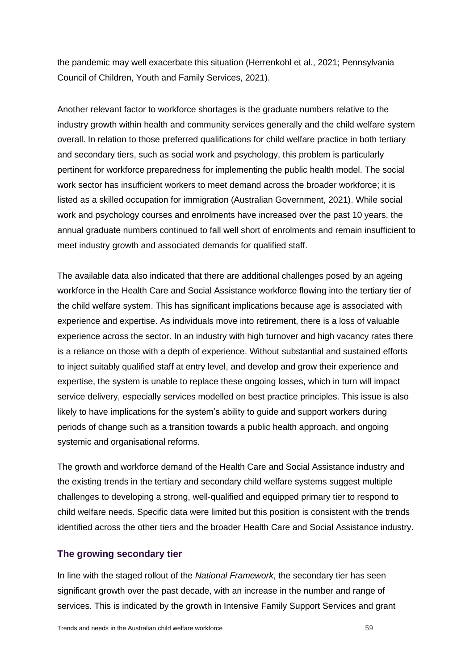the pandemic may well exacerbate this situation (Herrenkohl et al., 2021; Pennsylvania Council of Children, Youth and Family Services, 2021).

Another relevant factor to workforce shortages is the graduate numbers relative to the industry growth within health and community services generally and the child welfare system overall. In relation to those preferred qualifications for child welfare practice in both tertiary and secondary tiers, such as social work and psychology, this problem is particularly pertinent for workforce preparedness for implementing the public health model. The social work sector has insufficient workers to meet demand across the broader workforce; it is listed as a skilled occupation for immigration (Australian Government, 2021). While social work and psychology courses and enrolments have increased over the past 10 years, the annual graduate numbers continued to fall well short of enrolments and remain insufficient to meet industry growth and associated demands for qualified staff.

The available data also indicated that there are additional challenges posed by an ageing workforce in the Health Care and Social Assistance workforce flowing into the tertiary tier of the child welfare system. This has significant implications because age is associated with experience and expertise. As individuals move into retirement, there is a loss of valuable experience across the sector. In an industry with high turnover and high vacancy rates there is a reliance on those with a depth of experience. Without substantial and sustained efforts to inject suitably qualified staff at entry level, and develop and grow their experience and expertise, the system is unable to replace these ongoing losses, which in turn will impact service delivery, especially services modelled on best practice principles. This issue is also likely to have implications for the system's ability to guide and support workers during periods of change such as a transition towards a public health approach, and ongoing systemic and organisational reforms.

The growth and workforce demand of the Health Care and Social Assistance industry and the existing trends in the tertiary and secondary child welfare systems suggest multiple challenges to developing a strong, well-qualified and equipped primary tier to respond to child welfare needs. Specific data were limited but this position is consistent with the trends identified across the other tiers and the broader Health Care and Social Assistance industry.

## **The growing secondary tier**

In line with the staged rollout of the *National Framework*, the secondary tier has seen significant growth over the past decade, with an increase in the number and range of services. This is indicated by the growth in Intensive Family Support Services and grant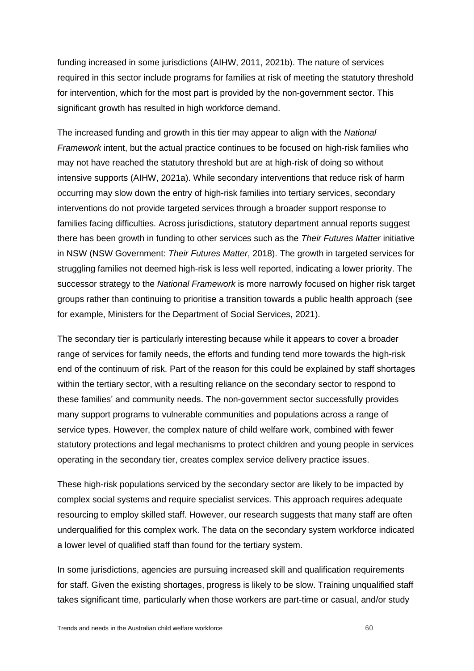funding increased in some jurisdictions (AIHW, 2011, 2021b). The nature of services required in this sector include programs for families at risk of meeting the statutory threshold for intervention, which for the most part is provided by the non-government sector. This significant growth has resulted in high workforce demand.

The increased funding and growth in this tier may appear to align with the *National Framework* intent, but the actual practice continues to be focused on high-risk families who may not have reached the statutory threshold but are at high-risk of doing so without intensive supports (AIHW, 2021a). While secondary interventions that reduce risk of harm occurring may slow down the entry of high-risk families into tertiary services, secondary interventions do not provide targeted services through a broader support response to families facing difficulties. Across jurisdictions, statutory department annual reports suggest there has been growth in funding to other services such as the *Their Futures Matter* initiative in NSW (NSW Government: *Their Futures Matter*, 2018). The growth in targeted services for struggling families not deemed high-risk is less well reported, indicating a lower priority. The successor strategy to the *National Framework* is more narrowly focused on higher risk target groups rather than continuing to prioritise a transition towards a public health approach (see for example, Ministers for the Department of Social Services, 2021).

The secondary tier is particularly interesting because while it appears to cover a broader range of services for family needs, the efforts and funding tend more towards the high-risk end of the continuum of risk. Part of the reason for this could be explained by staff shortages within the tertiary sector, with a resulting reliance on the secondary sector to respond to these families' and community needs. The non-government sector successfully provides many support programs to vulnerable communities and populations across a range of service types. However, the complex nature of child welfare work, combined with fewer statutory protections and legal mechanisms to protect children and young people in services operating in the secondary tier, creates complex service delivery practice issues.

These high-risk populations serviced by the secondary sector are likely to be impacted by complex social systems and require specialist services. This approach requires adequate resourcing to employ skilled staff. However, our research suggests that many staff are often underqualified for this complex work. The data on the secondary system workforce indicated a lower level of qualified staff than found for the tertiary system.

In some jurisdictions, agencies are pursuing increased skill and qualification requirements for staff. Given the existing shortages, progress is likely to be slow. Training unqualified staff takes significant time, particularly when those workers are part-time or casual, and/or study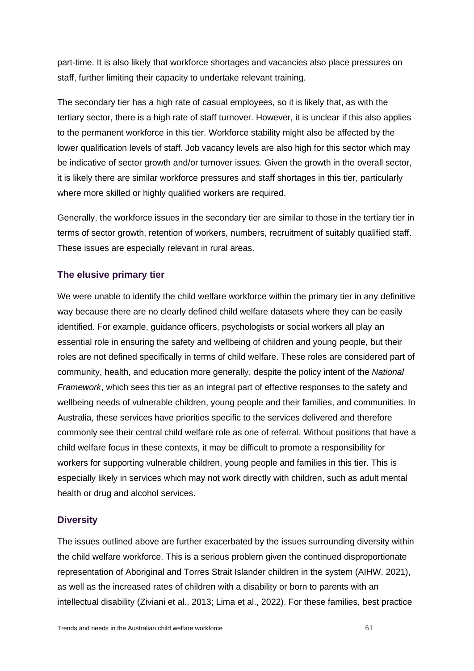part-time. It is also likely that workforce shortages and vacancies also place pressures on staff, further limiting their capacity to undertake relevant training.

The secondary tier has a high rate of casual employees, so it is likely that, as with the tertiary sector, there is a high rate of staff turnover. However, it is unclear if this also applies to the permanent workforce in this tier. Workforce stability might also be affected by the lower qualification levels of staff. Job vacancy levels are also high for this sector which may be indicative of sector growth and/or turnover issues. Given the growth in the overall sector, it is likely there are similar workforce pressures and staff shortages in this tier, particularly where more skilled or highly qualified workers are required.

Generally, the workforce issues in the secondary tier are similar to those in the tertiary tier in terms of sector growth, retention of workers, numbers, recruitment of suitably qualified staff. These issues are especially relevant in rural areas.

## **The elusive primary tier**

We were unable to identify the child welfare workforce within the primary tier in any definitive way because there are no clearly defined child welfare datasets where they can be easily identified. For example, guidance officers, psychologists or social workers all play an essential role in ensuring the safety and wellbeing of children and young people, but their roles are not defined specifically in terms of child welfare. These roles are considered part of community, health, and education more generally, despite the policy intent of the *National Framework*, which sees this tier as an integral part of effective responses to the safety and wellbeing needs of vulnerable children, young people and their families, and communities. In Australia, these services have priorities specific to the services delivered and therefore commonly see their central child welfare role as one of referral. Without positions that have a child welfare focus in these contexts, it may be difficult to promote a responsibility for workers for supporting vulnerable children, young people and families in this tier. This is especially likely in services which may not work directly with children, such as adult mental health or drug and alcohol services.

## **Diversity**

The issues outlined above are further exacerbated by the issues surrounding diversity within the child welfare workforce. This is a serious problem given the continued disproportionate representation of Aboriginal and Torres Strait Islander children in the system (AIHW. 2021), as well as the increased rates of children with a disability or born to parents with an intellectual disability (Ziviani et al., 2013; Lima et al., 2022). For these families, best practice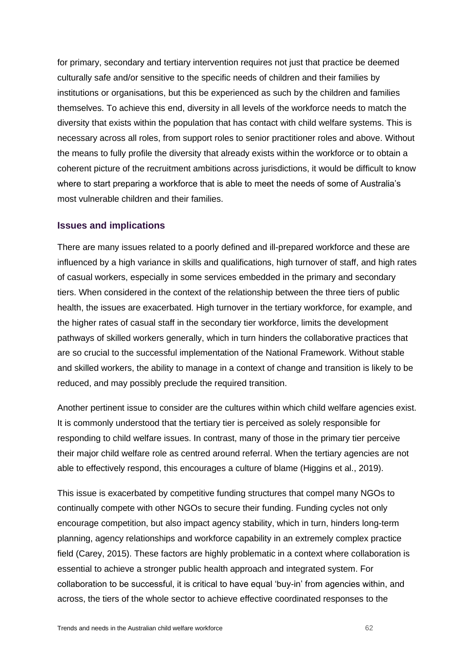for primary, secondary and tertiary intervention requires not just that practice be deemed culturally safe and/or sensitive to the specific needs of children and their families by institutions or organisations, but this be experienced as such by the children and families themselves. To achieve this end, diversity in all levels of the workforce needs to match the diversity that exists within the population that has contact with child welfare systems. This is necessary across all roles, from support roles to senior practitioner roles and above. Without the means to fully profile the diversity that already exists within the workforce or to obtain a coherent picture of the recruitment ambitions across jurisdictions, it would be difficult to know where to start preparing a workforce that is able to meet the needs of some of Australia's most vulnerable children and their families.

## **Issues and implications**

There are many issues related to a poorly defined and ill-prepared workforce and these are influenced by a high variance in skills and qualifications, high turnover of staff, and high rates of casual workers, especially in some services embedded in the primary and secondary tiers. When considered in the context of the relationship between the three tiers of public health, the issues are exacerbated. High turnover in the tertiary workforce, for example, and the higher rates of casual staff in the secondary tier workforce, limits the development pathways of skilled workers generally, which in turn hinders the collaborative practices that are so crucial to the successful implementation of the National Framework. Without stable and skilled workers, the ability to manage in a context of change and transition is likely to be reduced, and may possibly preclude the required transition.

Another pertinent issue to consider are the cultures within which child welfare agencies exist. It is commonly understood that the tertiary tier is perceived as solely responsible for responding to child welfare issues. In contrast, many of those in the primary tier perceive their major child welfare role as centred around referral. When the tertiary agencies are not able to effectively respond, this encourages a culture of blame (Higgins et al., 2019).

This issue is exacerbated by competitive funding structures that compel many NGOs to continually compete with other NGOs to secure their funding. Funding cycles not only encourage competition, but also impact agency stability, which in turn, hinders long-term planning, agency relationships and workforce capability in an extremely complex practice field (Carey, 2015). These factors are highly problematic in a context where collaboration is essential to achieve a stronger public health approach and integrated system. For collaboration to be successful, it is critical to have equal 'buy-in' from agencies within, and across, the tiers of the whole sector to achieve effective coordinated responses to the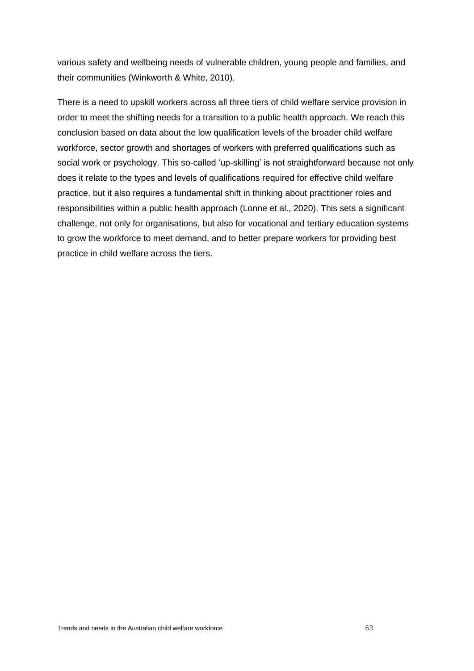various safety and wellbeing needs of vulnerable children, young people and families, and their communities (Winkworth & White, 2010).

There is a need to upskill workers across all three tiers of child welfare service provision in order to meet the shifting needs for a transition to a public health approach. We reach this conclusion based on data about the low qualification levels of the broader child welfare workforce, sector growth and shortages of workers with preferred qualifications such as social work or psychology. This so-called 'up-skilling' is not straightforward because not only does it relate to the types and levels of qualifications required for effective child welfare practice, but it also requires a fundamental shift in thinking about practitioner roles and responsibilities within a public health approach (Lonne et al., 2020). This sets a significant challenge, not only for organisations, but also for vocational and tertiary education systems to grow the workforce to meet demand, and to better prepare workers for providing best practice in child welfare across the tiers.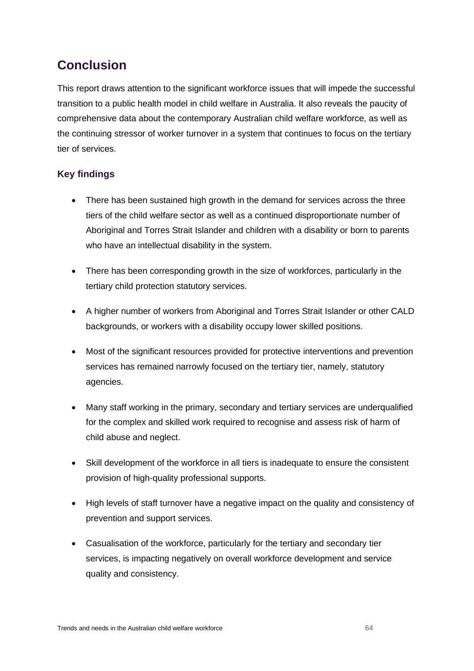# **Conclusion**

This report draws attention to the significant workforce issues that will impede the successful transition to a public health model in child welfare in Australia. It also reveals the paucity of comprehensive data about the contemporary Australian child welfare workforce, as well as the continuing stressor of worker turnover in a system that continues to focus on the tertiary tier of services.

## **Key findings**

- There has been sustained high growth in the demand for services across the three tiers of the child welfare sector as well as a continued disproportionate number of Aboriginal and Torres Strait Islander and children with a disability or born to parents who have an intellectual disability in the system.
- There has been corresponding growth in the size of workforces, particularly in the tertiary child protection statutory services.
- A higher number of workers from Aboriginal and Torres Strait Islander or other CALD backgrounds, or workers with a disability occupy lower skilled positions.
- Most of the significant resources provided for protective interventions and prevention services has remained narrowly focused on the tertiary tier, namely, statutory agencies.
- Many staff working in the primary, secondary and tertiary services are underqualified for the complex and skilled work required to recognise and assess risk of harm of child abuse and neglect.
- Skill development of the workforce in all tiers is inadequate to ensure the consistent provision of high-quality professional supports.
- High levels of staff turnover have a negative impact on the quality and consistency of prevention and support services.
- Casualisation of the workforce, particularly for the tertiary and secondary tier services, is impacting negatively on overall workforce development and service quality and consistency.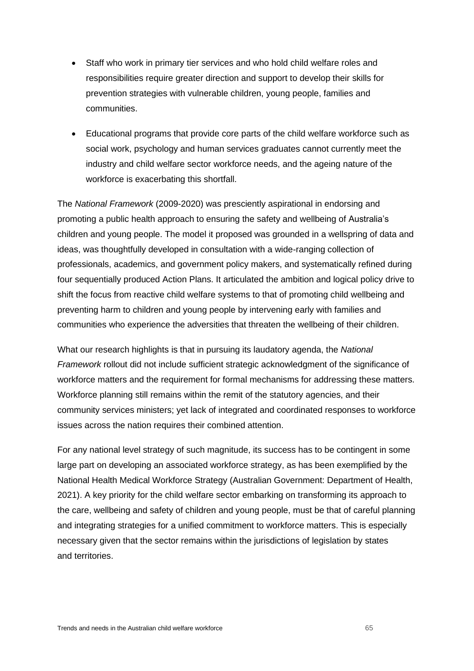- Staff who work in primary tier services and who hold child welfare roles and responsibilities require greater direction and support to develop their skills for prevention strategies with vulnerable children, young people, families and communities.
- Educational programs that provide core parts of the child welfare workforce such as social work, psychology and human services graduates cannot currently meet the industry and child welfare sector workforce needs, and the ageing nature of the workforce is exacerbating this shortfall.

The *National Framework* (2009-2020) was presciently aspirational in endorsing and promoting a public health approach to ensuring the safety and wellbeing of Australia's children and young people. The model it proposed was grounded in a wellspring of data and ideas, was thoughtfully developed in consultation with a wide-ranging collection of professionals, academics, and government policy makers, and systematically refined during four sequentially produced Action Plans. It articulated the ambition and logical policy drive to shift the focus from reactive child welfare systems to that of promoting child wellbeing and preventing harm to children and young people by intervening early with families and communities who experience the adversities that threaten the wellbeing of their children.

What our research highlights is that in pursuing its laudatory agenda, the *National Framework* rollout did not include sufficient strategic acknowledgment of the significance of workforce matters and the requirement for formal mechanisms for addressing these matters. Workforce planning still remains within the remit of the statutory agencies, and their community services ministers; yet lack of integrated and coordinated responses to workforce issues across the nation requires their combined attention.

For any national level strategy of such magnitude, its success has to be contingent in some large part on developing an associated workforce strategy, as has been exemplified by the National Health Medical Workforce Strategy (Australian Government: Department of Health, 2021). A key priority for the child welfare sector embarking on transforming its approach to the care, wellbeing and safety of children and young people, must be that of careful planning and integrating strategies for a unified commitment to workforce matters. This is especially necessary given that the sector remains within the jurisdictions of legislation by states and territories.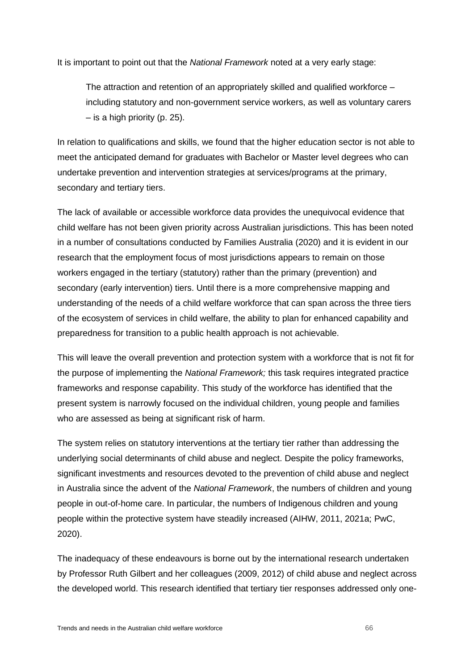It is important to point out that the *National Framework* noted at a very early stage:

The attraction and retention of an appropriately skilled and qualified workforce – including statutory and non-government service workers, as well as voluntary carers – is a high priority (p. 25).

In relation to qualifications and skills, we found that the higher education sector is not able to meet the anticipated demand for graduates with Bachelor or Master level degrees who can undertake prevention and intervention strategies at services/programs at the primary, secondary and tertiary tiers.

The lack of available or accessible workforce data provides the unequivocal evidence that child welfare has not been given priority across Australian jurisdictions. This has been noted in a number of consultations conducted by Families Australia (2020) and it is evident in our research that the employment focus of most jurisdictions appears to remain on those workers engaged in the tertiary (statutory) rather than the primary (prevention) and secondary (early intervention) tiers. Until there is a more comprehensive mapping and understanding of the needs of a child welfare workforce that can span across the three tiers of the ecosystem of services in child welfare, the ability to plan for enhanced capability and preparedness for transition to a public health approach is not achievable.

This will leave the overall prevention and protection system with a workforce that is not fit for the purpose of implementing the *National Framework;* this task requires integrated practice frameworks and response capability. This study of the workforce has identified that the present system is narrowly focused on the individual children, young people and families who are assessed as being at significant risk of harm.

The system relies on statutory interventions at the tertiary tier rather than addressing the underlying social determinants of child abuse and neglect. Despite the policy frameworks, significant investments and resources devoted to the prevention of child abuse and neglect in Australia since the advent of the *National Framework*, the numbers of children and young people in out-of-home care. In particular, the numbers of Indigenous children and young people within the protective system have steadily increased (AIHW, 2011, 2021a; PwC, 2020).

The inadequacy of these endeavours is borne out by the international research undertaken by Professor Ruth Gilbert and her colleagues (2009, 2012) of child abuse and neglect across the developed world. This research identified that tertiary tier responses addressed only one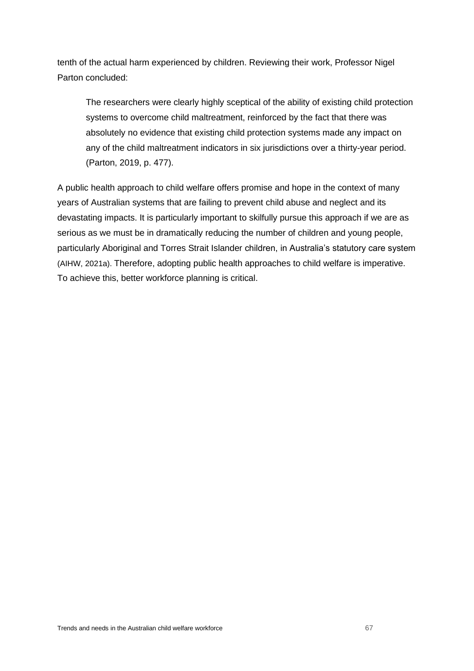tenth of the actual harm experienced by children. Reviewing their work, Professor Nigel Parton concluded:

The researchers were clearly highly sceptical of the ability of existing child protection systems to overcome child maltreatment, reinforced by the fact that there was absolutely no evidence that existing child protection systems made any impact on any of the child maltreatment indicators in six jurisdictions over a thirty-year period. (Parton, 2019, p. 477).

A public health approach to child welfare offers promise and hope in the context of many years of Australian systems that are failing to prevent child abuse and neglect and its devastating impacts. It is particularly important to skilfully pursue this approach if we are as serious as we must be in dramatically reducing the number of children and young people, particularly Aboriginal and Torres Strait Islander children, in Australia's statutory care system (AIHW, 2021a). Therefore, adopting public health approaches to child welfare is imperative. To achieve this, better workforce planning is critical.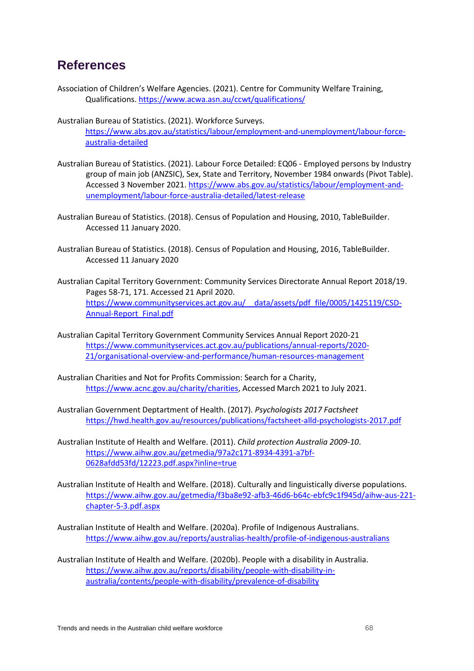## **References**

- Association of Children's Welfare Agencies. (2021). Centre for Community Welfare Training, Qualifications.<https://www.acwa.asn.au/ccwt/qualifications/>
- Australian Bureau of Statistics. (2021). Workforce Surveys. [https://www.abs.gov.au/statistics/labour/employment-and-unemployment/labour-force](https://www.abs.gov.au/statistics/labour/employment-and-unemployment/labour-force-australia-detailed)[australia-detailed](https://www.abs.gov.au/statistics/labour/employment-and-unemployment/labour-force-australia-detailed)
- Australian Bureau of Statistics. (2021). Labour Force Detailed: EQ06 Employed persons by Industry group of main job (ANZSIC), Sex, State and Territory, November 1984 onwards (Pivot Table). Accessed 3 November 2021. [https://www.abs.gov.au/statistics/labour/employment-and](https://www.abs.gov.au/statistics/labour/employment-and-unemployment/labour-force-australia-detailed/latest-release)[unemployment/labour-force-australia-detailed/latest-release](https://www.abs.gov.au/statistics/labour/employment-and-unemployment/labour-force-australia-detailed/latest-release)
- Australian Bureau of Statistics. (2018). Census of Population and Housing, 2010, TableBuilder. Accessed 11 January 2020.
- Australian Bureau of Statistics. (2018). Census of Population and Housing, 2016, TableBuilder. Accessed 11 January 2020
- Australian Capital Territory Government: Community Services Directorate Annual Report 2018/19. Pages 58-71, 171. Accessed 21 April 2020. [https://www.communityservices.act.gov.au/\\_\\_data/assets/pdf\\_file/0005/1425119/CSD-](https://www.communityservices.act.gov.au/__data/assets/pdf_file/0005/1425119/CSD-Annual-Report_Final.pdf)[Annual-Report\\_Final.pdf](https://www.communityservices.act.gov.au/__data/assets/pdf_file/0005/1425119/CSD-Annual-Report_Final.pdf)
- Australian Capital Territory Government Community Services Annual Report 2020-21 [https://www.communityservices.act.gov.au/publications/annual-reports/2020-](https://www.communityservices.act.gov.au/publications/annual-reports/2020-21/organisational-overview-and-performance/human-resources-management) [21/organisational-overview-and-performance/human-resources-management](https://www.communityservices.act.gov.au/publications/annual-reports/2020-21/organisational-overview-and-performance/human-resources-management)
- Australian Charities and Not for Profits Commission: Search for a Charity, [https://www.acnc.gov.au/charity/charities,](https://www.acnc.gov.au/charity/charities) Accessed March 2021 to July 2021.
- Australian Government Deptartment of Health. (2017). *Psychologists 2017 Factsheet*  <https://hwd.health.gov.au/resources/publications/factsheet-alld-psychologists-2017.pdf>
- Australian Institute of Health and Welfare. (2011). *Child protection Australia 2009-10*. [https://www.aihw.gov.au/getmedia/97a2c171-8934-4391-a7bf-](https://www.aihw.gov.au/getmedia/97a2c171-8934-4391-a7bf-0628afdd53fd/12223.pdf.aspx?inline=true)[0628afdd53fd/12223.pdf.aspx?inline=true](https://www.aihw.gov.au/getmedia/97a2c171-8934-4391-a7bf-0628afdd53fd/12223.pdf.aspx?inline=true)
- Australian Institute of Health and Welfare. (2018). Culturally and linguistically diverse populations. [https://www.aihw.gov.au/getmedia/f3ba8e92-afb3-46d6-b64c-ebfc9c1f945d/aihw-aus-221](https://www.aihw.gov.au/getmedia/f3ba8e92-afb3-46d6-b64c-ebfc9c1f945d/aihw-aus-221-chapter-5-3.pdf.aspx) [chapter-5-3.pdf.aspx](https://www.aihw.gov.au/getmedia/f3ba8e92-afb3-46d6-b64c-ebfc9c1f945d/aihw-aus-221-chapter-5-3.pdf.aspx)
- Australian Institute of Health and Welfare. (2020a). Profile of Indigenous Australians. <https://www.aihw.gov.au/reports/australias-health/profile-of-indigenous-australians>
- Australian Institute of Health and Welfare. (2020b). People with a disability in Australia. [https://www.aihw.gov.au/reports/disability/people-with-disability-in](https://www.aihw.gov.au/reports/disability/people-with-disability-in-australia/contents/people-with-disability/prevalence-of-disability)[australia/contents/people-with-disability/prevalence-of-disability](https://www.aihw.gov.au/reports/disability/people-with-disability-in-australia/contents/people-with-disability/prevalence-of-disability)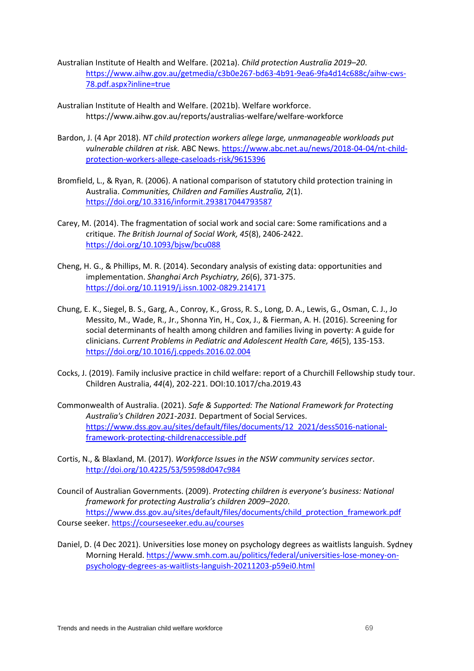- Australian Institute of Health and Welfare. (2021a). *Child protection Australia 2019–20*. [https://www.aihw.gov.au/getmedia/c3b0e267-bd63-4b91-9ea6-9fa4d14c688c/aihw-cws-](https://www.aihw.gov.au/getmedia/c3b0e267-bd63-4b91-9ea6-9fa4d14c688c/aihw-cws-78.pdf.aspx?inline=true)[78.pdf.aspx?inline=true](https://www.aihw.gov.au/getmedia/c3b0e267-bd63-4b91-9ea6-9fa4d14c688c/aihw-cws-78.pdf.aspx?inline=true)
- Australian Institute of Health and Welfare. (2021b). Welfare workforce. <https://www.aihw.gov.au/reports/australias-welfare/welfare-workforce>
- Bardon, J. (4 Apr 2018). *NT child protection workers allege large, unmanageable workloads put vulnerable children at risk.* ABC News. [https://www.abc.net.au/news/2018-04-04/nt-child](https://www.abc.net.au/news/2018-04-04/nt-child-protection-workers-allege-caseloads-risk/9615396)[protection-workers-allege-caseloads-risk/9615396](https://www.abc.net.au/news/2018-04-04/nt-child-protection-workers-allege-caseloads-risk/9615396)
- Bromfield, L., & Ryan, R. (2006). A national comparison of statutory child protection training in Australia. *Communities, Children and Families Australia, 2*(1). <https://doi.org/10.3316/informit.293817044793587>
- Carey, M. (2014). The fragmentation of social work and social care: Some ramifications and a critique. *The British Journal of Social Work, 45*(8), 2406-2422. <https://doi.org/10.1093/bjsw/bcu088>
- Cheng, H. G., & Phillips, M. R. (2014). Secondary analysis of existing data: opportunities and implementation. *Shanghai Arch Psychiatry, 26*(6), 371-375. <https://doi.org/10.11919/j.issn.1002-0829.214171>
- Chung, E. K., Siegel, B. S., Garg, A., Conroy, K., Gross, R. S., Long, D. A., Lewis, G., Osman, C. J., Jo Messito, M., Wade, R., Jr., Shonna Yin, H., Cox, J., & Fierman, A. H. (2016). Screening for social determinants of health among children and families living in poverty: A guide for clinicians. *Current Problems in Pediatric and Adolescent Health Care, 46*(5), 135-153. <https://doi.org/10.1016/j.cppeds.2016.02.004>
- Cocks, J. (2019). Family inclusive practice in child welfare: report of a Churchill Fellowship study tour. Children Australia, *44*(4), 202-221. DOI:10.1017/cha.2019.43
- Commonwealth of Australia. (2021). *Safe & Supported: The National Framework for Protecting Australia's Children 2021-2031.* Department of Social Services. [https://www.dss.gov.au/sites/default/files/documents/12\\_2021/dess5016-national](https://www.dss.gov.au/sites/default/files/documents/12_2021/dess5016-national-framework-protecting-childrenaccessible.pdf)[framework-protecting-childrenaccessible.pdf](https://www.dss.gov.au/sites/default/files/documents/12_2021/dess5016-national-framework-protecting-childrenaccessible.pdf)
- Cortis, N., & Blaxland, M. (2017). *Workforce Issues in the NSW community services sector*. <http://doi.org/10.4225/53/59598d047c984>
- Council of Australian Governments. (2009). *Protecting children is everyone's business: National framework for protecting Australia's children 2009–2020*. [https://www.dss.gov.au/sites/default/files/documents/child\\_protection\\_framework.pdf](https://www.dss.gov.au/sites/default/files/documents/child_protection_framework.pdf) Course seeker[. https://courseseeker.edu.au/courses](https://courseseeker.edu.au/courses)
- Daniel, D. (4 Dec 2021). Universities lose money on psychology degrees as waitlists languish. Sydney Morning Herald. [https://www.smh.com.au/politics/federal/universities-lose-money-on](https://www.smh.com.au/politics/federal/universities-lose-money-on-psychology-degrees-as-waitlists-languish-20211203-p59ei0.html)[psychology-degrees-as-waitlists-languish-20211203-p59ei0.html](https://www.smh.com.au/politics/federal/universities-lose-money-on-psychology-degrees-as-waitlists-languish-20211203-p59ei0.html)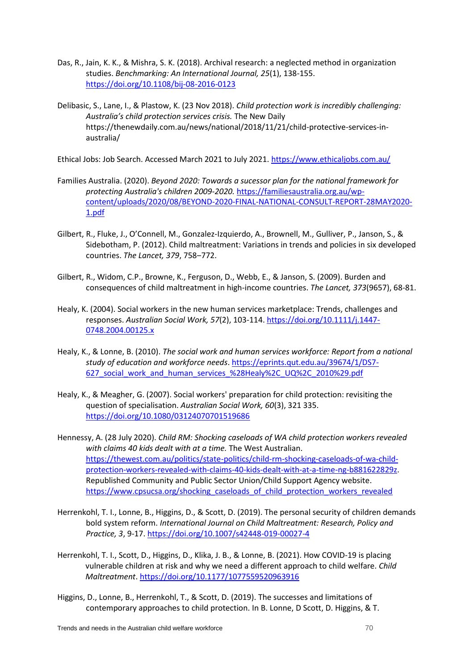- Das, R., Jain, K. K., & Mishra, S. K. (2018). Archival research: a neglected method in organization studies. *Benchmarking: An International Journal, 25*(1), 138-155. <https://doi.org/10.1108/bij-08-2016-0123>
- Delibasic, S., Lane, I., & Plastow, K. (23 Nov 2018). *Child protection work is incredibly challenging: Australia's child protection services crisis.* The New Daily [https://thenewdaily.com.au/news/national/2018/11/21/child-protective-services-in](https://thenewdaily.com.au/news/national/2018/11/21/child-protective-services-in-australia/)[australia/](https://thenewdaily.com.au/news/national/2018/11/21/child-protective-services-in-australia/)

Ethical Jobs: Job Search. Accessed March 2021 to July 2021. <https://www.ethicaljobs.com.au/>

- Families Australia. (2020). *Beyond 2020: Towards a sucessor plan for the national framework for protecting Australia's children 2009-2020.* [https://familiesaustralia.org.au/wp](https://familiesaustralia.org.au/wp-content/uploads/2020/08/BEYOND-2020-FINAL-NATIONAL-CONSULT-REPORT-28MAY2020-1.pdf)[content/uploads/2020/08/BEYOND-2020-FINAL-NATIONAL-CONSULT-REPORT-28MAY2020-](https://familiesaustralia.org.au/wp-content/uploads/2020/08/BEYOND-2020-FINAL-NATIONAL-CONSULT-REPORT-28MAY2020-1.pdf) [1.pdf](https://familiesaustralia.org.au/wp-content/uploads/2020/08/BEYOND-2020-FINAL-NATIONAL-CONSULT-REPORT-28MAY2020-1.pdf)
- Gilbert, R., Fluke, J., O'Connell, M., Gonzalez-Izquierdo, A., Brownell, M., Gulliver, P., Janson, S., & Sidebotham, P. (2012). Child maltreatment: Variations in trends and policies in six developed countries. *The Lancet*, 379, 758-772.
- Gilbert, R., Widom, C.P., Browne, K., Ferguson, D., Webb, E., & Janson, S. (2009). Burden and consequences of child maltreatment in high-income countries. *The Lancet, 373*(9657), 68-81.
- Healy, K. (2004). Social workers in the new human services marketplace: Trends, challenges and responses. *Australian Social Work, 57*(2), 103-114. [https://doi.org/10.1111/j.1447-](https://doi.org/10.1111/j.1447-0748.2004.00125.x) [0748.2004.00125.x](https://doi.org/10.1111/j.1447-0748.2004.00125.x)
- Healy, K., & Lonne, B. (2010). *The social work and human services workforce: Report from a national study of education and workforce needs*. [https://eprints.qut.edu.au/39674/1/DS7-](https://eprints.qut.edu.au/39674/1/DS7-627_social_work_and_human_services_%28Healy%2C_UQ%2C_2010%29.pdf) [627\\_social\\_work\\_and\\_human\\_services\\_%28Healy%2C\\_UQ%2C\\_2010%29.pdf](https://eprints.qut.edu.au/39674/1/DS7-627_social_work_and_human_services_%28Healy%2C_UQ%2C_2010%29.pdf)
- Healy, K., & Meagher, G. (2007). Social workers' preparation for child protection: revisiting the question of specialisation. *Australian Social Work, 60*(3), 321 335. <https://doi.org/10.1080/03124070701519686>
- [Hennessy,](https://thewest.com.au/profile/annabel-hennessy) A. (28 July 2020). *Child RM: Shocking caseloads of WA child protection workers revealed with claims 40 kids dealt with at a time.* The West Australian. https://thewest.com.au/politics/state-politics/child-rm-shocking-caseloads-of-wa-childprotection-workers-revealed-with-claims-40-kids-dealt-with-at-a-time-ng-b881622829z. Republished Community and Public Sector Union/Child Support Agency website. [https://www.cpsucsa.org/shocking\\_caseloads\\_of\\_child\\_protection\\_workers\\_revealed](https://www.cpsucsa.org/shocking_caseloads_of_child_protection_workers_revealed)
- Herrenkohl, T. I., Lonne, B., Higgins, D., & Scott, D. (2019). The personal security of children demands bold system reform. *International Journal on Child Maltreatment: Research, Policy and Practice, 3*, 9-17.<https://doi.org/10.1007/s42448-019-00027-4>
- Herrenkohl, T. I., Scott, D., Higgins, D., Klika, J. B., & Lonne, B. (2021). How COVID-19 is placing vulnerable children at risk and why we need a different approach to child welfare. *Child Maltreatment*[. https://doi.org/10.1177/1077559520963916](https://doi.org/10.1177/1077559520963916)
- Higgins, D., Lonne, B., Herrenkohl, T., & Scott, D. (2019). The successes and limitations of contemporary approaches to child protection. In B. Lonne, D Scott, D. Higgins, & T.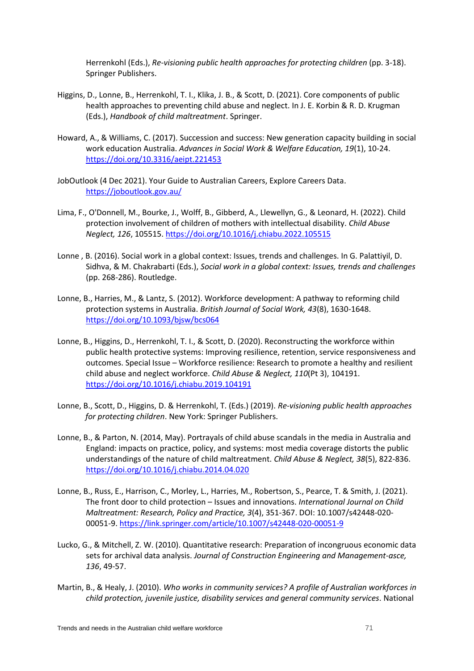Herrenkohl (Eds.), *Re-visioning public health approaches for protecting children* (pp. 3-18). Springer Publishers.

- Higgins, D., Lonne, B., Herrenkohl, T. I., Klika, J. B., & Scott, D. (2021). Core components of public health approaches to preventing child abuse and neglect. In J. E. Korbin & R. D. Krugman (Eds.), *Handbook of child maltreatment*. Springer.
- Howard, A., & Williams, C. (2017). Succession and success: New generation capacity building in social work education Australia. *Advances in Social Work & Welfare Education, 19*(1), 10-24. <https://doi.org/10.3316/aeipt.221453>
- JobOutlook (4 Dec 2021). Your Guide to Australian Careers, Explore Careers Data. <https://joboutlook.gov.au/>
- Lima, F., O'Donnell, M., Bourke, J., Wolff, B., Gibberd, A., Llewellyn, G., & Leonard, H. (2022). Child protection involvement of children of mothers with intellectual disability. *Child Abuse Neglect, 126*, 105515. <https://doi.org/10.1016/j.chiabu.2022.105515>
- Lonne , B. (2016). Social work in a global context: Issues, trends and challenges. In G. Palattiyil, D. Sidhva, & M. Chakrabarti (Eds.), *Social work in a global context: Issues, trends and challenges* (pp. 268-286). Routledge.
- Lonne, B., Harries, M., & Lantz, S. (2012). Workforce development: A pathway to reforming child protection systems in Australia. *British Journal of Social Work, 43*(8), 1630-1648. <https://doi.org/10.1093/bjsw/bcs064>
- Lonne, B., Higgins, D., Herrenkohl, T. I., & Scott, D. (2020). Reconstructing the workforce within public health protective systems: Improving resilience, retention, service responsiveness and outcomes. Special Issue – Workforce resilience: Research to promote a healthy and resilient child abuse and neglect workforce. *Child Abuse & Neglect, 110*(Pt 3), 104191. <https://doi.org/10.1016/j.chiabu.2019.104191>
- Lonne, B., Scott, D., Higgins, D. & Herrenkohl, T. (Eds.) (2019). *Re-visioning public health approaches for protecting children*. New York: Springer Publishers.
- Lonne, B., & Parton, N. (2014, May). Portrayals of child abuse scandals in the media in Australia and England: impacts on practice, policy, and systems: most media coverage distorts the public understandings of the nature of child maltreatment. *Child Abuse & Neglect, 38*(5), 822-836. <https://doi.org/10.1016/j.chiabu.2014.04.020>
- Lonne, B., Russ, E., Harrison, C., Morley, L., Harries, M., Robertson, S., Pearce, T. & Smith, J. (2021). The front door to child protection – Issues and innovations. *International Journal on Child Maltreatment: Research, Policy and Practice, 3*(4), 351-367. DOI: 10.1007/s42448-020- 00051-9. <https://link.springer.com/article/10.1007/s42448-020-00051-9>
- Lucko, G., & Mitchell, Z. W. (2010). Quantitative research: Preparation of incongruous economic data sets for archival data analysis. *Journal of Construction Engineering and Management-asce, 136*, 49-57.
- Martin, B., & Healy, J. (2010). *Who works in community services? A profile of Australian workforces in child protection, juvenile justice, disability services and general community services*. National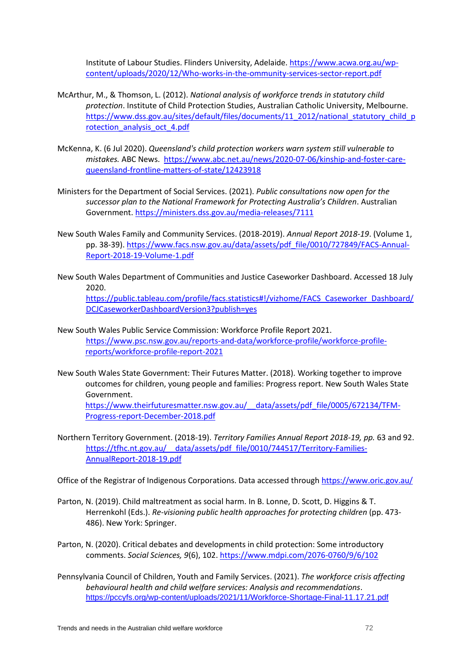Institute of Labour Studies. Flinders University, Adelaide. [https://www.acwa.org.au/wp](https://www.acwa.org.au/wp-content/uploads/2020/12/Who-works-in-the-ommunity-services-sector-report.pdf)[content/uploads/2020/12/Who-works-in-the-ommunity-services-sector-report.pdf](https://www.acwa.org.au/wp-content/uploads/2020/12/Who-works-in-the-ommunity-services-sector-report.pdf)

- McArthur, M., & Thomson, L. (2012). *National analysis of workforce trends in statutory child protection*. Institute of Child Protection Studies, Australian Catholic University, Melbourne. [https://www.dss.gov.au/sites/default/files/documents/11\\_2012/national\\_statutory\\_child\\_p](https://www.dss.gov.au/sites/default/files/documents/11_2012/national_statutory_child_protection_analysis_oct_4.pdf) [rotection\\_analysis\\_oct\\_4.pdf](https://www.dss.gov.au/sites/default/files/documents/11_2012/national_statutory_child_protection_analysis_oct_4.pdf)
- McKenna, K. (6 Jul 2020). *Queensland's child protection workers warn system still vulnerable to mistakes.* ABC News. [https://www.abc.net.au/news/2020-07-06/kinship-and-foster-care](https://www.abc.net.au/news/2020-07-06/kinship-and-foster-care-queensland-frontline-matters-of-state/12423918)[queensland-frontline-matters-of-state/12423918](https://www.abc.net.au/news/2020-07-06/kinship-and-foster-care-queensland-frontline-matters-of-state/12423918)
- Ministers for the Department of Social Services. (2021). *Public consultations now open for the successor plan to the National Framework for Protecting Australia's Children*. Australian Government.<https://ministers.dss.gov.au/media-releases/7111>
- New South Wales Family and Community Services. (2018-2019). *Annual Report 2018-19*. (Volume 1, pp. 38-39). [https://www.facs.nsw.gov.au/data/assets/pdf\\_file/0010/727849/FACS-Annual-](https://www.facs.nsw.gov.au/data/assets/pdf_file/0010/727849/FACS-Annual-Report-2018-19-Volume-1.pdf)[Report-2018-19-Volume-1.pdf](https://www.facs.nsw.gov.au/data/assets/pdf_file/0010/727849/FACS-Annual-Report-2018-19-Volume-1.pdf)
- New South Wales Department of Communities and Justice Caseworker Dashboard. Accessed 18 July 2020.

[https://public.tableau.com/profile/facs.statistics#!/vizhome/FACS\\_Caseworker\\_Dashboard/](https://public.tableau.com/profile/facs.statistics#!/vizhome/FACS_Caseworker_Dashboard/DCJCaseworkerDashboardVersion3?publish=yes) [DCJCaseworkerDashboardVersion3?publish=yes](https://public.tableau.com/profile/facs.statistics#!/vizhome/FACS_Caseworker_Dashboard/DCJCaseworkerDashboardVersion3?publish=yes)

- New South Wales Public Service Commission: Workforce Profile Report 2021. [https://www.psc.nsw.gov.au/reports-and-data/workforce-profile/workforce-profile](https://www.psc.nsw.gov.au/reports-and-data/workforce-profile/workforce-profile-reports/workforce-profile-report-2021)[reports/workforce-profile-report-2021](https://www.psc.nsw.gov.au/reports-and-data/workforce-profile/workforce-profile-reports/workforce-profile-report-2021)
- New South Wales State Government: Their Futures Matter. (2018). Working together to improve outcomes for children, young people and families: Progress report. New South Wales State Government. [https://www.theirfuturesmatter.nsw.gov.au/\\_\\_data/assets/pdf\\_file/0005/672134/TFM-](https://www.theirfuturesmatter.nsw.gov.au/__data/assets/pdf_file/0005/672134/TFM-Progress-report-December-2018.pdf)

[Progress-report-December-2018.pdf](https://www.theirfuturesmatter.nsw.gov.au/__data/assets/pdf_file/0005/672134/TFM-Progress-report-December-2018.pdf)

Northern Territory Government. (2018-19). *Territory Families Annual Report 2018-19, pp.* 63 and 92. https://tfhc.nt.gov.au/ data/assets/pdf file/0010/744517/Territory-Families-[AnnualReport-2018-19.pdf](https://tfhc.nt.gov.au/__data/assets/pdf_file/0010/744517/Territory-Families-AnnualReport-2018-19.pdf)

Office of the Registrar of Indigenous Corporations. Data accessed through<https://www.oric.gov.au/>

- Parton, N. (2019). Child maltreatment as social harm. In B. Lonne, D. Scott, D. Higgins & T. Herrenkohl (Eds.). *Re-visioning public health approaches for protecting children* (pp. 473- 486). New York: Springer.
- Parton, N. (2020). Critical debates and developments in child protection: Some introductory comments. *Social Sciences, 9*(6), 102.<https://www.mdpi.com/2076-0760/9/6/102>
- Pennsylvania Council of Children, Youth and Family Services. (2021). *The workforce crisis affecting behavioural health and child welfare services: Analysis and recommendations*. <https://pccyfs.org/wp-content/uploads/2021/11/Workforce-Shortage-Final-11.17.21.pdf>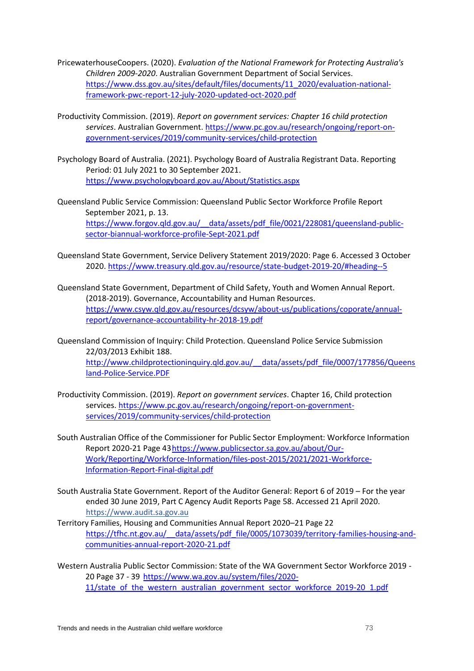- PricewaterhouseCoopers. (2020). *Evaluation of the National Framework for Protecting Australia's Children 2009-2020*. Australian Government Department of Social Services. [https://www.dss.gov.au/sites/default/files/documents/11\\_2020/evaluation-national](https://www.dss.gov.au/sites/default/files/documents/11_2020/evaluation-national-framework-pwc-report-12-july-2020-updated-oct-2020.pdf)[framework-pwc-report-12-july-2020-updated-oct-2020.pdf](https://www.dss.gov.au/sites/default/files/documents/11_2020/evaluation-national-framework-pwc-report-12-july-2020-updated-oct-2020.pdf)
- Productivity Commission. (2019). *Report on government services: Chapter 16 child protection services*. Australian Government. [https://www.pc.gov.au/research/ongoing/report-on](https://www.pc.gov.au/research/ongoing/report-on-government-services/2019/community-services/child-protection)[government-services/2019/community-services/child-protection](https://www.pc.gov.au/research/ongoing/report-on-government-services/2019/community-services/child-protection)
- Psychology Board of Australia. (2021). Psychology Board of Australia Registrant Data. Reporting Period: 01 July 2021 to 30 September 2021. <https://www.psychologyboard.gov.au/About/Statistics.aspx>
- Queensland Public Service Commission: Queensland Public Sector Workforce Profile Report September 2021, p. 13. https://www.forgov.qld.gov.au/ data/assets/pdf file/0021/228081/queensland-public[sector-biannual-workforce-profile-Sept-2021.pdf](https://www.forgov.qld.gov.au/__data/assets/pdf_file/0021/228081/queensland-public-sector-biannual-workforce-profile-Sept-2021.pdf)
- Queensland State Government, Service Delivery Statement 2019/2020: Page 6. Accessed 3 October 2020[. https://www.treasury.qld.gov.au/resource/state-budget-2019-20/#heading--5](https://www.treasury.qld.gov.au/resource/state-budget-2019-20/#heading--5)
- Queensland State Government, Department of Child Safety, Youth and Women Annual Report. (2018-2019). Governance, Accountability and Human Resources. [https://www.csyw.qld.gov.au/resources/dcsyw/about-us/publications/coporate/annual](https://www.csyw.qld.gov.au/resources/dcsyw/about-us/publications/coporate/annual-report/governance-accountability-hr-2018-19.pdf)[report/governance-accountability-hr-2018-19.pdf](https://www.csyw.qld.gov.au/resources/dcsyw/about-us/publications/coporate/annual-report/governance-accountability-hr-2018-19.pdf)
- Queensland Commission of Inquiry: Child Protection. Queensland Police Service Submission 22/03/2013 Exhibit 188. [http://www.childprotectioninquiry.qld.gov.au/\\_\\_data/assets/pdf\\_file/0007/177856/Queens](http://www.childprotectioninquiry.qld.gov.au/__data/assets/pdf_file/0007/177856/Queensland-Police-Service.PDF) [land-Police-Service.PDF](http://www.childprotectioninquiry.qld.gov.au/__data/assets/pdf_file/0007/177856/Queensland-Police-Service.PDF)
- Productivity Commission. (2019). *Report on government services*. Chapter 16, Child protection services. [https://www.pc.gov.au/research/ongoing/report-on-government](https://www.pc.gov.au/research/ongoing/report-on-government-services/2019/community-services/child-protection)[services/2019/community-services/child-protection](https://www.pc.gov.au/research/ongoing/report-on-government-services/2019/community-services/child-protection)
- South Australian Office of the Commissioner for Public Sector Employment: Workforce Information Report 2020-21 Page 4[3https://www.publicsector.sa.gov.au/about/Our-](https://www.publicsector.sa.gov.au/about/Our-Work/Reporting/Workforce-Information/files-post-2015/2021/2021-Workforce-Information-Report-Final-digital.pdf)[Work/Reporting/Workforce-Information/files-post-2015/2021/2021-Workforce-](https://www.publicsector.sa.gov.au/about/Our-Work/Reporting/Workforce-Information/files-post-2015/2021/2021-Workforce-Information-Report-Final-digital.pdf)[Information-Report-Final-digital.pdf](https://www.publicsector.sa.gov.au/about/Our-Work/Reporting/Workforce-Information/files-post-2015/2021/2021-Workforce-Information-Report-Final-digital.pdf)
- South Australia State Government. Report of the Auditor General: Report 6 of 2019 For the year ended 30 June 2019, Part C Agency Audit Reports Page 58. Accessed 21 April 2020. https://www.audit.sa.gov.au
- Territory Families, Housing and Communities Annual Report 2020–21 Page 22 https://tfhc.nt.gov.au/ data/assets/pdf file/0005/1073039/territory-families-housing-and[communities-annual-report-2020-21.pdf](https://tfhc.nt.gov.au/__data/assets/pdf_file/0005/1073039/territory-families-housing-and-communities-annual-report-2020-21.pdf)
- Western Australia Public Sector Commission: State of the WA Government Sector Workforce 2019 20 Page 37 - 39 [https://www.wa.gov.au/system/files/2020-](https://www.wa.gov.au/system/files/2020-11/state_of_the_western_australian_government_sector_workforce_2019-20_1.pdf) [11/state\\_of\\_the\\_western\\_australian\\_government\\_sector\\_workforce\\_2019-20\\_1.pdf](https://www.wa.gov.au/system/files/2020-11/state_of_the_western_australian_government_sector_workforce_2019-20_1.pdf)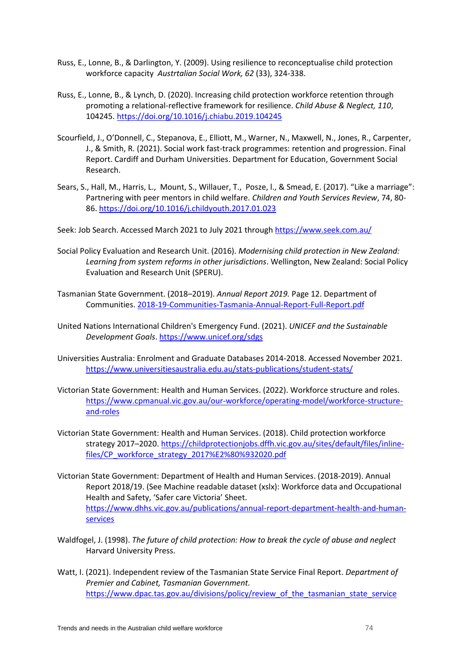- Russ, E., Lonne, B., & Darlington, Y. (2009). Using resilience to reconceptualise child protection workforce capacity *Austrtalian Social Work, 62* (33), 324-338.
- Russ, E., Lonne, B., & Lynch, D. (2020). Increasing child protection workforce retention through promoting a relational-reflective framework for resilience. *Child Abuse & Neglect, 110*, 104245[. https://doi.org/10.1016/j.chiabu.2019.104245](https://doi.org/10.1016/j.chiabu.2019.104245)
- Scourfield, J., O'Donnell, C., Stepanova, E., Elliott, M., Warner, N., Maxwell, N., Jones, R., Carpenter, J., & Smith, R. (2021). Social work fast-track programmes: retention and progression. Final Report. Cardiff and Durham Universities. Department for Education, Government Social Research.
- Sears, S., Hall, M., Harris, L., Mount, S., Willauer, T., Posze, l., & Smead, E. (2017). "Like a marriage": Partnering with peer mentors in child welfare. *Children and Youth Services Review*, 74, 80- 86. <https://doi.org/10.1016/j.childyouth.2017.01.023>

Seek: Job Search. Accessed March 2021 to July 2021 throug[h https://www.seek.com.au/](https://www.seek.com.au/)

- Social Policy Evaluation and Research Unit. (2016). *Modernising child protection in New Zealand: Learning from system reforms in other jurisdictions*. Wellington, New Zealand: Social Policy Evaluation and Research Unit (SPERU).
- Tasmanian State Government. (2018–2019). *Annual Report 2019.* Page 12. Department of Communities. [2018-19-Communities-Tasmania-Annual-Report-Full-Report.pdf](https://www.communities.tas.gov.au/__data/assets/pdf_file/0029/62768/2018-19-Communities-Tasmania-Annual-Report-Full-Report.pdf)
- United Nations International Children's Emergency Fund. (2021). *UNICEF and the Sustainable Development Goals*.<https://www.unicef.org/sdgs>
- Universities Australia: Enrolment and Graduate Databases 2014-2018. Accessed November 2021. <https://www.universitiesaustralia.edu.au/stats-publications/student-stats/>
- Victorian State Government: Health and Human Services. (2022). Workforce structure and roles. [https://www.cpmanual.vic.gov.au/our-workforce/operating-model/workforce-structure](https://www.cpmanual.vic.gov.au/our-workforce/operating-model/workforce-structure-and-roles)[and-roles](https://www.cpmanual.vic.gov.au/our-workforce/operating-model/workforce-structure-and-roles)
- Victorian State Government: Health and Human Services. (2018). Child protection workforce strategy 2017–2020. [https://childprotectionjobs.dffh.vic.gov.au/sites/default/files/inline](https://childprotectionjobs.dffh.vic.gov.au/sites/default/files/inline-files/CP_workforce_strategy_2017%E2%80%932020.pdf)[files/CP\\_workforce\\_strategy\\_2017%E2%80%932020.pdf](https://childprotectionjobs.dffh.vic.gov.au/sites/default/files/inline-files/CP_workforce_strategy_2017%E2%80%932020.pdf)
- Victorian State Government: Department of Health and Human Services. (2018-2019). Annual Report 2018/19. (See Machine readable dataset (xslx): Workforce data and Occupational Health and Safety, 'Safer care Victoria' Sheet. [https://www.dhhs.vic.gov.au/publications/annual-report-department-health-and-human](https://www.dhhs.vic.gov.au/publications/annual-report-department-health-and-human-services)[services](https://www.dhhs.vic.gov.au/publications/annual-report-department-health-and-human-services)
- Waldfogel, J. (1998). *The future of child protection: How to break the cycle of abuse and neglect*  Harvard University Press.
- Watt, I. (2021). Independent review of the Tasmanian State Service Final Report. *Department of Premier and Cabinet, Tasmanian Government.* [https://www.dpac.tas.gov.au/divisions/policy/review\\_of\\_the\\_tasmanian\\_state\\_service](https://www.dpac.tas.gov.au/divisions/policy/review_of_the_tasmanian_state_service)